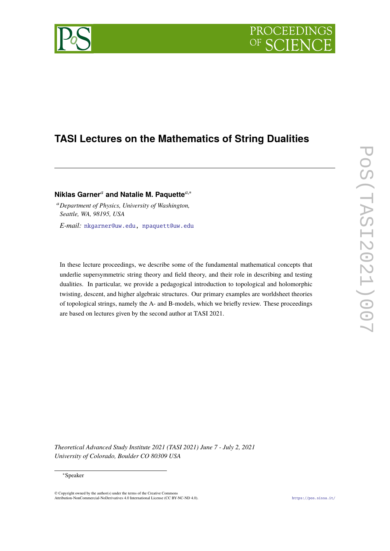# PROCEEDIN

## **TASI Lectures on the Mathematics of String Dualities**

### **Niklas Garner***<sup>a</sup>* **and Natalie M. Paquette***a*,<sup>∗</sup>

<sup>a</sup>*Department of Physics, University of Washington, Seattle, WA, 98195, USA E-mail:* [nkgarner@uw.edu,](mailto:nkgarner@uw.edu) [npaquett@uw.edu](mailto:npaquett@uw.edu)

In these lecture proceedings, we describe some of the fundamental mathematical concepts that underlie supersymmetric string theory and field theory, and their role in describing and testing dualities. In particular, we provide a pedagogical introduction to topological and holomorphic twisting, descent, and higher algebraic structures. Our primary examples are worldsheet theories of topological strings, namely the A- and B-models, which we briefly review. These proceedings are based on lectures given by the second author at TASI 2021.

*Theoretical Advanced Study Institute 2021 (TASI 2021) June 7 - July 2, 2021 University of Colorado, Boulder CO 80309 USA*

#### ∗Speaker

© Copyright owned by the author(s) under the terms of the Creative Commons Attribution-NonCommercial-NoDerivatives 4.0 International License (CC BY-NC-ND 4.0). <https://pos.sissa.it/>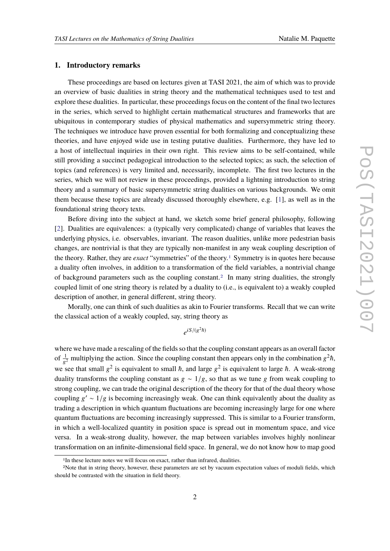#### **1. Introductory remarks**

These proceedings are based on lectures given at TASI 2021, the aim of which was to provide an overview of basic dualities in string theory and the mathematical techniques used to test and explore these dualities. In particular, these proceedings focus on the content of the final two lectures in the series, which served to highlight certain mathematical structures and frameworks that are ubiquitous in contemporary studies of physical mathematics and supersymmetric string theory. The techniques we introduce have proven essential for both formalizing and conceptualizing these theories, and have enjoyed wide use in testing putative dualities. Furthermore, they have led to a host of intellectual inquiries in their own right. This review aims to be self-contained, while still providing a succinct pedagogical introduction to the selected topics; as such, the selection of topics (and references) is very limited and, necessarily, incomplete. The first two lectures in the series, which we will not review in these proceedings, provided a lightning introduction to string theory and a summary of basic supersymmetric string dualities on various backgrounds. We omit them because these topics are already discussed thoroughly elsewhere, e.g. [\[1\]](#page-75-0), as well as in the foundational string theory texts.

Before diving into the subject at hand, we sketch some brief general philosophy, following [\[2\]](#page-75-1). Dualities are equivalences: a (typically very complicated) change of variables that leaves the underlying physics, i.e. observables, invariant. The reason dualities, unlike more pedestrian basis changes, are nontrivial is that they are typically non-manifest in any weak coupling description of the theory. Rather, they are *exact* "symmetries" of the theory.[1](#page-1-0) Symmetry is in quotes here because a duality often involves, in addition to a transformation of the field variables, a nontrivial change of background parameters such as the coupling constant.<sup>[2](#page-1-1)</sup> In many string dualities, the strongly coupled limit of one string theory is related by a duality to (i.e., is equivalent to) a weakly coupled description of another, in general different, string theory.

Morally, one can think of such dualities as akin to Fourier transforms. Recall that we can write the classical action of a weakly coupled, say, string theory as

 $e^{iS/(g^2\hbar)}$ 

where we have made a rescaling of the fields so that the coupling constant appears as an overall factor of  $\frac{1}{g^2}$  multiplying the action. Since the coupling constant then appears only in the combination  $g^2 \hbar$ , we see that small  $g^2$  is equivalent to small  $\hbar$ , and large  $g^2$  is equivalent to large  $\hbar$ . A weak-strong duality transforms the coupling constant as  $g \sim 1/g$ , so that as we tune g from weak coupling to strong coupling, we can trade the original description of the theory for that of the dual theory whose coupling  $g' \sim 1/g$  is becoming increasingly weak. One can think equivalently about the duality as trading a description in which quantum fluctuations are becoming increasingly large for one where quantum fluctuations are becoming increasingly suppressed. This is similar to a Fourier transform, in which a well-localized quantity in position space is spread out in momentum space, and vice versa. In a weak-strong duality, however, the map between variables involves highly nonlinear transformation on an infinite-dimensional field space. In general, we do not know how to map good

<span id="page-1-1"></span><span id="page-1-0"></span><sup>&</sup>lt;sup>1</sup>In these lecture notes we will focus on exact, rather than infrared, dualities.

<sup>2</sup>Note that in string theory, however, these parameters are set by vacuum expectation values of moduli fields, which should be contrasted with the situation in field theory.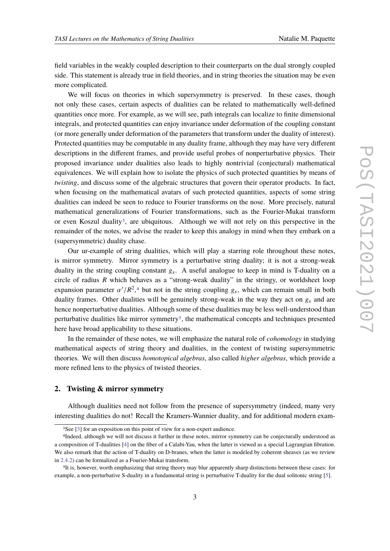field variables in the weakly coupled description to their counterparts on the dual strongly coupled side. This statement is already true in field theories, and in string theories the situation may be even more complicated.

We will focus on theories in which supersymmetry is preserved. In these cases, though not only these cases, certain aspects of dualities can be related to mathematically well-defined quantities once more. For example, as we will see, path integrals can localize to finite dimensional integrals, and protected quantities can enjoy invariance under deformation of the coupling constant (or more generally under deformation of the parameters that transform under the duality of interest). Protected quantities may be computable in any duality frame, although they may have very different descriptions in the different frames, and provide useful probes of nonperturbative physics. Their proposed invariance under dualities also leads to highly nontrivial (conjectural) mathematical equivalences. We will explain how to isolate the physics of such protected quantities by means of *twisting*, and discuss some of the algebraic structures that govern their operator products. In fact, when focusing on the mathematical avatars of such protected quantities, aspects of some string dualities can indeed be seen to reduce to Fourier transforms on the nose. More precisely, natural mathematical generalizations of Fourier transformations, such as the Fourier-Mukai transform or even Koszul duality[3](#page-2-0), are ubiquitous. Although we will not rely on this perspective in the remainder of the notes, we advise the reader to keep this analogy in mind when they embark on a (supersymmetric) duality chase.

Our ur-example of string dualities, which will play a starring role throughout these notes, is mirror symmetry. Mirror symmetry is a perturbative string duality; it is not a strong-weak duality in the string coupling constant  $g_s$ . A useful analogue to keep in mind is T-duality on a circle of radius *R* which behaves as a "strong-weak duality" in the stringy, or worldsheet loop expansion parameter  $\alpha'/R^2$ ,<sup>[4](#page-2-1)</sup> but not in the string coupling  $g_s$ , which can remain small in both duality frames. Other dualities will be genuinely strong-weak in the way they act on  $g_s$  and are hence nonperturbative dualities. Although some of these dualities may be less well-understood than perturbative dualities like mirror symmetry<sup>[5](#page-2-2)</sup>, the mathematical concepts and techniques presented here have broad applicability to these situations.

In the remainder of these notes, we will emphasize the natural role of *cohomology* in studying mathematical aspects of string theory and dualities, in the context of twisting supersymmetric theories. We will then discuss *homotopical algebras*, also called *higher algebras*, which provide a more refined lens to the physics of twisted theories.

#### **2. Twisting & mirror symmetry**

Although dualities need not follow from the presence of supersymmetry (indeed, many very interesting dualities do not! Recall the Kramers-Wannier duality, and for additional modern exam-

<span id="page-2-1"></span><span id="page-2-0"></span><sup>3</sup>See [\[3\]](#page-75-2) for an exposition on this point of view for a non-expert audience.

<sup>4</sup>Indeed, although we will not discuss it further in these notes, mirror symmetry can be conjecturally understood as a composition of T-dualities [\[4\]](#page-75-3) on the fiber of a Calabi-Yau, when the latter is viewed as a special Lagrangian fibration. We also remark that the action of T-duality on D-branes, when the latter is modeled by coherent sheaves (as we review in [2.4.2\)](#page-26-0) can be formalized as a Fourier-Mukai transform.

<span id="page-2-2"></span><sup>5</sup>It is, however, worth emphasizing that string theory may blur apparently sharp distinctions between these cases: for example, a non-perturbative S-duality in a fundamental string is perturbative T-duality for the dual solitonic string [\[5\]](#page-75-4).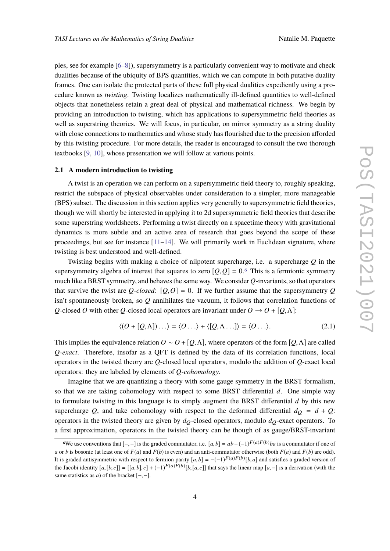ples, see for example [\[6–](#page-75-5)[8\]](#page-75-6)), supersymmetry is a particularly convenient way to motivate and check dualities because of the ubiquity of BPS quantities, which we can compute in both putative duality frames. One can isolate the protected parts of these full physical dualities expediently using a procedure known as *twisting*. Twisting localizes mathematically ill-defined quantities to well-defined objects that nonetheless retain a great deal of physical and mathematical richness. We begin by providing an introduction to twisting, which has applications to supersymmetric field theories as well as superstring theories. We will focus, in particular, on mirror symmetry as a string duality with close connections to mathematics and whose study has flourished due to the precision afforded by this twisting procedure. For more details, the reader is encouraged to consult the two thorough textbooks [\[9,](#page-75-7) [10\]](#page-76-0), whose presentation we will follow at various points.

#### <span id="page-3-1"></span>**2.1 A modern introduction to twisting**

A twist is an operation we can perform on a supersymmetric field theory to, roughly speaking, restrict the subspace of physical observables under consideration to a simpler, more manageable (BPS) subset. The discussion in this section applies very generally to supersymmetric field theories, though we will shortly be interested in applying it to 2d supersymmetric field theories that describe some superstring worldsheets. Performing a twist directly on a spacetime theory with gravitational dynamics is more subtle and an active area of research that goes beyond the scope of these proceedings, but see for instance  $[11-14]$  $[11-14]$ . We will primarily work in Euclidean signature, where twisting is best understood and well-defined.

Twisting begins with making a choice of nilpotent supercharge, i.e. a supercharge *Q* in the supersymmetry algebra of interest that squares to zero  $[Q, Q] = 0.6$  $[Q, Q] = 0.6$  This is a fermionic symmetry much like a BRST symmetry, and behaves the same way. We consider *Q*-invariants, so that operators that survive the twist are *Q*-closed:  $[Q, Q] = 0$ . If we further assume that the supersymmetry *Q* isn't spontaneously broken, so *Q* annihilates the vacuum, it follows that correlation functions of *Q*-closed *O* with other *Q*-closed local operators are invariant under  $O \rightarrow O + [Q, \Lambda]$ :

$$
\langle (O + [Q, \Lambda]) \dots \rangle = \langle O \dots \rangle + \langle [Q, \Lambda \dots] \rangle = \langle O \dots \rangle. \tag{2.1}
$$

This implies the equivalence relation  $O \sim O + [O, \Lambda]$ , where operators of the form [*O*,  $\Lambda$ ] are called *Q-exact*. Therefore, insofar as a QFT is defined by the data of its correlation functions, local operators in the twisted theory are *Q*-closed local operators, modulo the addition of *Q*-exact local operators: they are labeled by elements of *Q-cohomology*.

Imagine that we are quantizing a theory with some gauge symmetry in the BRST formalism, so that we are taking cohomology with respect to some BRST differential *d*. One simple way to formulate twisting in this language is to simply augment the BRST differential *d* by this new supercharge Q, and take cohomology with respect to the deformed differential  $d<sub>O</sub> = d + Q$ : operators in the twisted theory are given by  $d<sub>O</sub>$ -closed operators, modulo  $d<sub>O</sub>$ -exact operators. To a first approximation, operators in the twisted theory can be though of as gauge/BRST-invariant

<span id="page-3-0"></span><sup>&</sup>lt;sup>6</sup>We use conventions that  $[-,-]$  is the graded commutator, i.e.  $[a,b] = ab - (-1)^{F(a)F(b)}ba$  is a commutator if one of *a* or *b* is bosonic (at least one of  $F(a)$  and  $F(b)$  is even) and an anti-commutator otherwise (both  $F(a)$  and  $F(b)$  are odd). It is graded antisymmetric with respect to fermion parity  $[a,b] = -(-1)^{F(a)F(b)}[b,a]$  and satisfies a graded version of the Jacobi identity  $[a,[b,c]] = [[a,b],c] + (-1)^{F(a)F(b)}[b,[a,c]]$  that says the linear map  $[a,-]$  is a derivation (with the same statistics as *a*) of the bracket  $[-,-]$ .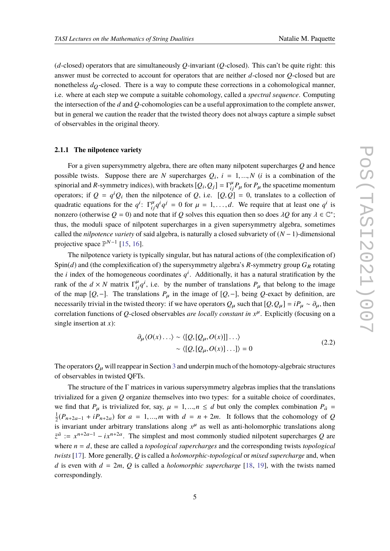(*d*-closed) operators that are simultaneously *Q*-invariant (*Q*-closed). This can't be quite right: this answer must be corrected to account for operators that are neither *d*-closed nor *Q*-closed but are nonetheless  $d<sub>O</sub>$ -closed. There is a way to compute these corrections in a cohomological manner, i.e. where at each step we compute a suitable cohomology, called a *spectral sequence*. Computing the intersection of the *d* and *Q*-cohomologies can be a useful approximation to the complete answer, but in general we caution the reader that the twisted theory does not always capture a simple subset of observables in the original theory.

#### <span id="page-4-0"></span>**2.1.1 The nilpotence variety**

For a given supersymmetry algebra, there are often many nilpotent supercharges *Q* and hence possible twists. Suppose there are *N* supercharges  $Q_i$ ,  $i = 1, ..., N$  (*i* is a combination of the spinorial and *R*-symmetry indices), with brackets  $[Q_i, Q_j] = \Gamma_i^{\mu} P_{\mu}$  for  $P_{\mu}$  the spacetime momentum operators; if  $Q = q^i Q_i$  then the nilpotence of *Q*, i.e.  $[Q, Q] = 0$ , translates to a collection of quadratic equations for the  $q^i$ :  $\Gamma_{ij}^{\mu}q^i q^j = 0$  for  $\mu = 1, ..., d$ . We require that at least one  $q^i$  is nonzero (otherwise  $Q = 0$ ) and note that if  $Q$  solves this equation then so does  $\lambda Q$  for any  $\lambda \in \mathbb{C}^*$ ; thus, the moduli space of nilpotent supercharges in a given supersymmetry algebra, sometimes called the *nilpotence variety* of said algebra, is naturally a closed subvariety of (*N* − 1)-dimensional projective space  $\mathbb{P}^{N-1}$  [\[15,](#page-76-3) [16\]](#page-76-4).

The nilpotence variety is typically singular, but has natural actions of (the complexification of) Spin( $d$ ) and (the complexification of) the supersymmetry algebra's  $R$ -symmetry group  $G_R$  rotating the *i* index of the homogeneous coordinates  $q<sup>i</sup>$ . Additionally, it has a natural stratification by the rank of the  $d \times N$  matrix  $\Gamma^{\mu}_{ij}q^i$ , i.e. by the number of translations  $P_{\mu}$  that belong to the image of the map  $[Q, -]$ . The translations  $P<sub>µ</sub>$  in the image of  $[Q, -]$ , being  $Q$ -exact by definition, are necessarily trivial in the twisted theory: if we have operators  $Q_\mu$  such that  $[Q, Q_\mu] = iP_\mu \sim \partial_\mu$ , then correlation functions of *Q*-closed observables *are locally constant in x* µ . Explicitly (focusing on a single insertion at *x*):

$$
\partial_{\mu} \langle O(x) \dots \rangle \sim \langle [Q, [Q_{\mu}, O(x)]] \dots \rangle
$$
  
 
$$
\sim \langle [Q, [Q_{\mu}, O(x)] \dots] \rangle = 0
$$
 (2.2)

The operators  $Q_{\mu}$  will reappear in Section [3](#page-32-0) and underpin much of the homotopy-algebraic structures of observables in twisted QFTs.

The structure of the  $\Gamma$  matrices in various supersymmetry algebras implies that the translations trivialized for a given *Q* organize themselves into two types: for a suitable choice of coordinates, we find that  $P_\mu$  is trivialized for, say,  $\mu = 1, ..., n \le d$  but only the complex combination  $P_{\bar{a}} =$ 1  $\frac{1}{2}(P_{n+2a-1} + iP_{n+2a})$  for  $a = 1,...,m$  with  $d = n + 2m$ . It follows that the cohomology of *Q* is invariant under arbitrary translations along  $x^{\mu}$  as well as anti-holomorphic translations along  $\bar{z}^{\bar{a}} := x^{n+2a-1} - ix^{n+2a}$ . The simplest and most commonly studied nilpotent supercharges *Q* are where  $n = d$ , these are called a *topological supercharges* and the corresponding twists *topological twists* [\[17\]](#page-76-5). More generally, *Q* is called a *holomorphic-topological* or *mixed supercharge* and, when *d* is even with  $d = 2m$ , *Q* is called a *holomorphic supercharge* [\[18,](#page-76-6) [19\]](#page-76-7), with the twists named correspondingly.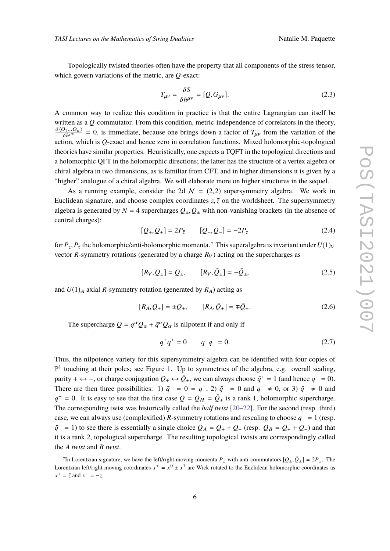Topologically twisted theories often have the property that all components of the stress tensor, which govern variations of the metric, are *Q*-exact:

$$
T_{\mu\nu} = \frac{\delta S}{\delta h^{\mu\nu}} = [Q, G_{\mu\nu}].
$$
\n(2.3)

A common way to realize this condition in practice is that the entire Lagrangian can itself be written as a *Q*-commutator. From this condition, metric-independence of correlators in the theory,  $\frac{\delta \langle O_1...O_n \rangle}{\delta h^{\mu\nu}} = 0$ , is immediate, because one brings down a factor of  $T_{\mu\nu}$  from the variation of the  $\delta h^{\mu\nu}$  = 0, is immediate, because one brings down a ractor of  $T_{\mu\nu}$  from the variation of the action, which is *Q*-exact and hence zero in correlation functions. Mixed holomorphic-topological theories have similar properties. Heuristically, one expects a TQFT in the topological directions and a holomorphic QFT in the holomorphic directions; the latter has the structure of a vertex algebra or chiral algebra in two dimensions, as is familiar from CFT, and in higher dimensions it is given by a "higher" analogue of a chiral algebra. We will elaborate more on higher structures in the sequel.

As a running example, consider the 2d  $\mathcal{N} = (2, 2)$  supersymmetry algebra. We work in Euclidean signature, and choose complex coordinates  $z$ ,  $\bar{z}$  on the worldsheet. The supersymmetry algebra is generated by  $N = 4$  supercharges  $Q_{\pm}, \bar{Q}_{\pm}$  with non-vanishing brackets (in the absence of central charges):

$$
[Q_+, \bar{Q}_+] = 2P_{\bar{z}} \qquad [Q_-, \bar{Q}_-] = -2P_z \tag{2.4}
$$

for  $P_z$ ,  $P_{\bar{z}}$  the holomorphic/anti-holomorphic momenta.<sup>[7](#page-5-0)</sup> This superalgebra is invariant under  $U(1)_V$ vector *R*-symmetry rotations (generated by a charge  $R_V$ ) acting on the supercharges as

$$
[R_V, Q_{\pm}] = Q_{\pm}, \qquad [R_V, \bar{Q}_{\pm}] = -\bar{Q}_{\pm}, \tag{2.5}
$$

and  $U(1)_A$  axial *R*-symmetry rotation (generated by  $R_A$ ) acting as

$$
[R_A, Q_{\pm}] = \pm Q_{\pm}, \qquad [R_A, \bar{Q}_{\pm}] = \mp \bar{Q}_{\pm}.
$$
 (2.6)

The supercharge  $Q = q^{\alpha}Q_{\alpha} + \bar{q}^{\alpha}\bar{Q}_{\alpha}$  is nilpotent if and only if

$$
q^+ \bar{q}^+ = 0 \qquad q^- \bar{q}^- = 0. \tag{2.7}
$$

Thus, the nilpotence variety for this supersymmetry algebra can be identified with four copies of  $\mathbb{P}^1$  touching at their poles; see Figure [1.](#page-6-0) Up to symmetries of the algebra, e.g. overall scaling, parity +  $\leftrightarrow$  -, or charge conjugation  $Q_{\pm} \leftrightarrow \bar{Q}_{\pm}$ , we can always choose  $\bar{q}^+ = 1$  (and hence  $q^+ = 0$ ). There are then three possibilities: 1)  $\bar{q}^- = 0 = q^-$ , 2)  $\bar{q}^- = 0$  and  $q^- \neq 0$ , or 3)  $\bar{q}^- \neq 0$  and  $q^{-} = 0$ . It is easy to see that the first case  $Q = Q_H = \overline{Q}_+$  is a rank 1, holomorphic supercharge. The corresponding twist was historically called the *half twist* [\[20](#page-76-8)[–22\]](#page-76-9). For the second (resp. third) case, we can always use (complexified) *R*-symmetry rotations and rescaling to choose  $q^- = 1$  (resp.  $\bar{q}$ <sup>−</sup> = 1) to see there is essentially a single choice  $Q_A = \bar{Q}_+ + Q_-$  (resp.  $Q_B = \bar{Q}_+ + \bar{Q}_-$ ) and that it is a rank 2, topological supercharge. The resulting topological twists are correspondingly called the *A twist* and *B twist*.

<span id="page-5-0"></span><sup>&</sup>lt;sup>7</sup>In Lorentzian signature, we have the left/right moving momenta  $P_{\pm}$  with anti-commutators  $[Q_{\pm}, \bar{Q}_{\pm}] = 2P_{\pm}$ . The Lorentzian left/right moving coordinates  $x^{\pm} = x^0 \pm x^1$  are Wick rotated to the Euclidean holomorphic coordinates as  $x^+ = \bar{z}$  and  $x^- = -z$ .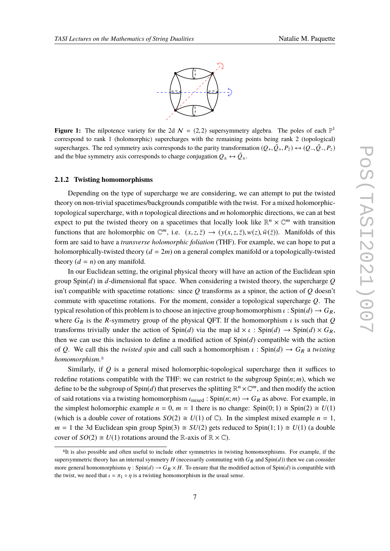

<span id="page-6-0"></span>**Figure 1:** The nilpotence variety for the 2d  $N = (2, 2)$  supersymmetry algebra. The poles of each  $\mathbb{P}^1$ correspond to rank 1 (holomorphic) supercharges with the remaining points being rank 2 (topological) supercharges. The red symmetry axis corresponds to the parity transformation  $(Q_+, \bar{Q}_+, P_{\bar{z}}) \leftrightarrow (Q_-, \bar{Q}_-, P_z)$ and the blue symmetry axis corresponds to charge conjugation  $Q_{\pm} \leftrightarrow \bar{Q}_{\pm}$ .

#### **2.1.2 Twisting homomorphisms**

Depending on the type of supercharge we are considering, we can attempt to put the twisted theory on non-trivial spacetimes/backgrounds compatible with the twist. For a mixed holomorphictopological supercharge, with *n* topological directions and *m* holomorphic directions, we can at best expect to put the twisted theory on a spacetimes that locally look like  $\mathbb{R}^n \times \mathbb{C}^m$  with transition functions that are holomorphic on  $\mathbb{C}^m$ , i.e.  $(x, z, \bar{z}) \rightarrow (y(x, z, \bar{z}), w(z), \bar{w}(\bar{z}))$ . Manifolds of this form are said to have a *transverse holomorphic foliation* (THF). For example, we can hope to put a holomorphically-twisted theory  $(d = 2m)$  on a general complex manifold or a topologically-twisted theory  $(d = n)$  on any manifold.

In our Euclidean setting, the original physical theory will have an action of the Euclidean spin group Spin(*d*) in *d*-dimensional flat space. When considering a twisted theory, the supercharge *Q* isn't compatible with spacetime rotations: since *Q* transforms as a spinor, the action of *Q* doesn't commute with spacetime rotations. For the moment, consider a topological supercharge *Q*. The typical resolution of this problem is to choose an injective group homomorphism  $\iota$ : Spin(*d*)  $\rightarrow$   $G_R$ , where  $G_R$  is the *R*-symmetry group of the physical QFT. If the homomorphism  $\iota$  is such that *Q* transforms trivially under the action of  $Spin(d)$  via the map id  $\times l$  :  $Spin(d) \rightarrow Spin(d) \times G_R$ , then we can use this inclusion to define a modified action of Spin(*d*) compatible with the action of *Q*. We call this the *twisted spin* and call such a homomorphism  $\iota$  : Spin(*d*)  $\rightarrow$  *G*<sub>R</sub> a *twisting homomorphism*.[8](#page-6-1)

Similarly, if *Q* is a general mixed holomorphic-topological supercharge then it suffices to redefine rotations compatible with the THF: we can restrict to the subgroup  $Spin(n; m)$ , which we define to be the subgroup of  $Spin(d)$  that preserves the splitting  $\mathbb{R}^n \times \mathbb{C}^m$ , and then modify the action of said rotations via a twisting homomorphism  $\iota_{mixed}$  :  $Spin(n; m) \to G_R$  as above. For example, in the simplest holomorphic example  $n = 0$ ,  $m = 1$  there is no change:  $Spin(0, 1) \cong Spin(2) \cong U(1)$ (which is a double cover of rotations  $SO(2) \cong U(1)$  of  $\mathbb{C}$ ). In the simplest mixed example  $n = 1$ ,  $m = 1$  the 3d Euclidean spin group Spin(3)  $\cong SU(2)$  gets reduced to Spin(1; 1)  $\cong U(1)$  (a double cover of  $SO(2) \cong U(1)$  rotations around the R-axis of  $\mathbb{R} \times \mathbb{C}$ ).

<span id="page-6-1"></span><sup>&</sup>lt;sup>8</sup>It is also possible and often useful to include other symmetries in twisting homomorphisms. For example, if the supersymmetric theory has an internal symmetry  $H$  (necessarily commuting with  $G_R$  and  $Spin(d)$ ) then we can consider more general homomorphisms  $\eta$ : Spin( $d$ )  $\rightarrow$   $G_R \times H$ . To ensure that the modified action of Spin( $d$ ) is compatible with the twist, we need that  $\iota = \pi_1 \circ \eta$  is a twisting homomorphism in the usual sense.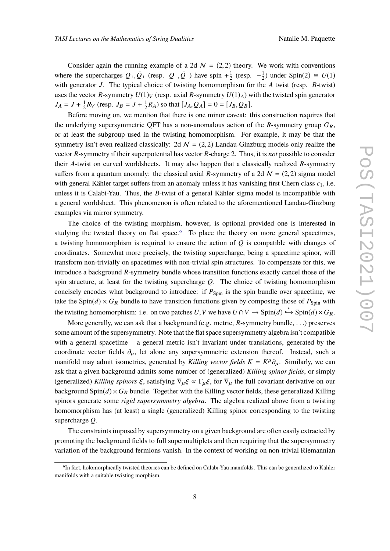Consider again the running example of a 2d  $\mathcal{N} = (2, 2)$  theory. We work with conventions where the supercharges  $Q_+$ ,  $\overline{Q}_+$  (resp.  $Q_-, \overline{Q}_-$ ) have spin  $+\frac{1}{2}$  $\frac{1}{2}$  (resp.  $-\frac{1}{2}$ )  $\frac{1}{2}$ ) under Spin(2)  $\cong U(1)$ with generator *J*. The typical choice of twisting homomorphism for the *A* twist (resp. *B*-twist) uses the vector *R*-symmetry  $U(1)_V$  (resp. axial *R*-symmetry  $U(1)_A$ ) with the twisted spin generator  $J_A = J + \frac{1}{2}$  $\frac{1}{2}R_V$  (resp.  $J_B = J + \frac{1}{2}$  $\frac{1}{2}R_A$ ) so that  $[J_A, Q_A] = 0 = [J_B, Q_B].$ 

Before moving on, we mention that there is one minor caveat: this construction requires that the underlying supersymmetric QFT has a non-anomalous action of the  $R$ -symmetry group  $G_R$ , or at least the subgroup used in the twisting homomorphism. For example, it may be that the symmetry isn't even realized classically: 2d  $\mathcal{N} = (2, 2)$  Landau-Ginzburg models only realize the vector *R*-symmetry if their superpotential has vector *R*-charge 2. Thus, it is *not* possible to consider their *A*-twist on curved worldsheets. It may also happen that a classically realized *R*-symmetry suffers from a quantum anomaly: the classical axial *R*-symmetry of a 2d  $N = (2, 2)$  sigma model with general Kähler target suffers from an anomaly unless it has vanishing first Chern class  $c_1$ , i.e. unless it is Calabi-Yau. Thus, the *B*-twist of a general Kähler sigma model is incompatible with a general worldsheet. This phenomenon is often related to the aforementioned Landau-Ginzburg examples via mirror symmetry.

The choice of the twisting morphism, however, is optional provided one is interested in studying the twisted theory on flat space.<sup>[9](#page-7-0)</sup> To place the theory on more general spacetimes, a twisting homomorphism is required to ensure the action of *Q* is compatible with changes of coordinates. Somewhat more precisely, the twisting supercharge, being a spacetime spinor, will transform non-trivially on spacetimes with non-trivial spin structures. To compensate for this, we introduce a background *R*-symmetry bundle whose transition functions exactly cancel those of the spin structure, at least for the twisting supercharge *Q*. The choice of twisting homomorphism concisely encodes what background to introduce: if  $P_{\text{Spin}}$  is the spin bundle over spacetime, we take the Spin( $d$ ) ×  $G_R$  bundle to have transition functions given by composing those of  $P_{\text{Spin}}$  with the twisting homomorphism: i.e. on two patches  $U, V$  we have  $U \cap V \to \text{Spin}(d) \hookrightarrow \text{Spin}(d) \times G_R$ .

More generally, we can ask that a background (e.g. metric, *R*-symmetry bundle, . . .) preserves some amount of the supersymmetry. Note that the flat space supersymmetry algebra isn't compatible with a general spacetime – a general metric isn't invariant under translations, generated by the coordinate vector fields  $\partial_{\mu}$ , let alone any supersymmetric extension thereof. Instead, such a manifold may admit isometries, generated by *Killing vector fields*  $K = K^{\mu} \partial_{\mu}$ . Similarly, we can ask that a given background admits some number of (generalized) *Killing spinor fields*, or simply (generalized) *Killing spinors*  $\xi$ , satisfying  $\nabla_{\mu}\xi \propto \Gamma_{\mu}\xi$ , for  $\nabla_{\mu}$  the full covariant derivative on our background  $Spin(d) \times G_R$  bundle. Together with the Killing vector fields, these generalized Killing spinors generate some *rigid supersymmetry algebra*. The algebra realized above from a twisting homomorphism has (at least) a single (generalized) Killing spinor corresponding to the twisting supercharge *Q*.

The constraints imposed by supersymmetry on a given background are often easily extracted by promoting the background fields to full supermultiplets and then requiring that the supersymmetry variation of the background fermions vanish. In the context of working on non-trivial Riemannian

<span id="page-7-0"></span><sup>9</sup>In fact, holomorphically twisted theories can be defined on Calabi-Yau manifolds. This can be generalized to Kähler manifolds with a suitable twisting morphism.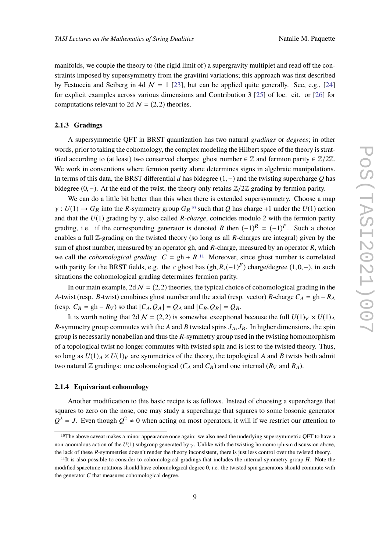manifolds, we couple the theory to (the rigid limit of) a supergravity multiplet and read off the constraints imposed by supersymmetry from the gravitini variations; this approach was first described by Festuccia and Seiberg in 4d  $\mathcal{N} = 1$  [\[23\]](#page-76-10), but can be applied quite generally. See, e.g., [\[24\]](#page-76-11) for explicit examples across various dimensions and Contribution 3 [\[25\]](#page-76-12) of loc. cit. or [\[26\]](#page-76-13) for computations relevant to 2d  $\mathcal{N} = (2, 2)$  theories.

#### <span id="page-8-3"></span>**2.1.3 Gradings**

A supersymmetric QFT in BRST quantization has two natural *gradings* or *degrees*; in other words, prior to taking the cohomology, the complex modeling the Hilbert space of the theory is stratified according to (at least) two conserved charges: ghost number  $\in \mathbb{Z}$  and fermion parity  $\in \mathbb{Z}/2\mathbb{Z}$ . We work in conventions where fermion parity alone determines signs in algebraic manipulations. In terms of this data, the BRST differential *d* has bidegree (1,−) and the twisting supercharge *Q* has bidegree (0,−). At the end of the twist, the theory only retains <sup>Z</sup>/2<sup>Z</sup> grading by fermion parity.

We can do a little bit better than this when there is extended supersymmetry. Choose a map  $\gamma: U(1) \to G_R$  into the *R*-symmetry group  $G_R^{10}$  $G_R^{10}$  $G_R^{10}$  such that Q has charge +1 under the  $U(1)$  action and that the *U*(1) grading by γ, also called *R-charge*, coincides modulo 2 with the fermion parity grading, i.e. if the corresponding generator is denoted *R* then  $(-1)^R = (-1)^F$ . Such a choice enables a full Z-grading on the twisted theory (so long as all *R*-charges are integral) given by the sum of ghost number, measured by an operator gh, and *R*-charge, measured by an operator *R*, which we call the *cohomological grading*:  $C = gh + R$ .<sup>[11](#page-8-1)</sup> Moreover, since ghost number is correlated with parity for the BRST fields, e.g. the *c* ghost has  $(gh, R, (-1)^F)$  charge/degree  $(1, 0, -)$ , in such situations the cohomological grading determines fermion parity.

In our main example,  $2d N = (2, 2)$  theories, the typical choice of cohomological grading in the *A*-twist (resp. *B*-twist) combines ghost number and the axial (resp. vector) *R*-charge  $C_A = gh - R_A$ (resp.  $C_B = gh - R_V$ ) so that  $[C_A, Q_A] = Q_A$  and  $[C_B, Q_B] = Q_B$ .

It is worth noting that 2d  $N = (2, 2)$  is somewhat exceptional because the full  $U(1)_V \times U(1)_A$ *R*-symmetry group commutes with the *A* and *B* twisted spins  $J_A$ ,  $J_B$ . In higher dimensions, the spin group is necessarily nonabelian and thus the *R*-symmetry group used in the twisting homomorphism of a topological twist no longer commutes with twisted spin and is lost to the twisted theory. Thus, so long as  $U(1)_A \times U(1)_V$  are symmetries of the theory, the topological *A* and *B* twists both admit two natural Z gradings: one cohomological ( $C_A$  and  $C_B$ ) and one internal ( $R_V$  and  $R_A$ ).

#### <span id="page-8-2"></span>**2.1.4 Equivariant cohomology**

Another modification to this basic recipe is as follows. Instead of choosing a supercharge that squares to zero on the nose, one may study a supercharge that squares to some bosonic generator  $Q^2 = J$ . Even though  $Q^2 \neq 0$  when acting on most operators, it will if we restrict our attention to

<span id="page-8-0"></span><sup>&</sup>lt;sup>10</sup>The above caveat makes a minor appearance once again: we also need the underlying supersymmetric QFT to have a non-anomalous action of the  $U(1)$  subgroup generated by γ. Unlike with the twisting homomorphism discussion above, the lack of these *R*-symmetries doesn't render the theory inconsistent, there is just less control over the twisted theory.

<span id="page-8-1"></span><sup>11</sup>It is also possible to consider to cohomological gradings that includes the internal symmetry group *H*. Note the modified spacetime rotations should have cohomological degree 0, i.e. the twisted spin generators should commute with the generator *C* that measures cohomological degree.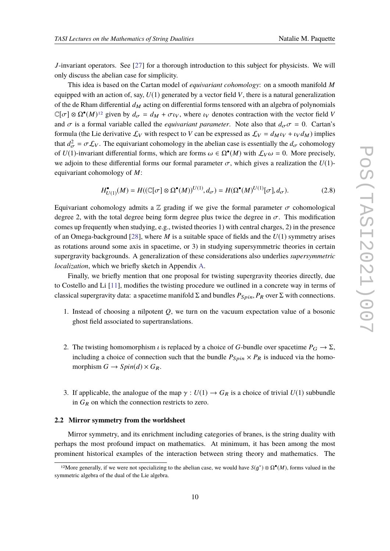*J*-invariant operators. See [\[27\]](#page-76-14) for a thorough introduction to this subject for physicists. We will only discuss the abelian case for simplicity.

This idea is based on the Cartan model of *equivariant cohomology*: on a smooth manifold *M* equipped with an action of, say,  $U(1)$  generated by a vector field V, there is a natural generalization of the de Rham differential  $d_M$  acting on differential forms tensored with an algebra of polynomials  $\mathbb{C}[\sigma] \otimes \Omega^{\bullet}(M)^{12}$  $\mathbb{C}[\sigma] \otimes \Omega^{\bullet}(M)^{12}$  $\mathbb{C}[\sigma] \otimes \Omega^{\bullet}(M)^{12}$  given by  $d_{\sigma} = d_M + \sigma \iota_V$ , where  $\iota_V$  denotes contraction with the vector field *V* and  $\sigma$  is a formal variable called the *equivariant parameter*. Note also that  $d_{\sigma}\sigma = 0$ . Cartan's formula (the Lie derivative  $\mathcal{L}_V$  with respect to *V* can be expressed as  $\mathcal{L}_V = d_M t_V + t_V d_M$ ) implies that  $d_{\sigma}^2 = \sigma \mathcal{L}_V$ . The equivariant cohomology in the abelian case is essentially the  $d_{\sigma}$  cohomology of *U*(1)-invariant differential forms, which are forms  $\omega \in \Omega^{\bullet}(M)$  with  $\mathcal{L}_V \omega = 0$ . More precisely, we adjoin to these differential forms our formal parameter  $\sigma$ , which gives a realization the  $U(1)$ equivariant cohomology of *M*:

$$
H_{U(1)}^{\bullet}(M) = H((\mathbb{C}[\sigma] \otimes \Omega^{\bullet}(M))^{U(1)}, d_{\sigma}) = H(\Omega^{\bullet}(M)^{U(1)}[\sigma], d_{\sigma}).
$$
\n(2.8)

Equivariant cohomology admits a  $\mathbb Z$  grading if we give the formal parameter  $\sigma$  cohomological degree 2, with the total degree being form degree plus twice the degree in  $\sigma$ . This modification comes up frequently when studying, e.g., twisted theories 1) with central charges, 2) in the presence of an Omega-background [\[28\]](#page-77-0), where *M* is a suitable space of fields and the *U*(1) symmetry arises as rotations around some axis in spacetime, or 3) in studying supersymmetric theories in certain supergravity backgrounds. A generalization of these considerations also underlies *supersymmetric localization*, which we briefly sketch in Appendix [A.](#page-60-0)

Finally, we briefly mention that one proposal for twisting supergravity theories directly, due to Costello and Li [\[11\]](#page-76-1), modifies the twisting procedure we outlined in a concrete way in terms of classical supergravity data: a spacetime manifold  $\Sigma$  and bundles  $P_{Spin}$ ,  $P_R$  over  $\Sigma$  with connections.

- 1. Instead of choosing a nilpotent *Q*, we turn on the vacuum expectation value of a bosonic ghost field associated to supertranslations.
- 2. The twisting homomorphism *i* is replaced by a choice of *G*-bundle over spacetime  $P_G \to \Sigma$ , including a choice of connection such that the bundle  $P_{Spin} \times P_R$  is induced via the homomorphism  $G \to Spin(d) \times G_R$ .
- 3. If applicable, the analogue of the map  $\gamma : U(1) \to G_R$  is a choice of trivial  $U(1)$  subbundle in  $G_R$  on which the connection restricts to zero.

#### **2.2 Mirror symmetry from the worldsheet**

Mirror symmetry, and its enrichment including categories of branes, is the string duality with perhaps the most profound impact on mathematics. At minimum, it has been among the most prominent historical examples of the interaction between string theory and mathematics. The

<span id="page-9-0"></span><sup>&</sup>lt;sup>12</sup>More generally, if we were not specializing to the abelian case, we would have  $S(g^*) \otimes \Omega^{\bullet}(M)$ , forms valued in the symmetric algebra of the dual of the Lie algebra.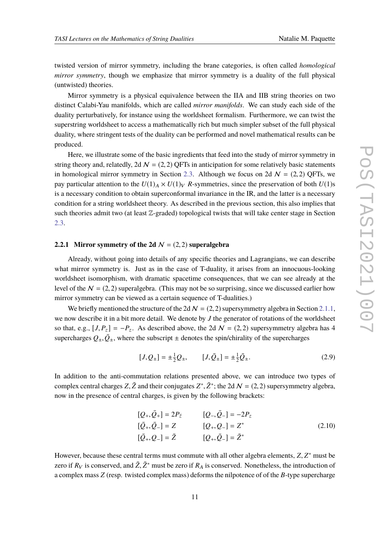twisted version of mirror symmetry, including the brane categories, is often called *homological mirror symmetry*, though we emphasize that mirror symmetry is a duality of the full physical (untwisted) theories.

Mirror symmetry is a physical equivalence between the IIA and IIB string theories on two distinct Calabi-Yau manifolds, which are called *mirror manifolds*. We can study each side of the duality perturbatively, for instance using the worldsheet formalism. Furthermore, we can twist the superstring worldsheet to access a mathematically rich but much simpler subset of the full physical duality, where stringent tests of the duality can be performed and novel mathematical results can be produced.

Here, we illustrate some of the basic ingredients that feed into the study of mirror symmetry in string theory and, relatedly, 2d  $N = (2, 2)$  QFTs in anticipation for some relatively basic statements in homological mirror symmetry in Section [2.3.](#page-17-0) Although we focus on 2d  $N = (2, 2)$  QFTs, we pay particular attention to the  $U(1)_A \times U(1)_V$  *R*-symmetries, since the preservation of both  $U(1)$ s is a necessary condition to obtain superconformal invariance in the IR, and the latter is a necessary condition for a string worldsheet theory. As described in the previous section, this also implies that such theories admit two (at least  $\mathbb{Z}$ -graded) topological twists that will take center stage in Section [2.3.](#page-17-0)

#### <span id="page-10-0"></span>**2.2.1 Mirror symmetry of the 2d**  $N = (2, 2)$  superalgebra

Already, without going into details of any specific theories and Lagrangians, we can describe what mirror symmetry is. Just as in the case of T-duality, it arises from an innocuous-looking worldsheet isomorphism, with dramatic spacetime consequences, that we can see already at the level of the  $N = (2, 2)$  superalgebra. (This may not be so surprising, since we discussed earlier how mirror symmetry can be viewed as a certain sequence of T-dualities.)

We briefly mentioned the structure of the 2d  $N = (2, 2)$  supersymmetry algebra in Section [2.1.1,](#page-4-0) we now describe it in a bit more detail. We denote by *J* the generator of rotations of the worldsheet so that, e.g.,  $[J, P_z] = -P_z$ . As described above, the 2d  $\mathcal{N} = (2, 2)$  supersymmetry algebra has 4 supercharges  $Q_{\pm}, \bar{Q}_{\pm}$ , where the subscript  $\pm$  denotes the spin/chirality of the supercharges

$$
[J, Q_{\pm}] = \pm \frac{1}{2} Q_{\pm}, \qquad [J, \bar{Q}_{\pm}] = \pm \frac{1}{2} \bar{Q}_{\pm}.
$$
 (2.9)

In addition to the anti-commutation relations presented above, we can introduce two types of complex central charges *Z*,  $\tilde{Z}$  and their conjugates  $Z^*, \tilde{Z}^*$ ; the 2d  $\mathcal{N} = (2, 2)$  supersymmetry algebra, now in the presence of central charges, is given by the following brackets:

$$
[Q_{+}, \bar{Q}_{+}] = 2P_{\bar{z}}
$$
  
\n
$$
[\bar{Q}_{+}, \bar{Q}_{-}] = Z
$$
  
\n
$$
[\bar{Q}_{+}, \bar{Q}_{-}] = \tilde{Z}
$$
  
\n
$$
[\bar{Q}_{+}, Q_{-}] = \tilde{Z}
$$
  
\n
$$
[\bar{Q}_{+}, \bar{Q}_{-}] = \tilde{Z}^{*}
$$
  
\n
$$
[\bar{Q}_{+}, \bar{Q}_{-}] = \tilde{Z}^{*}
$$
  
\n(2.10)

However, because these central terms must commute with all other algebra elements, *Z*, *Z* ∗ must be zero if  $R_V$  is conserved, and  $\tilde{Z}, \tilde{Z}^*$  must be zero if  $R_A$  is conserved. Nonetheless, the introduction of a complex mass *Z* (resp. twisted complex mass) deforms the nilpotence of of the *B*-type supercharge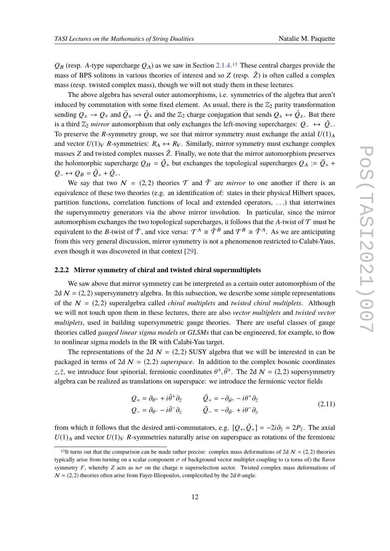$Q_B$  (resp. A-type supercharge  $Q_A$ ) as we saw in Section [2.1.4.](#page-8-2)<sup>[13](#page-11-0)</sup> These central charges provide the mass of BPS solitons in various theories of interest and so  $Z$  (resp.  $\tilde{Z}$ ) is often called a complex mass (resp. twisted complex mass), though we will not study them in these lectures.

The above algebra has several outer automorphisms, i.e. symmetries of the algebra that aren't induced by commutation with some fixed element. As usual, there is the  $\mathbb{Z}_2$  parity transformation sending  $Q_{\pm} \to Q_{\mp}$  and  $\bar{Q}_{\pm} \to \bar{Q}_{\mp}$  and the  $\mathbb{Z}_2$  charge conjugation that sends  $Q_{\pm} \leftrightarrow \bar{Q}_{\pm}$ . But there is a third  $\mathbb{Z}_2$  *mirror* automorphism that only exchanges the left-moving supercharges:  $Q_-\leftrightarrow \bar{Q}_-$ . To preserve the *R*-symmetry group, we see that mirror symmetry must exchange the axial  $U(1)_A$ and vector  $U(1)_V$  *R*-symmetries:  $R_A \leftrightarrow R_V$ . Similarly, mirror symmetry must exchange complex masses  $Z$  and twisted complex masses  $\tilde{Z}$ . Finally, we note that the mirror automorphism preserves the holomorphic supercharge  $Q_H = \overline{Q}_+$  but exchanges the topological supercharges  $Q_A := \overline{Q}_+$  +  $Q_-\leftrightarrow Q_B=\bar{Q}_++\bar{Q}_-.$ 

We say that two  $N = (2, 2)$  theories  $\mathcal T$  and  $\tilde T$  are *mirror* to one another if there is an equivalence of these two theories (e.g. an identification of: states in their physical Hilbert spaces, partition functions, correlation functions of local and extended operators, . . .) that intertwines the supersymmetry generators via the above mirror involution. In particular, since the mirror automorphism exchanges the two topological supercharges, it follows that the *A*-twist of  $T$  must be equivalent to the *B*-twist of  $\tilde{\mathcal{T}}$ , and vice versa:  $\mathcal{T}^A \cong \tilde{\mathcal{T}}^B$  and  $\mathcal{T}^B \cong \tilde{\mathcal{T}}^A$ . As we are anticipating from this very general discussion, mirror symmetry is not a phenomenon restricted to Calabi-Yaus, even though it was discovered in that context [\[29\]](#page-77-1).

#### <span id="page-11-1"></span>**2.2.2 Mirror symmetry of chiral and twisted chiral supermultiplets**

We saw above that mirror symmetry can be interpreted as a certain outer automorphism of the 2d  $\mathcal{N} = (2, 2)$  supersymmetry algebra. In this subsection, we describe some simple representations of the  $N = (2, 2)$  superalgebra called *chiral multiplets* and *twisted chiral multiplets*. Although we will not touch upon them in these lectures, there are also *vector multiplets* and *twisted vector multiplets*, used in building supersymmetric gauge theories. There are useful classes of gauge theories called *gauged linear sigma models* or *GLSMs* that can be engineered, for example, to flow to nonlinear sigma models in the IR with Calabi-Yau target.

The representations of the 2d  $\mathcal{N} = (2, 2)$  SUSY algebra that we will be interested in can be packaged in terms of 2d  $N = (2, 2)$  *superspace*. In addition to the complex bosonic coordinates z,  $\bar{z}$ , we introduce four spinorial, fermionic coordinates  $\theta^{\pm}$ ,  $\bar{\theta}^{\pm}$ . The 2d  $\mathcal{N} = (2, 2)$  supersymmetry algebra can be realized as translations on superspace: we introduce the fermionic vector fields

$$
Q_{+} = \partial_{\theta^{+}} + i\bar{\theta}^{+}\partial_{\bar{z}} \qquad \qquad \bar{Q}_{+} = -\partial_{\bar{\theta}^{+}} - i\theta^{+}\partial_{\bar{z}} Q_{-} = \partial_{\theta^{-}} - i\bar{\theta}^{-}\partial_{z} \qquad \qquad \bar{Q}_{-} = -\partial_{\bar{\theta}^{-}} + i\theta^{-}\partial_{z}
$$
 (2.11)

from which it follows that the desired anti-commutators, e.g.  $[Q_+, \bar{Q}_+] = -2i\partial_{\bar{z}} = 2P_{\bar{z}}$ . The axial  $U(1)_A$  and vector  $U(1)_V$  *R*-symmetries naturally arise on superspace as rotations of the fermionic

<span id="page-11-0"></span><sup>&</sup>lt;sup>13</sup>It turns out that the comparison can be made rather precise: complex mass deformations of 2d  $\mathcal{N} = (2, 2)$  theories typically arise from turning on a scalar component  $\sigma$  of background vector multiplet coupling to (a torus of) the flavor symmetry  $F$ , whereby  $Z$  acts as  $n\sigma$  on the charge  $n$  superselection sector. Twisted complex mass deformations of  $N = (2, 2)$  theories often arise from Fayet-Illiopoulos, complexified by the 2d  $\theta$ -angle.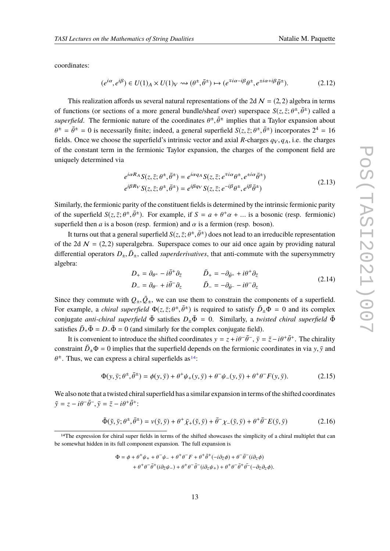coordinates:

$$
(e^{i\alpha}, e^{i\beta}) \in U(1)_A \times U(1)_V \rightsquigarrow (\theta^{\pm}, \bar{\theta}^{\pm}) \mapsto (e^{\mp i\alpha - i\beta}\theta^{\pm}, e^{\pm i\alpha + i\beta}\bar{\theta}^{\pm}).
$$
\n(2.12)

This realization affords us several natural representations of the 2d  $\mathcal{N} = (2, 2)$  algebra in terms of functions (or sections of a more general bundle/sheaf over) superspace  $S(z, \bar{z}; \theta^{\pm}, \bar{\theta}^{\pm})$  called a *superfield*. The fermionic nature of the coordinates  $\theta^{\pm}, \bar{\theta}^{\pm}$  implies that a Taylor expansion about  $\theta^{\pm} = \bar{\theta}^{\pm} = 0$  is necessarily finite; indeed, a general superfield  $S(z, \bar{z}; \theta^{\pm}, \bar{\theta}^{\pm})$  incorporates  $2^4 = 16$ fields. Once we choose the superfield's intrinsic vector and axial *R*-charges  $q_V, q_A$ , i.e. the charges of the constant term in the fermionic Taylor expansion, the charges of the component field are uniquely determined via

$$
e^{i\alpha R_A} S(z,\bar{z};\theta^{\pm},\bar{\theta}^{\pm}) = e^{i\alpha q_A} S(z,\bar{z};e^{\mp i\alpha}\theta^{\pm},e^{\pm i\alpha}\bar{\theta}^{\pm})
$$
  
\n
$$
e^{i\beta R_V} S(z,\bar{z};\theta^{\pm},\bar{\theta}^{\pm}) = e^{i\beta q_V} S(z,\bar{z};e^{-i\beta}\theta^{\pm},e^{i\beta}\bar{\theta}^{\pm})
$$
\n(2.13)

Similarly, the fermionic parity of the constituent fields is determined by the intrinsic fermionic parity of the superfield  $S(z, \bar{z}; \theta^{\pm}, \bar{\theta}^{\pm})$ . For example, if  $S = a + \theta^+ \alpha + ...$  is a bosonic (resp. fermionic) superfield then *a* is a boson (resp. fermion) and  $\alpha$  is a fermion (resp. boson).

It turns out that a general superfield  $S(z, \bar{z}; \theta^{\pm}, \bar{\theta}^{\pm})$  does not lead to an irreducible representation of the 2d  $\mathcal{N} = (2, 2)$  superalgebra. Superspace comes to our aid once again by providing natural differential operators  $D_{\pm}$ ,  $\bar{D}_{\pm}$ , called *superderivatives*, that anti-commute with the supersymmetry algebra:

$$
D_{+} = \partial_{\theta^{+}} - i\bar{\theta}^{+}\partial_{\bar{z}} \qquad \qquad \bar{D}_{+} = -\partial_{\bar{\theta}^{+}} + i\theta^{+}\partial_{\bar{z}} \nD_{-} = \partial_{\theta^{-}} + i\bar{\theta}^{-}\partial_{z} \qquad \qquad \bar{D}_{-} = -\partial_{\bar{\theta}^{-}} - i\theta^{-}\partial_{z}
$$
\n(2.14)

Since they commute with  $Q_{\pm}, \bar{Q}_{\pm}$ , we can use them to constrain the components of a superfield. For example, a *chiral superfield*  $\Phi(z, \bar{z}; \theta^{\pm}, \bar{\theta}^{\pm})$  is required to satisfy  $\bar{D}_{\pm} \Phi = 0$  and its complex conjugate *anti-chiral superfield*  $\bar{\Phi}$  satisfies  $D_{+}\bar{\Phi} = 0$ . Similarly, a *twisted chiral superfield*  $\tilde{\Phi}$ satisfies  $\bar{D}_+\tilde{\Phi} = D_-\tilde{\Phi} = 0$  (and similarly for the complex conjugate field).

It is convenient to introduce the shifted coordinates  $y = z + i\theta^{-} \bar{\theta}^{-}$ ,  $\bar{y} = \bar{z} - i\theta^{+} \bar{\theta}^{+}$ . The chirality constraint  $\bar{D}_{\pm}\Phi = 0$  implies that the superfield depends on the fermionic coordinates in via y,  $\bar{y}$  and  $\theta^{\pm}$ . Thus, we can express a chiral superfields as <sup>[14](#page-12-0)</sup>:

$$
\Phi(y,\bar{y};\theta^{\pm},\bar{\theta}^{\pm}) = \phi(y,\bar{y}) + \theta^+\psi_+(y,\bar{y}) + \theta^-\psi_-(y,\bar{y}) + \theta^+\theta^-\dot{F}(y,\bar{y}).\tag{2.15}
$$

We also note that a twisted chiral superfield has a similar expansion in terms of the shifted coordinates  $\tilde{y} = z - i\theta^{-} \bar{\theta}^{-}, \bar{y} = \bar{z} - i\theta^{+} \bar{\theta}^{+}$ 

$$
\tilde{\Phi}(\tilde{y}, \bar{y}; \theta^{\pm}, \bar{\theta}^{\pm}) = \nu(\tilde{y}, \bar{y}) + \theta^+ \bar{\chi}_+(\tilde{y}, \bar{y}) + \bar{\theta}^- \chi_-(\tilde{y}, \bar{y}) + \theta^+ \bar{\theta}^- E(\tilde{y}, \bar{y})
$$
(2.16)

$$
\Phi = \phi + \theta^+ \psi_+ + \theta^- \psi_- + \theta^+ \theta^- F + \theta^+ \bar{\theta}^+ (-i\partial_{\bar{z}} \phi) + \theta^- \bar{\theta}^- (i\partial_z \phi) + \theta^+ \theta^- \bar{\theta}^+ (i\partial_{\bar{z}} \psi_-) + \theta^+ \theta^- \bar{\theta}^- (i\partial_{z} \psi_+) + \theta^+ \theta^- \bar{\theta}^+ \bar{\theta}^- (-\partial_{\bar{z}} \partial_{z} \phi).
$$

<span id="page-12-0"></span><sup>&</sup>lt;sup>14</sup>The expression for chiral super fields in terms of the shifted showcases the simplicity of a chiral multiplet that can be somewhat hidden in its full component expansion. The full expansion is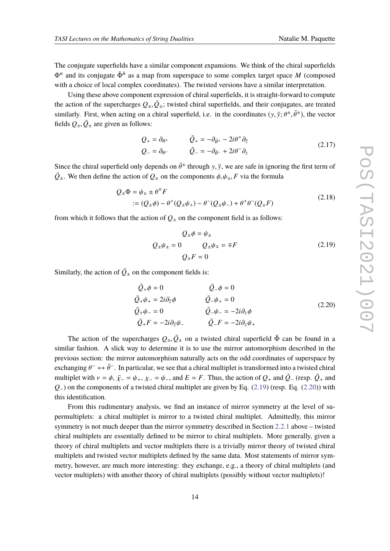The conjugate superfields have a similar component expansions. We think of the chiral superfields  $\Phi^n$  and its conjugate  $\bar{\Phi}^{\bar{n}}$  as a map from superspace to some complex target space *M* (composed with a choice of local complex coordinates). The twisted versions have a similar interpretation.

Using these above component expression of chiral superfields, it is straight-forward to compute the action of the supercharges  $Q_{\pm}, \bar{Q}_{\pm}$ ; twisted chiral superfields, and their conjugates, are treated similarly. First, when acting on a chiral superfield, i.e. in the coordinates  $(y, \bar{y}; \theta^{\pm}, \bar{\theta}^{\pm})$ , the vector fields  $Q_{\pm}, \bar{Q}_{\pm}$  are given as follows:

$$
Q_{+} = \partial_{\theta^{+}} \qquad \qquad \bar{Q}_{+} = -\partial_{\bar{\theta}^{+}} - 2i\theta^{+} \partial_{\bar{z}}
$$
  
\n
$$
Q_{-} = \partial_{\theta^{-}} \qquad \qquad \bar{Q}_{-} = -\partial_{\bar{\theta}^{-}} + 2i\theta^{-} \partial_{z}
$$
\n(2.17)

Since the chiral superfield only depends on  $\bar{\theta}^{\pm}$  through y, y, we are safe in ignoring the first term of  $\overline{Q}_{\pm}$ . We then define the action of  $Q_{\pm}$  on the components  $\phi$ ,  $\psi_{\pm}$ , *F* via the formula

$$
Q_{\pm}\Phi = \psi_{\pm} \pm \theta^{\mp} F
$$
  
 :=  $(Q_{\pm}\phi) - \theta^+(Q_{\pm}\psi_+) - \theta^-(Q_{\pm}\psi_-) + \theta^+\theta^-(Q_{\pm}F)$  (2.18)

from which it follows that the action of  $Q_{\pm}$  on the component field is as follows:

<span id="page-13-0"></span>
$$
Q_{\pm}\phi = \psi_{\pm}
$$
  

$$
Q_{\pm}\psi_{\pm} = 0 \qquad Q_{\pm}\psi_{\mp} = \mp F
$$
  

$$
Q_{\pm}F = 0
$$
 (2.19)

Similarly, the action of  $\overline{Q}_\pm$  on the component fields is:

<span id="page-13-1"></span>
$$
\begin{aligned}\n\bar{Q}_{+}\phi &= 0 & \quad \bar{Q}_{-}\phi &= 0 \\
\bar{Q}_{+}\psi_{+} &= 2i\partial_{\bar{z}}\phi & \quad \bar{Q}_{-}\psi_{+} &= 0 \\
\bar{Q}_{+}\psi_{-} &= 0 & \quad \bar{Q}_{-}\psi_{-} &= -2i\partial_{z}\phi \\
\bar{Q}_{+}F &= -2i\partial_{\bar{z}}\psi_{-} & \quad \bar{Q}_{-}F &= -2i\partial_{z}\psi_{+} \\
\end{aligned} \tag{2.20}
$$

The action of the supercharges  $Q_{\pm}, \bar{Q}_{\pm}$  on a twisted chiral superfield  $\tilde{\Phi}$  can be found in a similar fashion. A slick way to determine it is to use the mirror automorphism described in the previous section: the mirror automorphism naturally acts on the odd coordinates of superspace by exchanging  $\theta^- \leftrightarrow \bar{\theta}^-$ . In particular, we see that a chiral multiplet is transformed into a twisted chiral multiplet with  $v = \phi$ ,  $\bar{\chi}$ <sub>−</sub> =  $\psi$ <sub>+</sub>,  $\chi$ <sub>−</sub> =  $\psi$ <sub>−</sub>, and  $E = F$ . Thus, the action of  $Q$ <sub>+</sub> and  $\bar{Q}$ <sub>−</sub> (resp.  $\bar{Q}$ <sub>+</sub> and *Q*−) on the components of a twisted chiral multiplet are given by Eq. [\(2.19\)](#page-13-0) (resp. Eq. [\(2.20\)](#page-13-1)) with this identification.

From this rudimentary analysis, we find an instance of mirror symmetry at the level of supermultiplets: a chiral multiplet is mirror to a twisted chiral multiplet. Admittedly, this mirror symmetry is not much deeper than the mirror symmetry described in Section [2.2.1](#page-10-0) above – twisted chiral multiplets are essentially defined to be mirror to chiral multiplets. More generally, given a theory of chiral multiplets and vector multiplets there is a trivially mirror theory of twisted chiral multiplets and twisted vector multiplets defined by the same data. Most statements of mirror symmetry, however, are much more interesting: they exchange, e.g., a theory of chiral multiplets (and vector multiplets) with another theory of chiral multiplets (possibly without vector multiplets)!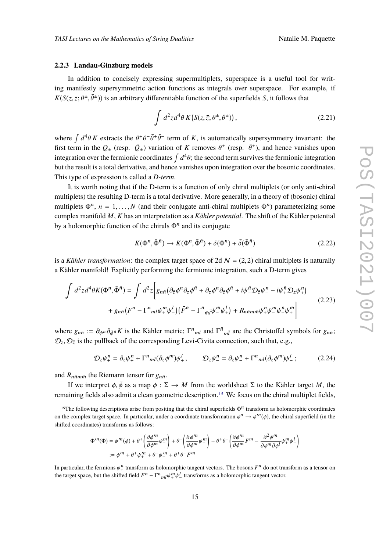#### **2.2.3 Landau-Ginzburg models**

In addition to concisely expressing supermultiplets, superspace is a useful tool for writing manifestly supersymmetric action functions as integrals over superspace. For example, if  $K(S(z, \bar{z}; \theta^{\pm}, \bar{\theta}^{\pm}))$  is an arbitrary differentiable function of the superfields *S*, it follows that

$$
\int d^2z d^4\theta K(S(z,\bar{z};\theta^{\pm},\bar{\theta}^{\pm}))\,,\tag{2.21}
$$

where  $\int d^4\theta K$  extracts the  $\theta^+ \theta^- \bar{\theta}^+ \bar{\theta}^-$  term of K, is automatically supersymmetry invariant: the first term in the  $Q_{\pm}$  (resp.  $\bar{Q}_{\pm}$ ) variation of *K* removes  $\theta^{\pm}$  (resp.  $\bar{\theta}^{\pm}$ ), and hence vanishes upon integration over the fermionic coordinates  $\int d^4\theta$ ; the second term survives the fermionic integration but the result is a total derivative, and hence vanishes upon integration over the bosonic coordinates. This type of expression is called a *D-term*.

It is worth noting that if the D-term is a function of only chiral multiplets (or only anti-chiral multiplets) the resulting D-term is a total derivative. More generally, in a theory of (bosonic) chiral multiplets  $\Phi^n$ ,  $n = 1,...,N$  (and their conjugate anti-chiral multiplets  $\bar{\Phi}^{\bar{n}}$ ) parameterizing some complex manifold *M*, *K* has an interpretation as a *Kähler potential*. The shift of the Kähler potential by a holomorphic function of the chirals  $\Phi^n$  and its conjugate

$$
K(\Phi^n, \bar{\Phi}^{\bar{n}}) \to K(\Phi^n, \bar{\Phi}^{\bar{n}}) + \delta(\Phi^n) + \bar{\delta}(\bar{\Phi}^{\bar{n}})
$$
\n(2.22)

is a *Kähler transformation*: the complex target space of 2d  $N = (2, 2)$  chiral multiplets is naturally a Kähler manifold! Explicitly performing the fermionic integration, such a D-term gives

$$
\int d^2z d^4\theta K(\Phi^n, \bar{\Phi}^{\bar{n}}) = \int d^2z \left[ g_{n\bar{n}} \left( \partial_{\bar{z}} \phi^n \partial_z \bar{\phi}^{\bar{n}} + \partial_z \phi^n \partial_{\bar{z}} \bar{\phi}^{\bar{n}} + i \bar{\psi}^{\bar{n}} \mathcal{D}_{\bar{z}} \psi^n_{-} - i \bar{\psi}^{\bar{n}} \mathcal{D}_{z} \psi^n_{+} \right) \right. \\
\left. + g_{n\bar{n}} \left( F^n - \Gamma^n_{ml} \psi^m_+ \psi^l_{-} \right) \left( \bar{F}^{\bar{n}} - \Gamma^{\bar{n}}_{\bar{m}\bar{l}} \bar{\psi}^{\bar{m}}_- \bar{\psi}^{\bar{l}}_+ \right) + R_{n\bar{n}mn\bar{m}} \psi^n_+ \psi^m_- \bar{\psi}^{\bar{n}}_+ \bar{\psi}^{\bar{m}}_+ \right] \tag{2.23}
$$

where  $g_{n\bar{n}} := \partial_{\phi^n} \partial_{\bar{\phi}^n} K$  is the Kähler metric;  $\Gamma^n_{ml}$  and  $\Gamma^{\bar{n}}_{\bar{m}\bar{l}}$  are the Christoffel symbols for  $g_{n\bar{n}}$ ;  $\mathcal{D}_z$ ,  $\mathcal{D}_{\bar{z}}$  is the pullback of the corresponding Levi-Civita connection, such that, e.g.,

$$
\mathcal{D}_z \psi_+^n = \partial_z \psi_+^n + \Gamma^n_{ml} (\partial_z \phi^m) \psi_+^l, \qquad \mathcal{D}_{\bar{z}} \psi_-^n = \partial_{\bar{z}} \psi_-^n + \Gamma^n_{ml} (\partial_{\bar{z}} \phi^m) \psi_-^l; \tag{2.24}
$$

and  $R_{n\bar{n}m\bar{m}}$  the Riemann tensor for  $g_{n\bar{n}}$ .

If we interpret  $\phi$ ,  $\bar{\phi}$  as a map  $\phi : \Sigma \to M$  from the worldsheet  $\Sigma$  to the Kähler target *M*, the remaining fields also admit a clean geometric description.[15](#page-14-0) We focus on the chiral multiplet fields,

$$
\Phi^{\prime m}(\Phi) = \phi^{\prime m}(\phi) + \theta^+ \left( \frac{\partial \phi^{\prime m}}{\partial \phi^m} \psi^m_+ \right) + \theta^- \left( \frac{\partial \phi^{\prime m}}{\partial \phi^m} \psi^m_- \right) + \theta^+ \theta^- \left( \frac{\partial \phi^{\prime m}}{\partial \phi^m} F^m - \frac{\partial^2 \phi^{\prime m}}{\partial \phi^m \partial \phi^l} \psi^m_+ \psi^l_- \right)
$$
  
 :=  $\phi^{\prime m} + \theta^+ \psi^{\prime m}_+ + \theta^- \psi^{\prime m}_- + \theta^+ \theta^- F^{\prime m}_-$ 

In particular, the fermions  $\psi^n_+$  transform as holomorphic tangent vectors. The bosons  $F^n$  do not transform as a tensor on  $\lim_{n \to \infty}$  the target space, but the shifted field  $F^n - \Gamma^n_{ml} \psi_+^m \psi_-^l$  transforms as a holomorphic tangent vector.

<span id="page-14-0"></span><sup>&</sup>lt;sup>15</sup>The following descriptions arise from positing that the chiral superfields  $\Phi^n$  transform as holomorphic coordinates on the complex target space. In particular, under a coordinate transformation  $\phi^n \to \phi^m(\phi)$ , the chiral superfield (in the shifted coordinates) transforms as follows: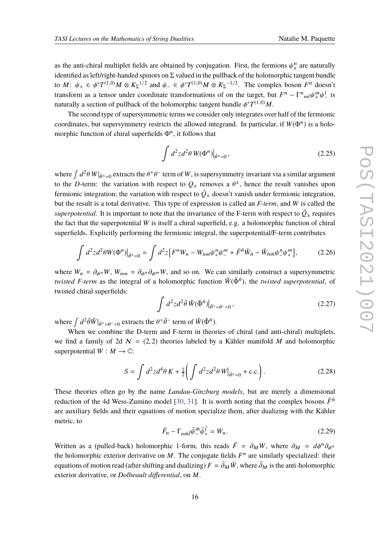as the anti-chiral multiplet fields are obtained by conjugation. First, the fermions  $\psi_{+}^{n}$  $\frac{n}{\pm}$  are naturally identified as left/right-handed spinors on  $\Sigma$  valued in the pullback of the holomorphic tangent bundle to  $M: \psi_+ \in \phi^*T^{(1,0)}M \otimes K_{\Sigma}^{1/2}$  and  $\psi_- \in \phi^*T^{(1,0)}M \otimes K_{\Sigma}^{-1/2}$ . The complex boson  $F^n$  doesn't transform as a tensor under coordinate transformations of on the target, but  $F^n - \Gamma^n_{ml} \psi^m_+ \psi^l_ \frac{l}{i}$  is naturally a section of pullback of the holomorphic tangent bundle  $\phi^*T^{(1,0)}M$ .

The second type of supersymmetric terms we consider only integrates over half of the fermionic coordinates, but supersymmetry restricts the allowed integrand. In particular, if  $W(\Phi^n)$  is a holomorphic function of chiral superfields  $\Phi^n$ , it follows that

$$
\int d^2z d^2\theta \, W(\Phi^n)|_{\bar{\theta}^{\pm}=0},\tag{2.25}
$$

where  $\int d^2\theta \, W|_{\bar{\theta}^{\pm}=0}$  extracts the  $\theta^+\theta^-$  term of *W*, is supersymmetry invariant via a similar argument to the *D*-term: the variation with respect to  $Q_{\pm}$  removes a  $\theta^{\pm}$ , hence the result vanishes upon fermionic integration; the variation with respect to  $\bar{Q}_\pm$  doesn't vanish under fermionic integration, but the result is a total derivative. This type of expression is called an *F-term*, and *W* is called the superpotential. It is important to note that the invariance of the F-term with respect to  $\bar{Q}_\pm$  requires the fact that the superpotential *W* is itself a chiral superfield, e.g. a holomorphic function of chiral superfields. Explicitly performing the fermionic integral, the superpotential/F-term contributes

$$
\int d^2z d^2\theta W(\Phi^n)|_{\bar{\theta}^{\pm}=0} = \int d^2z \left[ F^n W_n - W_{nm} \psi_+^n \psi_-^m + \bar{F}^{\bar{n}} \bar{W}_{\bar{n}} - \bar{W}_{\bar{n}\bar{m}} \psi_-^n \psi_+^m \right],
$$
 (2.26)

where  $W_n = \partial_{\phi^n} W$ ,  $W_{nm} = \partial_{\phi^n} \partial_{\phi^m} W$ , and so on. We can similarly construct a supersymmetric *twisted F-term* as the integral of a holomorphic function  $\tilde{W}(\tilde{\Phi}^{\tilde{n}})$ , the *twisted superpotential*, of twisted chiral superfields:

$$
\int d^2z d^2\tilde{\theta}\,\tilde{W}(\tilde{\Phi}^{\tilde{n}})|_{\tilde{\theta}^+=\theta^-=0},\tag{2.27}
$$

where  $\int d^2\tilde{\theta}\tilde{W}|_{\bar{\theta}^+=\theta^-=0}$  extracts the  $\theta^+\bar{\theta}^-$  term of  $\tilde{W}(\tilde{\Phi}^{\tilde{n}})$ .

When we combine the D-term and F-term in theories of chiral (and anti-chiral) multiplets, we find a family of 2d  $\mathcal{N} = (2, 2)$  theories labeled by a Kähler manifold M and holomorphic superpotential  $W : M \to \mathbb{C}$ :

$$
S = \int d^2 z d^4 \theta K + \frac{1}{2} \left( \int d^2 z d^2 \theta W \Big|_{\bar{\theta}^{\pm} = 0} + \text{c.c.} \right). \tag{2.28}
$$

These theories often go by the name *Landau-Ginzburg models*, but are merely a dimensional reduction of the 4d Wess-Zumino model [\[30,](#page-77-2) [31\]](#page-77-3). It is worth noting that the complex bosons  $\bar{F}^{\bar{n}}$ are auxiliary fields and their equations of motion specialize them, after dualizing with the Kähler metric, to

$$
\bar{F}_n - \Gamma_{n\bar{m}\bar{l}} \bar{\psi}_-^{\bar{m}} \bar{\psi}_+^{\bar{l}} = W_n.
$$
 (2.29)

Written as a (pulled-back) holomorphic 1-form, this reads  $\bar{F} = \partial_M W$ , where  $\partial_M = d\phi^n \partial_{\phi^n}$ the holomorphic exterior derivative on  $M$ . The conjugate fields  $F<sup>n</sup>$  are similarly specialized: their equations of motion read (after shifting and dualizing)  $F = \bar{\partial}_M \bar{W}$ , where  $\bar{\partial}_M$  is the anti-holomorphic exterior derivative, or *Dolbeault differential*, on *M*.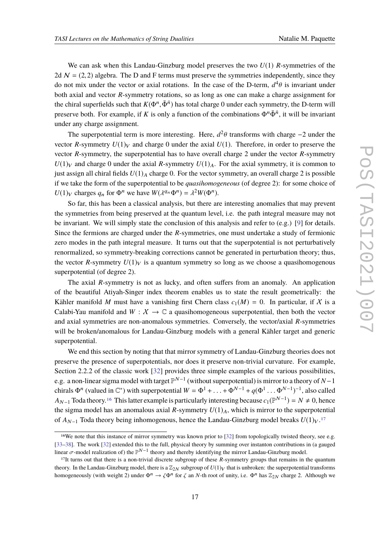We can ask when this Landau-Ginzburg model preserves the two *U*(1) *R*-symmetries of the 2d  $\mathcal{N} = (2, 2)$  algebra. The D and F terms must preserve the symmetries independently, since they do not mix under the vector or axial rotations. In the case of the D-term,  $d^4\theta$  is invariant under both axial and vector *R*-symmetry rotations, so as long as one can make a charge assignment for the chiral superfields such that  $K(\Phi^n, \bar{\Phi}^{\bar{n}})$  has total charge 0 under each symmetry, the D-term will preserve both. For example, if *K* is only a function of the combinations  $\Phi^n \bar{\Phi}^{\bar{n}}$ , it will be invariant under any charge assignment.

The superpotential term is more interesting. Here,  $d^2\theta$  transforms with charge  $-2$  under the vector *R*-symmetry  $U(1)_V$  and charge 0 under the axial  $U(1)$ . Therefore, in order to preserve the vector *R*-symmetry, the superpotential has to have overall charge 2 under the vector *R*-symmetry  $U(1)<sub>V</sub>$  and charge 0 under the axial *R*-symmetry  $U(1)<sub>A</sub>$ . For the axial symmetry, it is common to just assign all chiral fields  $U(1)_A$  charge 0. For the vector symmetry, an overall charge 2 is possible if we take the form of the superpotential to be *quasihomogeneous* (of degree 2): for some choice of  $U(1)_V$  charges  $q_n$  for  $\Phi^n$  we have  $W(\lambda^{q_n}\Phi^n) = \lambda^2 W(\Phi^n)$ .

So far, this has been a classical analysis, but there are interesting anomalies that may prevent the symmetries from being preserved at the quantum level, i.e. the path integral measure may not be invariant. We will simply state the conclusion of this analysis and refer to  $(e.g.)$  [\[9\]](#page-75-7) for details. Since the fermions are charged under the *R*-symmetries, one must undertake a study of fermionic zero modes in the path integral measure. It turns out that the superpotential is not perturbatively renormalized, so symmetry-breaking corrections cannot be generated in perturbation theory; thus, the vector *R*-symmetry  $U(1)_V$  is a quantum symmetry so long as we choose a quasihomogenous superpotential (of degree 2).

The axial *R*-symmetry is not as lucky, and often suffers from an anomaly. An application of the beautiful Atiyah-Singer index theorem enables us to state the result geometrically: the Kähler manifold *M* must have a vanishing first Chern class  $c_1(M) = 0$ . In particular, if X is a Calabi-Yau manifold and  $W: X \to \mathbb{C}$  a quasihomogeneous superpotential, then both the vector and axial symmetries are non-anomalous symmetries. Conversely, the vector/axial *R*-symmetries will be broken/anomalous for Landau-Ginzburg models with a general Kähler target and generic superpotential.

We end this section by noting that that mirror symmetry of Landau-Ginzburg theories does not preserve the presence of superpotentials, nor does it preserve non-trivial curvature. For example, Section 2.2.2 of the classic work [\[32\]](#page-77-4) provides three simple examples of the various possibilities, e.g. a non-linear sigma model with target P N−1 (without superpotential) is mirror to a theory of *N*−1 chirals  $\Phi^n$  (valued in  $\mathbb{C}^*$ ) with superpotential  $W = \Phi^1 + \ldots + \Phi^{N-1} + q(\Phi^1 \ldots \Phi^{N-1})^{-1}$ , also called *A*<sub>N−1</sub> Toda theory.<sup>[16](#page-16-0)</sup> This latter example is particularly interesting because  $c_1(\mathbb{P}^{N-1}) = N \neq 0$ , hence the sigma model has an anomalous axial  $R$ -symmetry  $U(1)_A$ , which is mirror to the superpotential of *A<sub>N−1</sub>* Toda theory being inhomogenous, hence the Landau-Ginzburg model breaks  $U(1)<sub>V</sub>$ .<sup>[17](#page-16-1)</sup>

<span id="page-16-0"></span><sup>16</sup>We note that this instance of mirror symmetry was known prior to [\[32\]](#page-77-4) from topologically twisted theory, see e.g. [\[33](#page-77-5)[–38\]](#page-77-6). The work [\[32\]](#page-77-4) extended this to the full, physical theory by summing over instanton contributions in (a gauged linear  $\sigma$ -model realization of) the  $\mathbb{P}^{N-1}$  theory and thereby identifying the mirror Landau-Ginzburg model.

<span id="page-16-1"></span><sup>17</sup>It turns out that there is a non-trivial discrete subgroup of these *R*-symmetry groups that remains in the quantum theory. In the Landau-Ginzburg model, there is a  $\mathbb{Z}_{2N}$  subgroup of  $U(1)_V$  that is unbroken: the superpotential transforms homogeneously (with weight 2) under  $\Phi^n \to \zeta \Phi^n$  for  $\zeta$  an *N*-th root of unity, i.e.  $\Phi^n$  has  $\mathbb{Z}_{2N}$  charge 2. Although we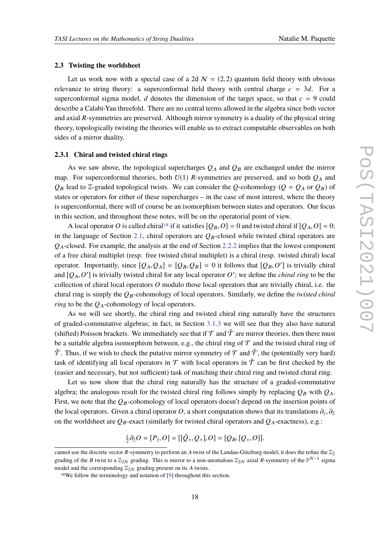#### <span id="page-17-0"></span>**2.3 Twisting the worldsheet**

Let us work now with a special case of a 2d  $N = (2, 2)$  quantum field theory with obvious relevance to string theory: a superconformal field theory with central charge  $c = 3d$ . For a superconformal sigma model, *d* denotes the dimension of the target space, so that  $c = 9$  could describe a Calabi-Yau threefold. There are no central terms allowed in the algebra since both vector and axial *R*-symmetries are preserved. Although mirror symmetry is a duality of the physical string theory, topologically twisting the theories will enable us to extract computable observables on both sides of a mirror duality.

#### **2.3.1 Chiral and twisted chiral rings**

As we saw above, the topological supercharges  $Q_A$  and  $Q_B$  are exchanged under the mirror map. For superconformal theories, both  $U(1)$  *R*-symmetries are preserved, and so both  $Q_A$  and  $Q_B$  lead to Z-graded topological twists. We can consider the *Q*-cohomology ( $Q = Q_A$  or  $Q_B$ ) of states or operators for either of these supercharges – in the case of most interest, where the theory is superconformal, there will of course be an isomorphism between states and operators. Our focus in this section, and throughout these notes, will be on the operatorial point of view.

A local operator O is called chiral<sup>[18](#page-17-1)</sup> if it satisfies  $[Q_B, O] = 0$  and twisted chiral if  $[Q_A, O] = 0$ ; in the language of Section [2.1,](#page-3-1) chiral operators are  $Q_B$ -closed while twisted chiral operators are *Q*A-closed. For example, the analysis at the end of Section [2.2.2](#page-11-1) implies that the lowest component of a free chiral multiplet (resp. free twisted chiral multiplet) is a chiral (resp. twisted chiral) local operator. Importantly, since  $[Q_A, Q_A] = [Q_B, Q_B] = 0$  it follows that  $[Q_B, O']$  is trivially chiral and  $[Q_A, O']$  is trivially twisted chiral for any local operator  $O'$ ; we define the *chiral ring* to be the collection of chiral local operators *O* modulo those local operators that are trivially chiral, i.e. the chiral ring is simply the *Q*B-cohomology of local operators. Similarly, we define the *twisted chiral ring* to be the  $Q_A$ -cohomology of local operators.

As we will see shortly, the chiral ring and twisted chiral ring naturally have the structures of graded-commutative algebras; in fact, in Section [3.1.3](#page-36-0) we will see that they also have natural (shifted) Poisson brackets. We immediately see that if  $\mathcal T$  and  $\tilde T$  are mirror theories, then there must be a suitable algebra isomorphism between, e.g., the chiral ring of  $\mathcal T$  and the twisted chiral ring of  $\tilde{\mathcal{T}}$ . Thus, if we wish to check the putative mirror symmetry of  $\mathcal{T}$  and  $\tilde{\mathcal{T}}$ , the (potentially very hard) task of identifying all local operators in  $\mathcal T$  with local operators in  $\tilde{\mathcal T}$  can be first checked by the (easier and necessary, but not sufficient) task of matching their chiral ring and twisted chiral ring.

Let us now show that the chiral ring naturally has the structure of a graded-commutative algebra; the analogous result for the twisted chiral ring follows simply by replacing  $Q_B$  with  $Q_A$ . First, we note that the  $Q_B$ -cohomology of local operators doesn't depend on the insertion points of the local operators. Given a chiral operator *O*, a short computation shows that its translations  $\partial_z$ ,  $\partial_{\bar{z}}$ on the worldsheet are  $Q_B$ -exact (similarly for twisted chiral operators and  $Q_A$ -exactness), e.g.:

$$
\frac{i}{2}\partial_{\bar{z}}O = [P_{\bar{z}}, O] = [[\bar{Q}_+, Q_+], O] = [Q_B, [Q_+, O]].
$$

cannot use the discrete vector *R*-symmetry to perform an *A* twist of the Landau-Ginzburg model, it does the refine the  $\mathbb{Z}_2$ grading of the *B* twist to a  $\mathbb{Z}_{2N}$  grading. This is mirror to a non-anomalous  $\mathbb{Z}_{2N}$  axial *R*-symmetry of the  $\mathbb{P}^{N-1}$  sigma model and the corresponding  $\mathbb{Z}_{2N}$  grading present on its *A* twists.

<span id="page-17-1"></span><sup>18</sup>We follow the terminology and notation of [\[9\]](#page-75-7) throughout this section.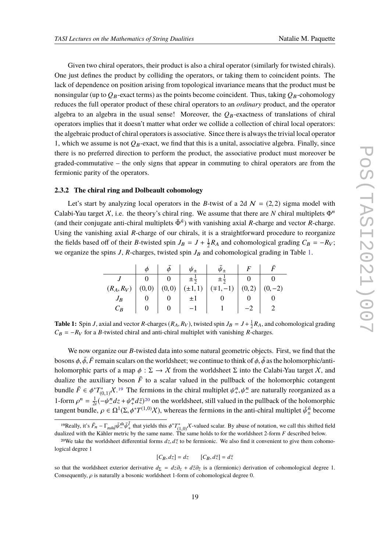Given two chiral operators, their product is also a chiral operator (similarly for twisted chirals). One just defines the product by colliding the operators, or taking them to coincident points. The lack of dependence on position arising from topological invariance means that the product must be nonsingular (up to  $Q_B$ -exact terms) as the points become coincident. Thus, taking  $Q_B$ -cohomology reduces the full operator product of these chiral operators to an *ordinary* product, and the operator algebra to an algebra in the usual sense! Moreover, the  $Q_B$ -exactness of translations of chiral operators implies that it doesn't matter what order we collide a collection of chiral local operators: the algebraic product of chiral operators is associative. Since there is always the trivial local operator 1, which we assume is not  $Q_B$ -exact, we find that this is a unital, associative algebra. Finally, since there is no preferred direction to perform the product, the associative product must moreover be graded-commutative – the only signs that appear in commuting to chiral operators are from the fermionic parity of the operators.

#### <span id="page-18-3"></span>**2.3.2 The chiral ring and Dolbeault cohomology**

Let's start by analyzing local operators in the *B*-twist of a 2d  $N = (2, 2)$  sigma model with Calabi-Yau target X, i.e. the theory's chiral ring. We assume that there are *N* chiral multiplets  $\Phi^n$ (and their conjugate anti-chiral multiplets  $\bar{\Phi}^{\bar{n}}$ ) with vanishing axial *R*-charge and vector *R*-charge. Using the vanishing axial *R*-charge of our chirals, it is a straightforward procedure to reorganize the fields based off of their *B*-twisted spin  $J_B = J + \frac{1}{2}$  $\frac{1}{2}R_A$  and cohomological grading  $C_B = -R_V$ ; we organize the spins  $J$ ,  $R$ -charges, twisted spin  $J_B$  and cohomological grading in Table [1.](#page-18-0)

<span id="page-18-0"></span>

|       |                |                                   | $\phi$ $\phi$ $\phi$ $\psi$ $\psi$ |                                                                                                                                                                            | $\bar{\psi}_+$   $F$   $\bar{F}$ |          |
|-------|----------------|-----------------------------------|------------------------------------|----------------------------------------------------------------------------------------------------------------------------------------------------------------------------|----------------------------------|----------|
|       |                |                                   |                                    | $\begin{array}{c c c c} & J & 0 & 0 & \pm\frac{1}{2} & \pm\frac{1}{2} & 0 & 0 \\ \hline (R_A, R_V) & (0,0) & (0,0) & (\pm1,1) & (\mp1,-1) & (0,2) & (0,-2) \\ \end{array}$ |                                  |          |
|       |                |                                   |                                    |                                                                                                                                                                            |                                  |          |
| $J_B$ |                |                                   | $\pm 1$                            |                                                                                                                                                                            |                                  |          |
| $C_R$ | $\overline{0}$ | $\begin{array}{cc} \n\end{array}$ | $\vert -1 \vert$                   | 1                                                                                                                                                                          |                                  | $-2$   2 |

**Table 1:** Spin *J*, axial and vector *R*-charges ( $R_A$ ,  $R_V$ ), twisted spin  $J_B = J + \frac{1}{2}R_A$ , and cohomological grading  $C_B = -R_V$  for a *B*-twisted chiral and anti-chiral multiplet with vanishing *R*-charges.

We now organize our *B*-twisted data into some natural geometric objects. First, we find that the bosons  $\phi$ ,  $\bar{\phi}$ ,  $\bar{F}$  remain scalars on the worldsheet; we continue to think of  $\phi$ ,  $\bar{\phi}$  as the holomorphic/antiholomorphic parts of a map  $\phi : \Sigma \to \chi$  from the worldsheet  $\Sigma$  into the Calabi-Yau target X, and dualize the auxiliary boson  $\bar{F}$  to a scalar valued in the pullback of the holomorphic cotangent bundle  $\bar{F} \in \phi^* T^*_{(0,1)} \chi^{19}$  $\bar{F} \in \phi^* T^*_{(0,1)} \chi^{19}$  $\bar{F} \in \phi^* T^*_{(0,1)} \chi^{19}$  The fermions in the chiral multiplet  $\psi^n_+,\psi^n_-$  are naturally reorganized as a bundle  $I \subseteq \varphi I_{(0,1)}$ <br>1-form  $\rho^n = \frac{1}{2i}(-\psi)$  $\frac{1}{2i}(-\psi_{-}^{n}dz + \psi_{+}^{n}d\bar{z})^{20}$  $\frac{1}{2i}(-\psi_{-}^{n}dz + \psi_{+}^{n}d\bar{z})^{20}$  $\frac{1}{2i}(-\psi_{-}^{n}dz + \psi_{+}^{n}d\bar{z})^{20}$  on the worldsheet, still valued in the pullback of the holomorphic tangent bundle,  $\rho \in \Omega^1(\Sigma, \phi^* T^{(1,0)}X)$ , whereas the fermions in the anti-chiral multiplet  $\bar{\psi}_{\pm}^{\bar{n}}$  become

$$
[C_B, dz] = dz \qquad [C_B, d\bar{z}] = d\bar{z}
$$

<span id="page-18-1"></span><sup>&</sup>lt;sup>19</sup>Really, it's  $\bar{F}_n - \Gamma_{n\bar{m}} \bar{\psi}^{\bar{m}} \bar{\psi}^{\bar{l}}_+$  that yields this  $\phi^* T^*_{(1,0)} \chi$ -valued scalar. By abuse of notation, we call this shifted field dualized with the Kähler metric by the same name. The same holds to for the worldsheet 2-form *F* described below.

<span id="page-18-2"></span><sup>&</sup>lt;sup>20</sup>We take the worldsheet differential forms  $dz$ ,  $d\bar{z}$  to be fermionic. We also find it convenient to give them cohomological degree 1

so that the worldsheet exterior derivative  $d_{\Sigma} = dz \partial_z + d\bar{z}\partial_{\bar{z}}$  is a (fermionic) derivation of cohomological degree 1. Consequently,  $\rho$  is naturally a bosonic worldsheet 1-form of cohomological degree 0.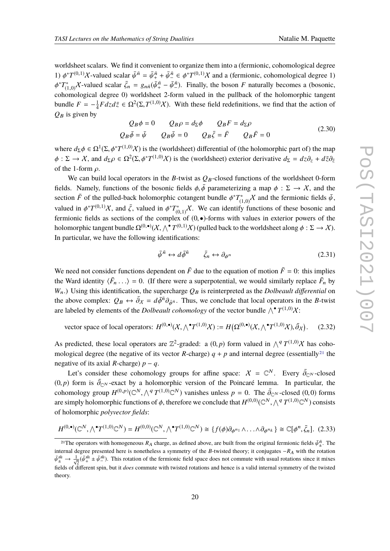worldsheet scalars. We find it convenient to organize them into a (fermionic, cohomological degree 1)  $\phi^*T^{(0,1)}\chi$ -valued scalar  $\bar{\psi}^{\bar{n}} = \bar{\psi}^{\bar{n}} + \bar{\psi}^{\bar{n}} - \xi \phi^*T^{(0,1)}\chi$  and a (fermionic, cohomological degree 1)  $\phi^* T_{(1,0)}^* X$ -valued scalar  $\bar{\zeta}_n = g_{n\bar{n}} (\bar{\psi}_+^{\bar{n}} - \bar{\psi}_-^{\bar{n}})$ . Finally, the boson *F* naturally becomes a (bosonic,  $\varphi$   $I_{(1,0)}$ . Finally  $\zeta_n - \zeta_{nn}$ ,  $\varphi_{+}$   $\varphi_{-}$ . Finally, the boson T hattarty becomes a (bosonic, cohomological degree 0) worldsheet 2-form valued in the pullback of the holomorphic tangent bundle  $F = -\frac{1}{4}$  $\frac{1}{4}F dz d\bar{z} \in \Omega^2(\Sigma, T^{(1,0)}\mathcal{X})$ . With these field redefinitions, we find that the action of  $Q_B$  is given by

$$
Q_B \phi = 0 \t Q_B \rho = d_{\Sigma} \phi \t Q_B F = d_{\Sigma} \rho
$$
  
\n
$$
Q_B \bar{\phi} = \bar{\psi} \t Q_B \bar{\psi} = 0 \t Q_B \bar{\zeta} = \bar{F} \t Q_B \bar{F} = 0
$$
\n(2.30)

where  $d_{\Sigma} \phi \in \Omega^1(\Sigma, \phi^* T^{(1,0)} \chi)$  is the (worldsheet) differential of (the holomorphic part of) the map  $\phi$ :  $\Sigma \to X$ , and  $d_{\Sigma} \rho \in \Omega^2(\Sigma, \phi^* T^{(1,0)}X)$  is the (worldsheet) exterior derivative  $d_{\Sigma} = dz \partial_z + d\overline{z}\partial_{\overline{z}}$ of the 1-form  $\rho$ .

We can build local operators in the *B*-twist as  $Q_B$ -closed functions of the worldsheet 0-form fields. Namely, functions of the bosonic fields  $\phi$ ,  $\bar{\phi}$  parameterizing a map  $\phi : \Sigma \to \mathcal{X}$ , and the section  $\bar{F}$  of the pulled-back holomorphic cotangent bundle  $\phi^* T^*_{(1,0)} X$  and the fermionic fields  $\bar{\psi}$ , valued in  $\phi^* T^{(0,1)} \chi$ , and  $\bar{\zeta}$ , valued in  $\phi^* T^*_{(0,1)} \chi$ . We can identify functions of these bosonic and  $(0,1)$ fermionic fields as sections of the complex of  $(0, \bullet)$ -forms with values in exterior powers of the holomorphic tangent bundle  $\Omega^{(0,\bullet)}(\mathcal{X},\bigwedge^\bullet T^{(0,1)}\mathcal{X})$  (pulled back to the worldsheet along  $\phi:\Sigma\to\mathcal{X}$ ). In particular, we have the following identifications:

$$
\bar{\psi}^{\bar{n}} \leftrightarrow d\bar{\phi}^{\bar{n}} \qquad \bar{\zeta}_n \leftrightarrow \partial_{\phi^n} \tag{2.31}
$$

We need not consider functions dependent on  $\bar{F}$  due to the equation of motion  $\bar{F} = 0$ : this implies the Ward identity  $\langle \bar{F}_n \rangle$  . . .  $\rangle = 0$ . (If there were a superpotential, we would similarly replace  $\bar{F}_n$  by  $W_n$ .) Using this identification, the supercharge  $Q_B$  is reinterpreted as the *Dolbeault differential* on the above complex:  $Q_B \leftrightarrow \bar{\partial}_X = d\bar{\phi}^{\bar{n}} \partial_{\bar{\phi}^{\bar{n}}}$ . Thus, we conclude that local operators in the *B*-twist are labeled by elements of the *Dolbeault cohomology* of the vector bundle  $\wedge^{\bullet} T^{(1,0)}\mathcal{X}$ :

vector space of local operators:  $H^{(0,\bullet)}(X, \wedge^{\bullet} T^{(1,0)}X) := H(\Omega^{(0,\bullet)}(X, \wedge^{\bullet} T^{(1,0)}X), \bar{\partial}_X)$  $(2.32)$ 

As predicted, these local operators are  $\mathbb{Z}^2$ -graded: a  $(0, p)$  form valued in  $\bigwedge^q T^{(1,0)}\chi$  has cohomological degree (the negative of its vector *R*-charge)  $q + p$  and internal degree (essentially<sup>[21](#page-19-0)</sup> the negative of its axial *R*-charge)  $p - q$ .

Let's consider these cohomology groups for affine space:  $X = \mathbb{C}^N$ . Every  $\overline{\partial}_{\mathbb{C}^N}$ -closed  $(0, p)$  form is  $\overline{\partial}_{\mathbb{C}^N}$ -exact by a holomorphic version of the Poincaré lemma. In particular, the cohomology group  $H^{(0,p)}(\mathbb{C}^N, \bigwedge^q T^{(1,0)}\mathbb{C}^N)$  vanishes unless  $p = 0$ . The  $\bar{\partial}_{\mathbb{C}^N}$ -closed (0,0) forms are simply holomorphic functions of  $\phi$ , therefore we conclude that  $H^{(0,0)}(\mathbb C^N,\bigwedge^q T^{(1,0)}\mathbb C^N)$  consists of holomorphic *polyvector fields*:

$$
H^{(0,\bullet)}(\mathbb{C}^N,\wedge^{\bullet}T^{(1,0)}\mathbb{C}^N) = H^{(0,0)}(\mathbb{C}^N,\wedge^{\bullet}T^{(1,0)}\mathbb{C}^N) \cong \{f(\phi)\partial_{\phi^{n_1}}\wedge\ldots\wedge\partial_{\phi^{n_k}}\} \cong \mathbb{C}[\phi^n,\bar{\zeta}_n].
$$
 (2.33)

<span id="page-19-0"></span><sup>&</sup>lt;sup>21</sup>The operators with homogeneous  $R_A$  charge, as defined above, are built from the original fermionic fields  $\bar{\psi}_{\pm}^{\bar{n}}$ . The  $\frac{1}{10}$  operators with nonegational  $\frac{1}{10}$  change, as defined above, are only the original termionic nexts  $\varphi_{\pm}$ . The internal degree presented here is nonetheless a symmetry of the *B*-twisted theory; it conj  $\bar{\psi}_{\pm}^{\bar{m}} \to \frac{1}{\sqrt{2}} (\bar{\psi}_{+}^{\bar{m}} \pm \bar{\psi}_{-}^{\bar{m}})$ . This rotation of the fermionic field space does not commute with usual rotations since it mixes fields of different spin, but it *does* commute with twisted rotations and hence is a valid internal symmetry of the twisted theory.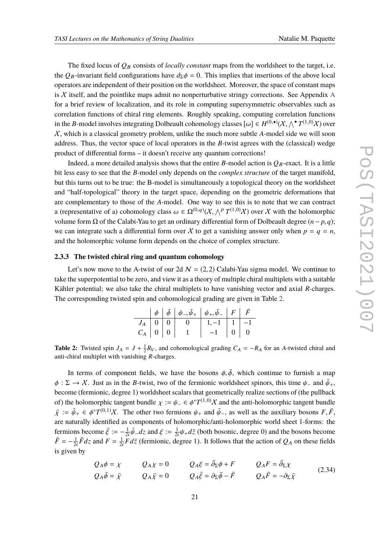The fixed locus of  $Q_B$  consists of *locally constant* maps from the worldsheet to the target, i.e. the *QB*-invariant field configurations have  $d_{\Sigma}\phi = 0$ . This implies that insertions of the above local operators are independent of their position on the worldsheet. Moreover, the space of constant maps is  $X$  itself, and the pointlike maps admit no nonperturbative stringy corrections. See [A](#page-60-0)ppendix A for a brief review of localization, and its role in computing supersymmetric observables such as correlation functions of chiral ring elements. Roughly speaking, computing correlation functions in the *B*-model involves integrating Dolbeault cohomology classes  $[\omega] \in H^{(0,\bullet)}(\mathcal{X}, \wedge^{\bullet} T^{(1,0)}\mathcal{X})$  over X, which is a classical geometry problem, unlike the much more subtle *A*-model side we will soon address. Thus, the vector space of local operators in the *B*-twist agrees with the (classical) wedge product of differential forms – it doesn't receive any quantum corrections!

Indeed, a more detailed analysis shows that the entire *B*-model action is  $Q_B$ -exact. It is a little bit less easy to see that the *B*-model only depends on the *complex structure* of the target manifold, but this turns out to be true: the B-model is simultaneously a topological theory on the worldsheet and "half-topological" theory in the target space, depending on the geometric deformations that are complementary to those of the *A*-model. One way to see this is to note that we can contract a (representative of a) cohomology class  $\omega \in \Omega^{(0,q)}(\mathcal{X}, \bigwedge^p T^{(1,0)}\mathcal{X})$  over X with the holomorphic volume form Ω of the Calabi-Yau to get an ordinary differential form of Dolbeault degree (*n* − *p*, *q*); we can integrate such a differential form over X to get a vanishing answer only when  $p = q = n$ , and the holomorphic volume form depends on the choice of complex structure.

#### **2.3.3 The twisted chiral ring and quantum cohomology**

<span id="page-20-0"></span>Let's now move to the A-twist of our 2d  $N = (2, 2)$  Calabi-Yau sigma model. We continue to take the superpotential to be zero, and view it as a theory of multiple chiral multiplets with a suitable Kähler potential; we also take the chiral multiplets to have vanishing vector and axial *R*-charges. The corresponding twisted spin and cohomological grading are given in Table [2.](#page-20-0)

|                     |  | $\phi \left   \right. \left. \bar{\phi} \right. \left. \left   \right. \left. \psi_{-}, \bar{\psi}_{+} \right. \left. \left   \right. \left. \psi_{+}, \bar{\psi}_{-} \right. \left. \left. \right  \right. F \left. \left. \right  \right. \left. \bar{F} \right. \left. \right $ |                    |                                                                 |  |
|---------------------|--|------------------------------------------------------------------------------------------------------------------------------------------------------------------------------------------------------------------------------------------------------------------------------------|--------------------|-----------------------------------------------------------------|--|
| $J_A$   0   0       |  |                                                                                                                                                                                                                                                                                    | $1, -1$   1   $-1$ |                                                                 |  |
| $C_A \mid 0 \mid 0$ |  |                                                                                                                                                                                                                                                                                    |                    | $\begin{array}{ c c c c c } \hline 0 & 0 \\ \hline \end{array}$ |  |

**Table 2:** Twisted spin  $J_A = J + \frac{1}{2}R_V$ , and cohomological grading  $C_A = -R_A$  for an *A*-twisted chiral and anti-chiral multiplet with vanishing *R*-charges.

In terms of component fields, we have the bosons  $\phi$ ,  $\bar{\phi}$ , which continue to furnish a map  $\phi$ :  $\Sigma \to X$ . Just as in the *B*-twist, two of the fermionic worldsheet spinors, this time  $\psi$ <sub>-</sub> and  $\bar{\psi}_+$ , become (fermionic, degree 1) worldsheet scalars that geometrically realize sections of (the pullback of) the holomorphic tangent bundle  $\chi := \psi_- \in \phi^*T^{(1,0)}\chi$  and the anti-holomorphic tangent bundle  $\bar{\chi} := \bar{\psi}_+ \in \phi^*T^{(0,1)}\chi$ . The other two fermions  $\psi_+$  and  $\bar{\psi}_-$ , as well as the auxiliary bosons  $F, \bar{F}$ , are naturally identified as components of holomorphic/anti-holomorphic world sheet 1-forms: the fermions become  $\bar{\xi} := -\frac{1}{2i}$  $\frac{1}{2i}\bar{\psi}_- dz$  and  $\xi := \frac{1}{2i}$  $\frac{1}{2i}\psi_+ d\bar{z}$  (both bosonic, degree 0) and the bosons become  $\bar{F} = -\frac{1}{2}$  $\frac{1}{2i} \bar{F} dz$  and  $F = \frac{1}{2i}$  $\frac{1}{2i}F d\bar{z}$  (fermionic, degree 1). It follows that the action of  $Q_A$  on these fields is given by

$$
Q_A \phi = \chi \qquad Q_A \chi = 0 \qquad Q_A \xi = \bar{\partial}_{\Sigma} \phi + F \qquad Q_A F = \bar{\partial}_{\Sigma} \chi
$$
  
\n
$$
Q_A \bar{\phi} = \bar{\chi} \qquad Q_A \bar{\chi} = 0 \qquad Q_A \bar{\xi} = \partial_{\Sigma} \bar{\phi} - \bar{F} \qquad Q_A \bar{F} = -\partial_{\Sigma} \bar{\chi}
$$
\n(2.34)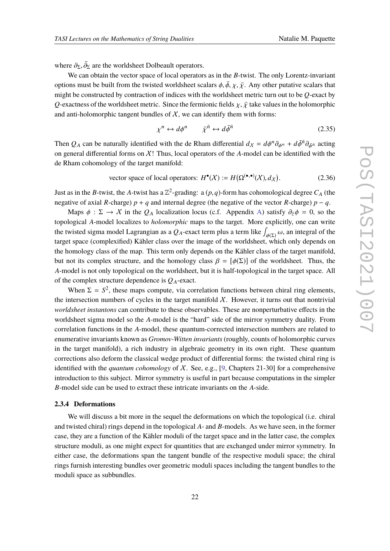where  $\partial_{\Sigma}, \bar{\partial}_{\Sigma}$  are the worldsheet Dolbeault operators.

We can obtain the vector space of local operators as in the *B*-twist. The only Lorentz-invariant options must be built from the twisted worldsheet scalars  $\phi$ ,  $\bar{\phi}$ ,  $\chi$ ,  $\bar{\chi}$ . Any other putative scalars that might be constructed by contraction of indices with the worldsheet metric turn out to be *Q*-exact by *Q*-exactness of the worldsheet metric. Since the fermionic fields  $\chi$ ,  $\bar{\chi}$  take values in the holomorphic and anti-holomorphic tangent bundles of  $X$ , we can identify them with forms:

$$
\chi^n \leftrightarrow d\phi^n \qquad \bar{\chi}^{\bar{n}} \leftrightarrow d\bar{\phi}^{\bar{n}} \tag{2.35}
$$

Then *Q*<sub>A</sub> can be naturally identified with the de Rham differential  $d_X = d\phi^n \partial_{\phi^n} + d\bar{\phi}^{\bar{n}} \partial_{\bar{\phi}^{\bar{n}}}$  acting an expected formation  $\bar{X}$ . Thus, local approximately a model as the identified with the on general differential forms on  $X!$  Thus, local operators of the  $A$ -model can be identified with the de Rham cohomology of the target manifold:

vector space of local operators: 
$$
H^{\bullet}(X) := H(\Omega^{(\bullet,\bullet)}(X), d_X)
$$
. (2.36)

Just as in the *B*-twist, the *A*-twist has a  $\mathbb{Z}^2$ -grading: a  $(p, q)$ -form has cohomological degree  $C_A$  (the negative of axial *R*-charge)  $p + q$  and internal degree (the negative of the vector *R*-charge)  $p - q$ .

Maps  $\phi$  :  $\Sigma \to X$  in the *Q<sub>A</sub>* localization locus (c.f. Appendix [A\)](#page-60-0) satisfy  $\partial_{\overline{z}}\phi = 0$ , so the topological *A*-model localizes to *holomorphic* maps to the target. More explicitly, one can write the twisted sigma model Lagrangian as a  $Q_A$ -exact term plus a term like  $\int_{\phi(x)} \omega$ , an integral of the target space (complexified) Kähler class over the image of the worldsheet, which only depends on target space (complexified) Kähler class over the image of the worldsheet, which only depends on the homology class of the map. This term only depends on the Kähler class of the target manifold, but not its complex structure, and the homology class  $\beta = [\phi(\Sigma)]$  of the worldsheet. Thus, the *A*-model is not only topological on the worldsheet, but it is half-topological in the target space. All of the complex structure dependence is  $Q_A$ -exact.

When  $\Sigma = S^2$ , these maps compute, via correlation functions between chiral ring elements, the intersection numbers of cycles in the target manifold  $X$ . However, it turns out that nontrivial *worldsheet instantons* can contribute to these observables. These are nonperturbative effects in the worldsheet sigma model so the *A*-model is the "hard" side of the mirror symmetry duality. From correlation functions in the *A*-model, these quantum-corrected intersection numbers are related to enumerative invariants known as *Gromov-Witten invariants* (roughly, counts of holomorphic curves in the target manifold), a rich industry in algebraic geometry in its own right. These quantum corrections also deform the classical wedge product of differential forms: the twisted chiral ring is identified with the *quantum cohomology* of X. See, e.g., [\[9,](#page-75-7) Chapters 21-30] for a comprehensive introduction to this subject. Mirror symmetry is useful in part because computations in the simpler *B*-model side can be used to extract these intricate invariants on the *A*-side.

#### **2.3.4 Deformations**

We will discuss a bit more in the sequel the deformations on which the topological (i.e. chiral and twisted chiral) rings depend in the topological *A*- and *B*-models. As we have seen, in the former case, they are a function of the Kähler moduli of the target space and in the latter case, the complex structure moduli, as one might expect for quantities that are exchanged under mirror symmetry. In either case, the deformations span the tangent bundle of the respective moduli space; the chiral rings furnish interesting bundles over geometric moduli spaces including the tangent bundles to the moduli space as subbundles.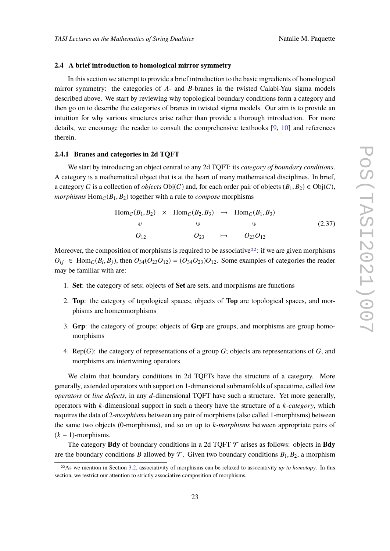#### **2.4 A brief introduction to homological mirror symmetry**

In this section we attempt to provide a brief introduction to the basic ingredients of homological mirror symmetry: the categories of *A*- and *B*-branes in the twisted Calabi-Yau sigma models described above. We start by reviewing why topological boundary conditions form a category and then go on to describe the categories of branes in twisted sigma models. Our aim is to provide an intuition for why various structures arise rather than provide a thorough introduction. For more details, we encourage the reader to consult the comprehensive textbooks [\[9,](#page-75-7) [10\]](#page-76-0) and references therein.

#### **2.4.1 Branes and categories in 2d TQFT**

We start by introducing an object central to any 2d TQFT: its *category of boundary conditions*. A category is a mathematical object that is at the heart of many mathematical disciplines. In brief, a category C is a collection of *objects*  $Obj(C)$  and, for each order pair of objects  $(B_1, B_2) \in Obj(C)$ , *morphisms*  $Hom_C(B_1, B_2)$  together with a rule to *compose* morphisms

$$
Hom_C(B_1, B_2) \times Hom_C(B_2, B_3) \rightarrow Hom_C(B_1, B_3)
$$
  
\n
$$
\begin{array}{ccc}\n\downarrow & \downarrow & \downarrow & \downarrow \\
O_{12} & O_{23} & \mapsto & O_{23}O_{12}\n\end{array}
$$
\n(2.37)

Moreover, the composition of morphisms is required to be associative<sup>[22](#page-22-0)</sup>: if we are given morphisms  $O_{ij} \in \text{Hom}_{\mathcal{C}}(B_i, B_j)$ , then  $O_{34}(O_{23}O_{12}) = (O_{34}O_{23})O_{12}$ . Some examples of categories the reader may be familiar with are:

- 1. **Set**: the category of sets; objects of **Set** are sets, and morphisms are functions
- 2. **Top**: the category of topological spaces; objects of **Top** are topological spaces, and morphisms are homeomorphisms
- 3. **Grp**: the category of groups; objects of **Grp** are groups, and morphisms are group homomorphisms
- 4. Rep(*G*): the category of representations of a group *G*; objects are representations of *G*, and morphisms are intertwining operators

We claim that boundary conditions in 2d TQFTs have the structure of a category. More generally, extended operators with support on 1-dimensional submanifolds of spacetime, called *line operators* or *line defects*, in any *d*-dimensional TQFT have such a structure. Yet more generally, operators with *k*-dimensional support in such a theory have the structure of a *k-category*, which requires the data of 2*-morphisms* between any pair of morphisms (also called 1-morphisms) between the same two objects (0-morphisms), and so on up to *k-morphisms* between appropriate pairs of  $(k - 1)$ -morphisms.

The category **Bdy** of boundary conditions in a 2d TQFT  $\mathcal T$  arises as follows: objects in **Bdy** are the boundary conditions *B* allowed by  $\mathcal T$ . Given two boundary conditions  $B_1, B_2$ , a morphism

<span id="page-22-0"></span><sup>22</sup>As we mention in Section [3.2,](#page-39-0) associativity of morphisms can be relaxed to associativity *up to homotopy*. In this section, we restrict our attention to strictly associative composition of morphisms.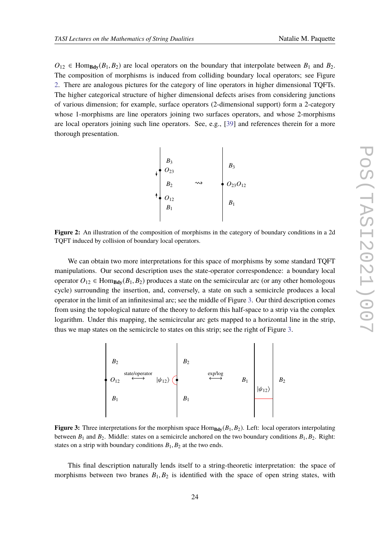<span id="page-23-0"></span> $O_{12} \in \text{Hom}_{\text{Bdy}}(B_1, B_2)$  are local operators on the boundary that interpolate between  $B_1$  and  $B_2$ . The composition of morphisms is induced from colliding boundary local operators; see Figure [2.](#page-23-0) There are analogous pictures for the category of line operators in higher dimensional TQFTs. The higher categorical structure of higher dimensional defects arises from considering junctions of various dimension; for example, surface operators (2-dimensional support) form a 2-category whose 1-morphisms are line operators joining two surfaces operators, and whose 2-morphisms are local operators joining such line operators. See, e.g., [\[39\]](#page-77-7) and references therein for a more thorough presentation.



**Figure 2:** An illustration of the composition of morphisms in the category of boundary conditions in a 2d TQFT induced by collision of boundary local operators.

We can obtain two more interpretations for this space of morphisms by some standard TQFT manipulations. Our second description uses the state-operator correspondence: a boundary local operator  $O_{12} \in \text{Hom}_{\text{Bdy}}(B_1, B_2)$  produces a state on the semicircular arc (or any other homologous cycle) surrounding the insertion, and, conversely, a state on such a semicircle produces a local operator in the limit of an infinitesimal arc; see the middle of Figure [3.](#page-23-1) Our third description comes from using the topological nature of the theory to deform this half-space to a strip via the complex logarithm. Under this mapping, the semicircular arc gets mapped to a horizontal line in the strip, thus we map states on the semicircle to states on this strip; see the right of Figure [3.](#page-23-1)

<span id="page-23-1"></span>

**Figure 3:** Three interpretations for the morphism space  $Hom_{Bdy}(B_1, B_2)$ . Left: local operators interpolating between  $B_1$  and  $B_2$ . Middle: states on a semicircle anchored on the two boundary conditions  $B_1, B_2$ . Right: states on a strip with boundary conditions  $B_1, B_2$  at the two ends.

This final description naturally lends itself to a string-theoretic interpretation: the space of morphisms between two branes  $B_1, B_2$  is identified with the space of open string states, with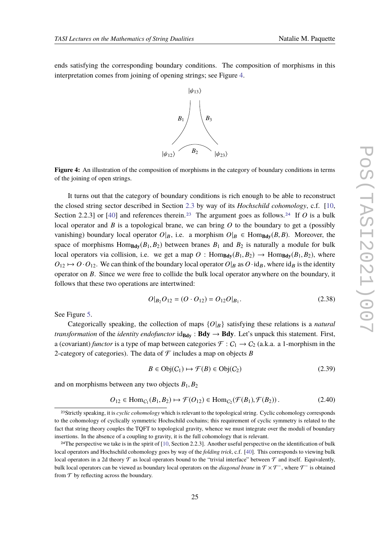<span id="page-24-0"></span>ends satisfying the corresponding boundary conditions. The composition of morphisms in this interpretation comes from joining of opening strings; see Figure [4.](#page-24-0)



**Figure 4:** An illustration of the composition of morphisms in the category of boundary conditions in terms of the joining of open strings.

It turns out that the category of boundary conditions is rich enough to be able to reconstruct the closed string sector described in Section [2.3](#page-17-0) by way of its *Hochschild cohomology*, c.f. [\[10,](#page-76-0) Section 2.2.3] or [\[40\]](#page-77-8) and references therein.<sup>[23](#page-24-1)</sup> The argument goes as follows.<sup>[24](#page-24-2)</sup> If *O* is a bulk local operator and *B* is a topological brane, we can bring *O* to the boundary to get a (possibly vanishing) boundary local operator  $O|_B$ , i.e. a morphism  $O|_B \in \text{Hom}_{\text{Bdv}}(B, B)$ . Moreover, the space of morphisms  $Hom_{Bdy}(B_1, B_2)$  between branes  $B_1$  and  $B_2$  is naturally a module for bulk local operators via collision, i.e. we get a map  $O: \text{Hom}_{\text{Bdv}}(B_1, B_2) \to \text{Hom}_{\text{Bdv}}(B_1, B_2)$ , where  $O_{12} \mapsto O \cdot O_{12}$ . We can think of the boundary local operator  $O|_B$  as  $O \cdot id_B$ , where  $id_B$  is the identity operator on *B*. Since we were free to collide the bulk local operator anywhere on the boundary, it follows that these two operations are intertwined:

<span id="page-24-3"></span>
$$
O|_{B_2}O_{12} = (O \cdot O_{12}) = O_{12}O|_{B_1}.
$$
\n(2.38)

See Figure [5.](#page-25-0)

Categorically speaking, the collection of maps  $\{O|B\}$  satisfying these relations is a *natural transformation* of the *identity endofunctor*  $id_{\text{Bdy}}$  :  $\text{Bdy} \rightarrow \text{Bdy}$ . Let's unpack this statement. First, a (covariant) *functor* is a type of map between categories  $\mathcal{F}: C_1 \to C_2$  (a.k.a. a 1-morphism in the 2-category of categories). The data of  $\mathcal F$  includes a map on objects  $B$ 

$$
B \in \text{Obj}(C_1) \mapsto \mathcal{F}(B) \in \text{Obj}(C_2) \tag{2.39}
$$

and on morphisms between any two objects  $B_1, B_2$ 

$$
O_{12} \in \text{Hom}_{C_1}(B_1, B_2) \mapsto \mathcal{F}(O_{12}) \in \text{Hom}_{C_2}(\mathcal{F}(B_1), \mathcal{F}(B_2))\,. \tag{2.40}
$$

<span id="page-24-1"></span><sup>23</sup>Strictly speaking, it is *cyclic cohomology* which is relevant to the topological string. Cyclic cohomology corresponds to the cohomology of cyclically symmetric Hochschild cochains; this requirement of cyclic symmetry is related to the fact that string theory couples the TQFT to topological gravity, whence we must integrate over the moduli of boundary insertions. In the absence of a coupling to gravity, it is the full cohomology that is relevant.

<span id="page-24-2"></span><sup>&</sup>lt;sup>24</sup>The perspective we take is in the spirit of  $[10, Section 2.2.3]$  $[10, Section 2.2.3]$ . Another useful perspective on the identification of bulk local operators and Hochschild cohomology goes by way of the *folding trick*, c.f. [\[40\]](#page-77-8). This corresponds to viewing bulk local operators in a 2d theory  $\mathcal T$  as local operators bound to the "trivial interface" between  $\mathcal T$  and itself. Equivalently, bulk local operators can be viewed as boundary local operators on the *diagonal brane* in T × T−, where T − is obtained from  $\mathcal T$  by reflecting across the boundary.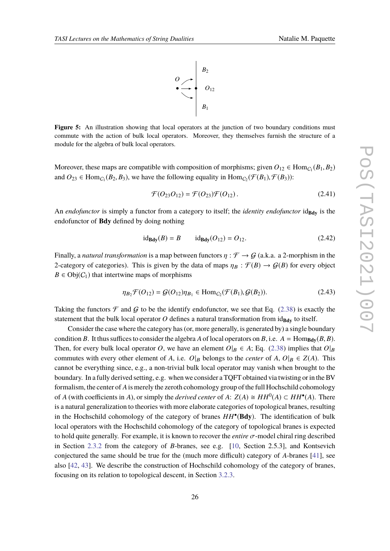

<span id="page-25-0"></span>Figure 5: An illustration showing that local operators at the junction of two boundary conditions must commute with the action of bulk local operators. Moreover, they themselves furnish the structure of a module for the algebra of bulk local operators.

Moreover, these maps are compatible with composition of morphisms; given  $O_{12} \in \text{Hom}_{C_1}(B_1, B_2)$ and  $O_{23} \in \text{Hom}_{C_1}(B_2, B_3)$ , we have the following equality in  $\text{Hom}_{C_2}(\mathcal{F}(B_1), \mathcal{F}(B_3))$ :

$$
\mathcal{F}(O_{23}O_{12}) = \mathcal{F}(O_{23})\mathcal{F}(O_{12}). \qquad (2.41)
$$

An *endofunctor* is simply a functor from a category to itself; the *identity endofunctor* id<sub>Bdy</sub> is the endofunctor of **Bdy** defined by doing nothing

$$
id_{\text{Bdy}}(B) = B
$$
  $id_{\text{Bdy}}(O_{12}) = O_{12}.$  (2.42)

Finally, a *natural transformation* is a map between functors  $\eta : \mathcal{F} \to \mathcal{G}$  (a.k.a. a 2-morphism in the 2-category of categories). This is given by the data of maps  $\eta_B : \mathcal{F}(B) \to \mathcal{G}(B)$  for every object  $B \in \text{Obj}(C_1)$  that intertwine maps of morphisms

$$
\eta_{B_2} \mathcal{F}(O_{12}) = \mathcal{G}(O_{12}) \eta_{B_1} \in \text{Hom}_{C_2}(\mathcal{F}(B_1), \mathcal{G}(B_2)).
$$
\n(2.43)

Taking the functors  $\mathcal F$  and  $\mathcal G$  to be the identify endofunctor, we see that Eq. [\(2.38\)](#page-24-3) is exactly the statement that the bulk local operator  $O$  defines a natural transformation from  $id_{\text{Bdy}}$  to itself.

Consider the case where the category has (or, more generally, is generated by) a single boundary condition *B*. It thus suffices to consider the algebra *A* of local operators on *B*, i.e.  $A = \text{Hom}_{\text{Bdv}}(B, B)$ . Then, for every bulk local operator *O*, we have an element  $O|_B \in A$ ; Eq. [\(2.38\)](#page-24-3) implies that  $O|_B$ commutes with every other element of *A*, i.e.  $O|_B$  belongs to the *center* of *A*,  $O|_B \in Z(A)$ . This cannot be everything since, e.g., a non-trivial bulk local operator may vanish when brought to the boundary. In a fully derived setting, e.g. when we consider a TQFT obtained via twisting or in the BV formalism, the center of *A*is merely the zeroth cohomology group of the full Hochschild cohomology of *A* (with coefficients in *A*), or simply the *derived center* of *A*:  $Z(A) \cong HH^0(A) \subset HH^{\bullet}(A)$ . There is a natural generalization to theories with more elaborate categories of topological branes, resulting in the Hochschild cohomology of the category of branes *HH*• (**Bdy**). The identification of bulk local operators with the Hochschild cohomology of the category of topological branes is expected to hold quite generally. For example, it is known to recover the *entire* σ-model chiral ring described in Section [2.3.2](#page-18-3) from the category of *B*-branes, see e.g. [\[10,](#page-76-0) Section 2.5.3], and Kontsevich conjectured the same should be true for the (much more difficult) category of *A*-branes [\[41\]](#page-77-9), see also [\[42,](#page-77-10) [43\]](#page-77-11). We describe the construction of Hochschild cohomology of the category of branes, focusing on its relation to topological descent, in Section [3.2.3.](#page-46-0)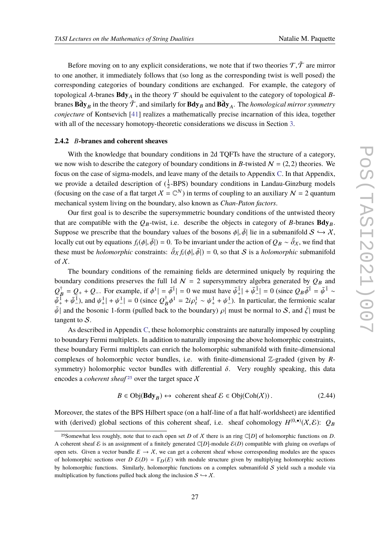Before moving on to any explicit considerations, we note that if two theories  $\mathcal{T}, \tilde{\mathcal{T}}$  are mirror to one another, it immediately follows that (so long as the corresponding twist is well posed) the corresponding categories of boundary conditions are exchanged. For example, the category of topological *A*-branes **Bdy**<sub>A</sub> in the theory  $\mathcal T$  should be equivalent to the category of topological *B*branes  $\tilde{\bf{Bdy}}_B$  in the theory  $\tilde{\cal{T}}$  , and similarly for  ${\bf Bdy}_B$  and  $\tilde{\bf{Bdy}}_A$ . The *homological mirror symmetry conjecture* of Kontsevich [\[41\]](#page-77-9) realizes a mathematically precise incarnation of this idea, together with all of the necessary homotopy-theoretic considerations we discuss in Section [3.](#page-32-0)

#### <span id="page-26-0"></span>**2.4.2** *B***-branes and coherent sheaves**

With the knowledge that boundary conditions in 2d TQFTs have the structure of a category, we now wish to describe the category of boundary conditions in *B*-twisted  $N = (2, 2)$  theories. We focus on the case of sigma-models, and leave many of the details to Appendix [C.](#page-71-0) In that Appendix, we provide a detailed description of  $(\frac{1}{2}$ -BPS) boundary conditions in Landau-Ginzburg models (focusing on the case of a flat target  $X = \mathbb{C}^N$ ) in terms of coupling to an auxiliary  $\mathcal{N} = 2$  quantum mechanical system living on the boundary, also known as *Chan-Paton factors*.

Our first goal is to describe the supersymmetric boundary conditions of the untwisted theory that are compatible with the  $Q_B$ -twist, i.e. describe the objects in category of *B*-branes  $Bdy_B$ . Suppose we prescribe that the boundary values of the bosons  $\phi$ ,  $\bar{\phi}$  lie in a submanifold  $S \hookrightarrow \mathcal{X}$ , locally cut out by equations  $f_i(\phi |, \bar{\phi}|) = 0$ . To be invariant under the action of  $Q_B \sim \bar{\partial}_X$ , we find that these must be *holomorphic* constraints:  $\bar{\partial}_X f_i(\phi |, \bar{\phi}|) = 0$ , so that S is a *holomorphic* submanifold of  $\chi$ .

The boundary conditions of the remaining fields are determined uniquely by requiring the boundary conditions preserves the full 1d  $\mathcal{N} = 2$  supersymmetry algebra generated by  $Q_B$  and  $Q_B^{\dagger} = Q_+ + Q_-$ . For example, if  $\phi^1 | = \bar{\phi}^{\bar{1}} | = 0$  we must have  $\bar{\psi}^{\bar{1}}_+ | + \bar{\psi}^{\bar{1}}_ \vert \bar{A} \vert = 0$  (since  $Q_B \bar{\phi}^{\bar{1}} = \bar{\psi}^{\bar{1}} \sim$  $\bar{\psi}_{+}^{\bar{1}} + \bar{\psi}_{-}^{\bar{1}}$  $\frac{1}{2}$ ), and  $\psi^1_+$  +  $\psi^1_ \left| \frac{1}{2} \right| = 0$  (since  $Q_B^{\dagger} \phi^1 = 2i \rho_t^1 \sim \psi_+^1 + \psi_-^1$  $\frac{1}{2}$ ). In particular, the fermionic scalar  $\bar{\psi}$ | and the bosonic 1-form (pulled back to the boundary)  $\rho$ | must be normal to S, and  $\bar{\zeta}$ | must be tangent to  $S$ .

As described in Appendix [C,](#page-71-0) these holomorphic constraints are naturally imposed by coupling to boundary Fermi multiplets. In addition to naturally imposing the above holomorphic constraints, these boundary Fermi multiplets can enrich the holomorphic submanifold with finite-dimensional complexes of holomorphic vector bundles, i.e. with finite-dimensional Z-graded (given by *R*symmetry) holomorphic vector bundles with differential  $\delta$ . Very roughly speaking, this data encodes a *coherent sheaf*<sup>[25](#page-26-1)</sup> over the target space  $X$ 

$$
B \in \text{Obj}(\mathbf{Bdy}_B) \leftrightarrow \text{ coherent sheaf } \mathcal{E} \in \text{Obj}(\text{Coh}(\mathcal{X})). \tag{2.44}
$$

Moreover, the states of the BPS Hilbert space (on a half-line of a flat half-worldsheet) are identified with (derived) global sections of this coherent sheaf, i.e. sheaf cohomology  $H^{(0,\bullet)}(\mathcal{X},\mathcal{E})$ :  $Q_B$ 

<span id="page-26-1"></span><sup>&</sup>lt;sup>25</sup>Somewhat less roughly, note that to each open set *D* of *X* there is an ring  $\mathbb{C}[D]$  of holomorphic functions on *D*. A coherent sheaf E is an assignment of a finitely generated  $\mathbb{C}[D]$ -module  $\mathcal{E}(D)$  compatible with gluing on overlaps of open sets. Given a vector bundle  $E \to \chi$ , we can get a coherent sheaf whose corresponding modules are the spaces of holomorphic sections over  $D \mathcal{E}(D) = \Gamma_D(E)$  with module structure given by multiplying holomorphic sections by holomorphic functions. Similarly, holomorphic functions on a complex submanifold  $S$  yield such a module via multiplication by functions pulled back along the inclusion  $S \hookrightarrow \mathcal{X}$ .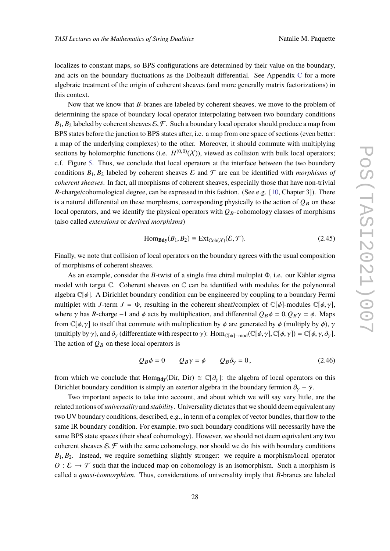localizes to constant maps, so BPS configurations are determined by their value on the boundary, and acts on the boundary fluctuations as the Dolbeault differential. See Appendix  $C$  for a more algebraic treatment of the origin of coherent sheaves (and more generally matrix factorizations) in this context.

Now that we know that *B*-branes are labeled by coherent sheaves, we move to the problem of determining the space of boundary local operator interpolating between two boundary conditions  $B_1, B_2$  labeled by coherent sheaves  $\mathcal{E}, \mathcal{F}$ . Such a boundary local operator should produce a map from BPS states before the junction to BPS states after, i.e. a map from one space of sections (even better: a map of the underlying complexes) to the other. Moreover, it should commute with multiplying sections by holomorphic functions (i.e.  $H^{(0,0)}(\mathcal{X})$ ), viewed as collision with bulk local operators; c.f. Figure [5.](#page-25-0) Thus, we conclude that local operators at the interface between the two boundary conditions  $B_1, B_2$  labeled by coherent sheaves  $\mathcal E$  and  $\mathcal F$  are can be identified with *morphisms of coherent sheaves*. In fact, all morphisms of coherent sheaves, especially those that have non-trivial *R*-charge/cohomological degree, can be expressed in this fashion. (See e.g. [\[10,](#page-76-0) Chapter 3]). There is a natural differential on these morphisms, corresponding physically to the action of  $Q_B$  on these local operators, and we identify the physical operators with  $Q_B$ -cohomology classes of morphisms (also called *extensions* or *derived morphisms*)

$$
\text{Hom}_{\text{Bdy}}(B_1, B_2) \cong \text{Ext}_{\text{Coh}(\mathcal{X})}(\mathcal{E}, \mathcal{F}).\tag{2.45}
$$

Finally, we note that collision of local operators on the boundary agrees with the usual composition of morphisms of coherent sheaves.

As an example, consider the *B*-twist of a single free chiral multiplet Φ, i.e. our Kähler sigma model with target  $\mathbb C$ . Coherent sheaves on  $\mathbb C$  can be identified with modules for the polynomial algebra  $\mathbb{C}[\phi]$ . A Dirichlet boundary condition can be engineered by coupling to a boundary Fermi multiplet with *J*-term *J* =  $\Phi$ , resulting in the coherent sheaf/complex of  $\mathbb{C}[\phi]$ -modules  $\mathbb{C}[\phi, \gamma]$ , where  $\gamma$  has *R*-charge −1 and  $\phi$  acts by multiplication, and differential  $Q_B \phi = 0$ ,  $Q_B \gamma = \phi$ . Maps from  $\mathbb{C}[\phi, \gamma]$  to itself that commute with multiplication by  $\phi$  are generated by  $\phi$  (multiply by  $\phi$ ),  $\gamma$ (multiply by γ), and  $\partial_{\gamma}$  (differentiate with respect to γ): Hom<sub>C[φ]-mod</sub>( $\mathbb{C}[\phi, \gamma], \mathbb{C}[\phi, \gamma] = \mathbb{C}[\phi, \gamma, \partial_{\gamma}]$ . The action of  $Q_B$  on these local operators is

$$
Q_B \phi = 0 \qquad Q_B \gamma = \phi \qquad Q_B \partial_\gamma = 0, \tag{2.46}
$$

from which we conclude that Hom<sub>Bdy</sub>(Dir, Dir)  $\cong \mathbb{C}[\partial_{\gamma}]$ : the algebra of local operators on this Dirichlet boundary condition is simply an exterior algebra in the boundary fermion  $\partial_y \sim \overline{\gamma}$ .

Two important aspects to take into account, and about which we will say very little, are the related notions of *universality* and *stability*. Universality dictates that we should deem equivalent any two UV boundary conditions, described, e.g., in term of a complex of vector bundles, that flow to the same IR boundary condition. For example, two such boundary conditions will necessarily have the same BPS state spaces (their sheaf cohomology). However, we should not deem equivalent any two coherent sheaves  $\mathcal{E}, \mathcal{F}$  with the same cohomology, nor should we do this with boundary conditions  $B_1, B_2$ . Instead, we require something slightly stronger: we require a morphism/local operator  $O: \mathcal{E} \to \mathcal{F}$  such that the induced map on cohomology is an isomorphism. Such a morphism is called a *quasi-isomorphism*. Thus, considerations of universality imply that *B*-branes are labeled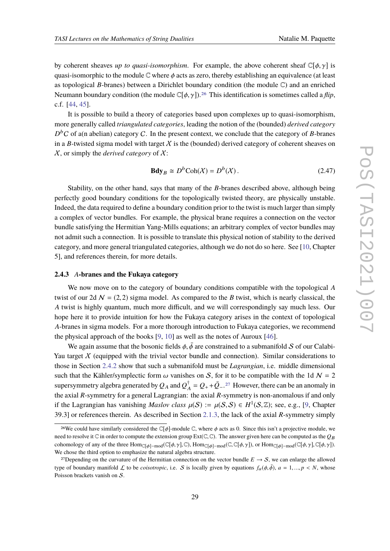by coherent sheaves *up to quasi-isomorphism*. For example, the above coherent sheaf  $\mathbb{C}[\phi, \gamma]$  is quasi-isomorphic to the module  $\mathbb C$  where  $\phi$  acts as zero, thereby establishing an equivalence (at least as topological *B*-branes) between a Dirichlet boundary condition (the module C) and an enriched Neumann boundary condition (the module  $\mathbb{C}[\phi, \gamma]$ ).<sup>[26](#page-28-0)</sup> This identification is sometimes called a *flip*, c.f. [\[44,](#page-77-12) [45\]](#page-77-13).

It is possible to build a theory of categories based upon complexes up to quasi-isomorphism, more generally called *triangulated categories*, leading the notion of the (bounded) *derived category*  $D<sup>b</sup>C$  of a(n abelian) category C. In the present context, we conclude that the category of *B*-branes in a *B*-twisted sigma model with target  $X$  is the (bounded) derived category of coherent sheaves on X, or simply the *derived category* of X:

$$
\mathbf{Bdy}_B \cong D^b \text{Coh}(\mathcal{X}) = D^b(\mathcal{X}). \tag{2.47}
$$

Stability, on the other hand, says that many of the *B*-branes described above, although being perfectly good boundary conditions for the topologically twisted theory, are physically unstable. Indeed, the data required to define a boundary condition prior to the twist is much larger than simply a complex of vector bundles. For example, the physical brane requires a connection on the vector bundle satisfying the Hermitian Yang-Mills equations; an arbitrary complex of vector bundles may not admit such a connection. It is possible to translate this physical notion of stability to the derived category, and more general triangulated categories, although we do not do so here. See [\[10,](#page-76-0) Chapter 5], and references therein, for more details.

#### **2.4.3** *A***-branes and the Fukaya category**

We now move on to the category of boundary conditions compatible with the topological *A* twist of our 2d  $\mathcal{N} = (2, 2)$  sigma model. As compared to the *B* twist, which is nearly classical, the *A* twist is highly quantum, much more difficult, and we will correspondingly say much less. Our hope here it to provide intuition for how the Fukaya category arises in the context of topological *A*-branes in sigma models. For a more thorough introduction to Fukaya categories, we recommend the physical approach of the books [\[9,](#page-75-7) [10\]](#page-76-0) as well as the notes of Auroux [\[46\]](#page-78-0).

We again assume that the bosonic fields  $\phi$ ,  $\bar{\phi}$  are constrained to a submanifold S of our Calabi-Yau target  $X$  (equipped with the trivial vector bundle and connection). Similar considerations to those in Section [2.4.2](#page-26-0) show that such a submanifold must be *Lagrangian*, i.e. middle dimensional such that the Kähler/symplectic form  $\omega$  vanishes on S, for it to be compatible with the 1d  $\mathcal{N} = 2$ supersymmetry algebra generated by  $Q_A$  and  $Q_A^{\dagger} = Q_+ + \bar{Q}_-,^{27}$  $Q_A^{\dagger} = Q_+ + \bar{Q}_-,^{27}$  $Q_A^{\dagger} = Q_+ + \bar{Q}_-,^{27}$  However, there can be an anomaly in the axial *R*-symmetry for a general Lagrangian: the axial *R*-symmetry is non-anomalous if and only if the Lagrangian has vanishing *Maslov class*  $\mu(S) := \mu(S, S) \in H^1(S, \mathbb{Z})$ ; see, e.g., [\[9,](#page-75-7) Chapter 39.3] or references therein. As described in Section [2.1.3,](#page-8-3) the lack of the axial *R*-symmetry simply

<span id="page-28-0"></span><sup>&</sup>lt;sup>26</sup>We could have similarly considered the  $\mathbb{C}[\phi]$ -module  $\mathbb{C}$ , where  $\phi$  acts as 0. Since this isn't a projective module, we need to resolve it  $\mathbb C$  in order to compute the extension group  $Ext(\mathbb C,\mathbb C)$ . The answer given here can be computed as the  $Q_B$ cohomology of any of the three  $\text{Hom}_{\mathbb{C}[\phi]-\text{mod}}(\mathbb{C}[\phi,\gamma],\mathbb{C})$ ,  $\text{Hom}_{\mathbb{C}[\phi]-\text{mod}}(\mathbb{C},\mathbb{C}[\phi,\gamma])$ , or  $\text{Hom}_{\mathbb{C}[\phi]-\text{mod}}(\mathbb{C}[\phi,\gamma],\mathbb{C}[\phi,\gamma])$ . We chose the third option to emphasize the natural algebra structure.

<span id="page-28-1"></span><sup>&</sup>lt;sup>27</sup>Depending on the curvature of the Hermitian connection on the vector bundle  $E \to S$ , we can enlarge the allowed type of boundary manifold L to be *coisotropic*, i.e. S is locally given by equations  $f_a(\phi, \bar{\phi})$ ,  $a = 1, ..., p < N$ , whose Poisson brackets vanish on S.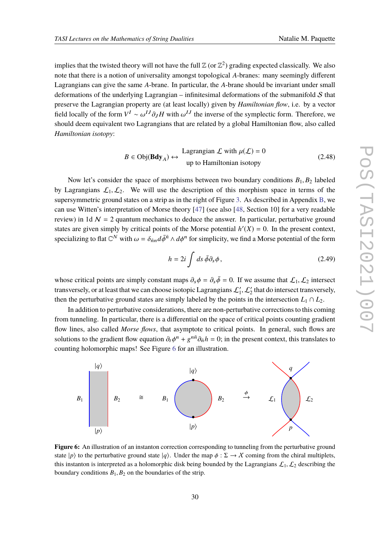implies that the twisted theory will not have the full  $\mathbb{Z}$  (or  $\mathbb{Z}^2$ ) grading expected classically. We also note that there is a notion of universality amongst topological *A*-branes: many seemingly different Lagrangians can give the same *A*-brane. In particular, the *A*-brane should be invariant under small deformations of the underlying Lagrangian – infinitesimal deformations of the submanifold  $S$  that preserve the Lagrangian property are (at least locally) given by *Hamiltonian flow*, i.e. by a vector field locally of the form  $V^I \sim \omega^{IJ} \partial_J H$  with  $\omega^{IJ}$  the inverse of the symplectic form. Therefore, we should deem equivalent two Lagrangians that are related by a global Hamiltonian flow, also called *Hamiltonian isotopy*:

$$
B \in \text{Obj}(\mathbf{Bdy}_A) \leftrightarrow \begin{cases} \text{Lagrangian } \mathcal{L} \text{ with } \mu(\mathcal{L}) = 0 \\ \text{up to Hamiltonian isotopy} \end{cases} \tag{2.48}
$$

Now let's consider the space of morphisms between two boundary conditions *B*1, *B*<sup>2</sup> labeled by Lagrangians  $\mathcal{L}_1, \mathcal{L}_2$ . We will use the description of this morphism space in terms of the supersymmetric ground states on a strip as in the right of Figure [3.](#page-23-1) As described in Appendix [B,](#page-64-0) we can use Witten's interpretation of Morse theory [\[47\]](#page-78-1) (see also [\[48,](#page-78-2) Section 10] for a very readable review) in 1d  $\mathcal{N} = 2$  quantum mechanics to deduce the answer. In particular, perturbative ground states are given simply by critical points of the Morse potential  $h'(X) = 0$ . In the present context, specializing to flat  $\mathbb{C}^N$  with  $\omega = \delta_{\bar{n}n} d\bar{\phi}^{\bar{n}} \wedge d\phi^n$  for simplicity, we find a Morse potential of the form

$$
h = 2i \int ds \,\bar{\phi}\partial_s\phi\,,\tag{2.49}
$$

whose critical points are simply constant maps  $\partial_s \phi = \partial_s \bar{\phi} = 0$ . If we assume that  $\mathcal{L}_1, \mathcal{L}_2$  intersect transversely, or at least that we can choose isotopic Lagrangians  $\mathcal{L}'_1, \mathcal{L}'_2$  that do intersect transversely, then the perturbative ground states are simply labeled by the points in the intersection  $L_1 \cap L_2$ .

In addition to perturbative considerations, there are non-perturbative corrections to this coming from tunneling. In particular, there is a differential on the space of critical points counting gradient flow lines, also called *Morse flows*, that asymptote to critical points. In general, such flows are solutions to the gradient flow equation  $\partial_t \phi^n + g^{n\bar{n}} \partial_{\bar{n}} h = 0$ ; in the present context, this translates to counting holomorphic maps! See Figure [6](#page-29-0) for an illustration.

<span id="page-29-0"></span>

**Figure 6:** An illustration of an instanton correction corresponding to tunneling from the perturbative ground state  $|p\rangle$  to the perturbative ground state  $|q\rangle$ . Under the map  $\phi : \Sigma \to \mathcal{X}$  coming from the chiral multiplets, this instanton is interpreted as a holomorphic disk being bounded by the Lagrangians  $\mathcal{L}_1, \mathcal{L}_2$  describing the boundary conditions  $B_1$ ,  $B_2$  on the boundaries of the strip.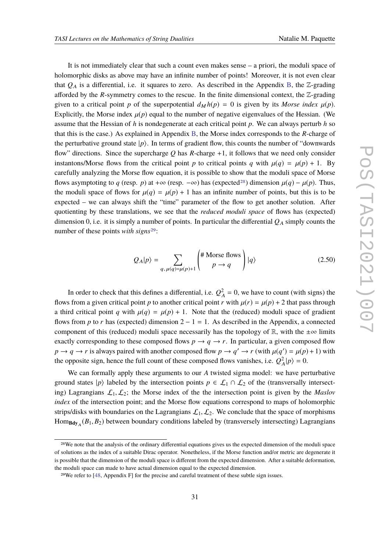It is not immediately clear that such a count even makes sense – a priori, the moduli space of holomorphic disks as above may have an infinite number of points! Moreover, it is not even clear that  $Q_A$  is a differential, i.e. it squares to zero. As described in the Appendix [B,](#page-64-0) the  $\mathbb{Z}$ -grading afforded by the  $R$ -symmetry comes to the rescue. In the finite dimensional context, the  $\mathbb{Z}$ -grading given to a critical point *p* of the superpotential  $d_M h(p) = 0$  is given by its *Morse index*  $\mu(p)$ . Explicitly, the Morse index  $\mu(p)$  equal to the number of negative eigenvalues of the Hessian. (We assume that the Hessian of *h* is nondegenerate at each critical point *p*. We can always perturb *h* so that this is the case.) As explained in Appendix [B,](#page-64-0) the Morse index corresponds to the *R*-charge of the perturbative ground state  $|p\rangle$ . In terms of gradient flow, this counts the number of "downwards" flow" directions. Since the supercharge *Q* has *R*-charge +1, it follows that we need only consider instantons/Morse flows from the critical point *p* to critical points *q* with  $\mu(q) = \mu(p) + 1$ . By carefully analyzing the Morse flow equation, it is possible to show that the moduli space of Morse flows asymptoting to *q* (resp. *p*) at +∞ (resp.  $-\infty$ ) has (expected<sup>[28](#page-30-0)</sup>) dimension  $\mu(q) - \mu(p)$ . Thus, the moduli space of flows for  $\mu(q) = \mu(p) + 1$  has an infinite number of points, but this is to be expected – we can always shift the "time" parameter of the flow to get another solution. After quotienting by these translations, we see that the *reduced moduli space* of flows has (expected) dimension 0, i.e. it is simply a number of points. In particular the differential  $Q_A$  simply counts the number of these points *with signs*<sup>[29](#page-30-1)</sup>:

$$
Q_A|p\rangle = \sum_{q,\,\mu(q)=\mu(p)+1} \left(\frac{\text{\# Morse flows}}{p \to q}\right)|q\rangle \tag{2.50}
$$

In order to check that this defines a differential, i.e.  $Q_A^2 = 0$ , we have to count (with signs) the flows from a given critical point *p* to another critical point *r* with  $\mu(r) = \mu(p) + 2$  that pass through a third critical point *q* with  $\mu(q) = \mu(p) + 1$ . Note that the (reduced) moduli space of gradient flows from *p* to *r* has (expected) dimension  $2 - 1 = 1$ . As described in the Appendix, a connected component of this (reduced) moduli space necessarily has the topology of  $\mathbb{R}$ , with the  $\pm \infty$  limits exactly corresponding to these composed flows  $p \rightarrow q \rightarrow r$ . In particular, a given composed flow  $p \to q \to r$  is always paired with another composed flow  $p \to q' \to r$  (with  $\mu(q') = \mu(p) + 1$ ) with the opposite sign, hence the full count of these composed flows vanishes, i.e.  $Q_A^2|p\rangle = 0$ .

We can formally apply these arguments to our *A* twisted sigma model: we have perturbative ground states  $|p\rangle$  labeled by the intersection points  $p \in \mathcal{L}_1 \cap \mathcal{L}_2$  of the (transversally intersecting) Lagrangians  $\mathcal{L}_1, \mathcal{L}_2$ ; the Morse index of the the intersection point is given by the *Maslov index* of the intersection point; and the Morse flow equations correspond to maps of holomorphic strips/disks with boundaries on the Lagrangians  $\mathcal{L}_1, \mathcal{L}_2$ . We conclude that the space of morphisms Hom**Bdy**<sup>A</sup> (*B*1, *B*2) between boundary conditions labeled by (transversely intersecting) Lagrangians

<span id="page-30-0"></span><sup>&</sup>lt;sup>28</sup>We note that the analysis of the ordinary differential equations gives us the expected dimension of the moduli space of solutions as the index of a suitable Dirac operator. Nonetheless, if the Morse function and/or metric are degenerate it is possible that the dimension of the moduli space is different from the expected dimension. After a suitable deformation, the moduli space can made to have actual dimension equal to the expected dimension.

<span id="page-30-1"></span><sup>29</sup>We refer to [\[48,](#page-78-2) Appendix F] for the precise and careful treatment of these subtle sign issues.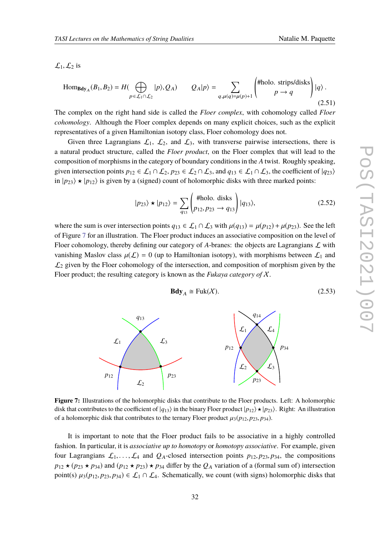$\mathcal{L}_1, \mathcal{L}_2$  is

$$
\text{Hom}_{\text{Bdy}_A}(B_1, B_2) = H(\bigoplus_{p \in \mathcal{L}_1 \cap \mathcal{L}_2} |p\rangle, Q_A) \qquad Q_A|p\rangle = \sum_{q, \mu(q) = \mu(p)+1} \begin{pmatrix} \text{\#holo. strips/disks} \\ p \to q \end{pmatrix} |q\rangle.
$$
\n(2.51)

The complex on the right hand side is called the *Floer complex*, with cohomology called *Floer cohomology*. Although the Floer complex depends on many explicit choices, such as the explicit representatives of a given Hamiltonian isotopy class, Floer cohomology does not.

Given three Lagrangians  $\mathcal{L}_1$ ,  $\mathcal{L}_2$ , and  $\mathcal{L}_3$ , with transverse pairwise intersections, there is a natural product structure, called the *Floer product*, on the Floer complex that will lead to the composition of morphisms in the category of boundary conditions in the *A* twist. Roughly speaking, given intersection points  $p_{12} \in L_1 \cap L_2$ ,  $p_{23} \in L_2 \cap L_3$ , and  $q_{13} \in L_1 \cap L_3$ , the coefficient of  $|q_{23}\rangle$ in  $|p_{23}\rangle \star |p_{12}\rangle$  is given by a (signed) count of holomorphic disks with three marked points:

$$
|p_{23}\rangle \star |p_{12}\rangle = \sum_{q_{13}} \begin{pmatrix} \text{\#holo. disks} \\ p_{12}, p_{23} \to q_{13} \end{pmatrix} |q_{13}\rangle, \tag{2.52}
$$

where the sum is over intersection points  $q_{13} \in L_1 \cap L_3$  with  $\mu(q_{13}) = \mu(p_{12}) + \mu(p_{23})$ . See the left of Figure [7](#page-31-0) for an illustration. The Floer product induces an associative composition on the level of Floer cohomology, thereby defining our category of  $A$ -branes: the objects are Lagrangians  $\mathcal L$  with vanishing Maslov class  $\mu(\mathcal{L}) = 0$  (up to Hamiltonian isotopy), with morphisms between  $\mathcal{L}_1$  and  $\mathcal{L}_2$  given by the Floer cohomology of the intersection, and composition of morphism given by the Floer product; the resulting category is known as the *Fukaya category of* X.

$$
\mathbf{Bdy}_{A} \cong \text{Fuk}(\mathcal{X}).\tag{2.53}
$$

<span id="page-31-0"></span>

**Figure 7:** Illustrations of the holomorphic disks that contribute to the Floer products. Left: A holomorphic disk that contributes to the coefficient of  $|q_{13}\rangle$  in the binary Floer product  $|p_{12}\rangle \star |p_{23}\rangle$ . Right: An illustration of a holomorphic disk that contributes to the ternary Floer product  $\mu_3(p_{12}, p_{23}, p_{34})$ .

It is important to note that the Floer product fails to be associative in a highly controlled fashion. In particular, it is *associative up to homotopy* or *homotopy associative*. For example, given four Lagrangians  $\mathcal{L}_1, \ldots, \mathcal{L}_4$  and  $\mathcal{Q}_A$ -closed intersection points  $p_{12}, p_{23}, p_{34}$ , the compositions  $p_{12} \star (p_{23} \star p_{34})$  and  $(p_{12} \star p_{23}) \star p_{34}$  differ by the  $Q_A$  variation of a (formal sum of) intersection point(s)  $\mu_3(p_{12}, p_{23}, p_{34}) \in \mathcal{L}_1 \cap \mathcal{L}_4$ . Schematically, we count (with signs) holomorphic disks that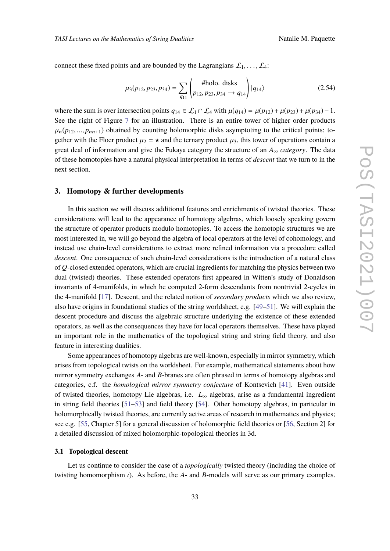connect these fixed points and are bounded by the Lagrangians  $\mathcal{L}_1, \ldots, \mathcal{L}_4$ :

$$
\mu_3(p_{12}, p_{23}, p_{34}) = \sum_{q_{14}} \left( \frac{\text{#holo. disks}}{p_{12}, p_{23}, p_{34} \to q_{14}} \right) |q_{14}\rangle \tag{2.54}
$$

where the sum is over intersection points  $q_{14} \in \mathcal{L}_1 \cap \mathcal{L}_4$  with  $\mu(q_{14}) = \mu(p_{12}) + \mu(p_{23}) + \mu(p_{34}) - 1$ . See the right of Figure [7](#page-31-0) for an illustration. There is an entire tower of higher order products  $\mu_n(p_{12},...,p_{nn+1})$  obtained by counting holomorphic disks asymptoting to the critical points; together with the Floer product  $\mu_2 = \star$  and the ternary product  $\mu_3$ , this tower of operations contain a great deal of information and give the Fukaya category the structure of an *A*<sup>∞</sup> *category*. The data of these homotopies have a natural physical interpretation in terms of *descent* that we turn to in the next section.

#### <span id="page-32-0"></span>**3. Homotopy & further developments**

In this section we will discuss additional features and enrichments of twisted theories. These considerations will lead to the appearance of homotopy algebras, which loosely speaking govern the structure of operator products modulo homotopies. To access the homotopic structures we are most interested in, we will go beyond the algebra of local operators at the level of cohomology, and instead use chain-level considerations to extract more refined information via a procedure called *descent*. One consequence of such chain-level considerations is the introduction of a natural class of *Q*-closed extended operators, which are crucial ingredients for matching the physics between two dual (twisted) theories. These extended operators first appeared in Witten's study of Donaldson invariants of 4-manifolds, in which he computed 2-form descendants from nontrivial 2-cycles in the 4-manifold [\[17\]](#page-76-5). Descent, and the related notion of *secondary products* which we also review, also have origins in foundational studies of the string worldsheet, e.g. [\[49](#page-78-3)[–51\]](#page-78-4). We will explain the descent procedure and discuss the algebraic structure underlying the existence of these extended operators, as well as the consequences they have for local operators themselves. These have played an important role in the mathematics of the topological string and string field theory, and also feature in interesting dualities.

Some appearances of homotopy algebras are well-known, especially in mirror symmetry, which arises from topological twists on the worldsheet. For example, mathematical statements about how mirror symmetry exchanges *A*- and *B*-branes are often phrased in terms of homotopy algebras and categories, c.f. the *homological mirror symmetry conjecture* of Kontsevich [\[41\]](#page-77-9). Even outside of twisted theories, homotopy Lie algebras, i.e. *L*<sup>∞</sup> algebras, arise as a fundamental ingredient in string field theories [\[51](#page-78-4)[–53\]](#page-78-5) and field theory [\[54\]](#page-78-6). Other homotopy algebras, in particular in holomorphically twisted theories, are currently active areas of research in mathematics and physics; see e.g. [\[55,](#page-78-7) Chapter 5] for a general discussion of holomorphic field theories or [\[56,](#page-78-8) Section 2] for a detailed discussion of mixed holomorphic-topological theories in 3d.

#### **3.1 Topological descent**

Let us continue to consider the case of a *topologically* twisted theory (including the choice of twisting homomorphism  $\iota$ ). As before, the *A*- and *B*-models will serve as our primary examples.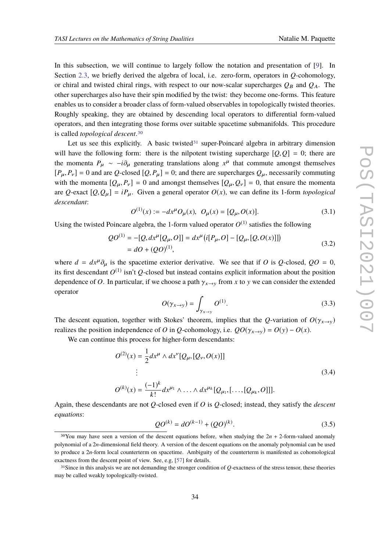In this subsection, we will continue to largely follow the notation and presentation of [\[9\]](#page-75-7). In Section [2.3,](#page-17-0) we briefly derived the algebra of local, i.e. zero-form, operators in *Q*-cohomology, or chiral and twisted chiral rings, with respect to our now-scalar supercharges  $Q_B$  and  $Q_A$ . The other supercharges also have their spin modified by the twist: they become one-forms. This feature enables us to consider a broader class of form-valued observables in topologically twisted theories. Roughly speaking, they are obtained by descending local operators to differential form-valued operators, and then integrating those forms over suitable spacetime submanifolds. This procedure is called *topological descent*.[30](#page-33-0)

Let us see this explicitly. A basic twisted  $31$  super-Poincaré algebra in arbitrary dimension will have the following form: there is the nilpotent twisting supercharge  $[Q, Q] = 0$ ; there are the momenta  $P_{\mu} \sim -i\partial_{\mu}$  generating translations along  $x^{\mu}$  that commute amongst themselves  $[P_\mu, P_\nu] = 0$  and are *Q*-closed  $[Q, P_\mu] = 0$ ; and there are supercharges  $Q_\mu$ , necessarily commuting with the momenta  $[Q_{\mu}, P_{\nu}] = 0$  and amongst themselves  $[Q_{\mu}, Q_{\nu}] = 0$ , that ensure the momenta are *Q*-exact  $[Q, Q_{\mu}] = iP_{\mu}$ . Given a general operator  $O(x)$ , we can define its 1-form *topological descendant*:

$$
O^{(1)}(x) := -dx^{\mu}O_{\mu}(x), O_{\mu}(x) = [Q_{\mu}, O(x)].
$$
\n(3.1)

Using the twisted Poincare algebra, the 1-form valued operator  $O^{(1)}$  satisfies the following

$$
QO^{(1)} = -[Q, dx^{\mu}[Q_{\mu}, O]] = dx^{\mu}[i[P_{\mu}, O] - [Q_{\mu}, [Q, O(x)]]]
$$
  
=  $dO + (QO)^{(1)}$ , (3.2)

where  $d = dx^{\mu}\partial_{\mu}$  is the spacetime exterior derivative. We see that if *O* is *Q*-closed,  $QO = 0$ , its first descendant  $O^{(1)}$  isn't  $Q$ -closed but instead contains explicit information about the position dependence of *O*. In particular, if we choose a path  $\gamma_{x\to y}$  from *x* to *y* we can consider the extended operator

$$
O(\gamma_{x \to y}) = \int_{\gamma_{x \to y}} O^{(1)}.
$$
\n(3.3)

The descent equation, together with Stokes' theorem, implies that the *Q*-variation of  $O(\gamma_{x\to y})$ realizes the position independence of *O* in *Q*-cohomology, i.e.  $QO(\gamma_{x\to y}) = O(y) - O(x)$ .

We can continue this process for higher-form descendants:

$$
O^{(2)}(x) = \frac{1}{2} dx^{\mu} \wedge dx^{\nu} [Q_{\mu}, [Q_{\nu}, O(x)]]
$$
  
\n
$$
\vdots
$$
  
\n
$$
O^{(k)}(x) = \frac{(-1)^{k}}{k!} dx^{\mu_{1}} \wedge \ldots \wedge dx^{\mu_{k}} [Q_{\mu_{1}}, [\ldots, [Q_{\mu_{k}}, O]]].
$$
\n(3.4)

Again, these descendants are not *Q*-closed even if *O* is *Q*-closed; instead, they satisfy the *descent equations*:

$$
QO^{(k)} = dO^{(k-1)} + (QO)^{(k)}.
$$
\n(3.5)

<span id="page-33-0"></span><sup>&</sup>lt;sup>30</sup>You may have seen a version of the descent equations before, when studying the  $2n + 2$ -form-valued anomaly polynomial of a 2*n*-dimensional field theory. A version of the descent equations on the anomaly polynomial can be used to produce a 2*n*-form local counterterm on spacetime. Ambiguity of the counterterm is manifested as cohomological exactness from the descent point of view. See, e.g, [\[57\]](#page-78-9) for details.

<span id="page-33-1"></span><sup>31</sup>Since in this analysis we are not demanding the stronger condition of *Q*-exactness of the stress tensor, these theories may be called weakly topologically-twisted.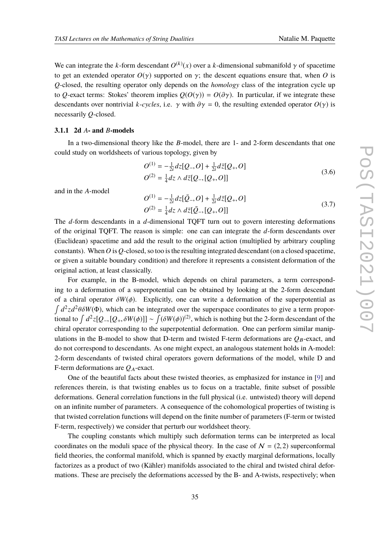We can integrate the *k*-form descendant  $O^{(k)}(x)$  over a *k*-dimensional submanifold  $\gamma$  of spacetime to get an extended operator  $O(\gamma)$  supported on  $\gamma$ ; the descent equations ensure that, when O is *Q*-closed, the resulting operator only depends on the *homology* class of the integration cycle up to *Q*-exact terms: Stokes' theorem implies  $Q(O(\gamma)) = O(\partial \gamma)$ . In particular, if we integrate these descendants over nontrivial *k*-*cycles*, i.e.  $\gamma$  with  $\partial \gamma = 0$ , the resulting extended operator  $O(\gamma)$  is necessarily *Q*-closed.

#### **3.1.1 2d** *A***- and** *B***-models**

In a two-dimensional theory like the *B*-model, there are 1- and 2-form descendants that one could study on worldsheets of various topology, given by

$$
O^{(1)} = -\frac{1}{2i}dz[Q_-,O] + \frac{1}{2i}d\bar{z}[Q_+,O]
$$
  
\n
$$
O^{(2)} = \frac{1}{4}dz \wedge d\bar{z}[Q_-, [Q_+,O]]
$$
\n(3.6)

and in the *A*-model

$$
O^{(1)} = -\frac{1}{2i}dz[\bar{Q}_-,O] + \frac{1}{2i}d\bar{z}[Q_+,O]
$$
  
\n
$$
O^{(2)} = \frac{1}{4}dz \wedge d\bar{z}[\bar{Q}_-, [Q_+,O]]
$$
\n(3.7)

The *d*-form descendants in a *d*-dimensional TQFT turn out to govern interesting deformations of the original TQFT. The reason is simple: one can can integrate the *d*-form descendants over (Euclidean) spacetime and add the result to the original action (multiplied by arbitrary coupling constants). When *O* is *Q*-closed, so too is the resulting integrated descendant (on a closed spacetime, or given a suitable boundary condition) and therefore it represents a consistent deformation of the original action, at least classically.

For example, in the B-model, which depends on chiral parameters, a term corresponding to a deformation of a superpotential can be obtained by looking at the 2-form descendant of a chiral operator  $\delta W(\phi)$ . Explicitly, one can write a deformation of the superpotential as  $\int d^2z d^2\theta \delta W(\Phi)$ , which can be integrated over the superspace coordinates to give a term proportional to  $\int d^2z [Q_-, [Q_+, \delta W(\phi)]] \sim \int (\delta W(\phi))^{(2)}$ , which is nothing but the 2-form descendant of the chiral operator corresponding to the superpotential deformation. One can perform similar manipulations in the B-model to show that D-term and twisted F-term deformations are  $Q_B$ -exact, and do not correspond to descendants. As one might expect, an analogous statement holds in A-model: 2-form descendants of twisted chiral operators govern deformations of the model, while D and F-term deformations are  $Q_A$ -exact.

One of the beautiful facts about these twisted theories, as emphasized for instance in [\[9\]](#page-75-7) and references therein, is that twisting enables us to focus on a tractable, finite subset of possible deformations. General correlation functions in the full physical (i.e. untwisted) theory will depend on an infinite number of parameters. A consequence of the cohomological properties of twisting is that twisted correlation functions will depend on the finite number of parameters (F-term or twisted F-term, respectively) we consider that perturb our worldsheet theory.

The coupling constants which multiply such deformation terms can be interpreted as local coordinates on the moduli space of the physical theory. In the case of  $N = (2, 2)$  superconformal field theories, the conformal manifold, which is spanned by exactly marginal deformations, locally factorizes as a product of two (Kähler) manifolds associated to the chiral and twisted chiral deformations. These are precisely the deformations accessed by the B- and A-twists, respectively; when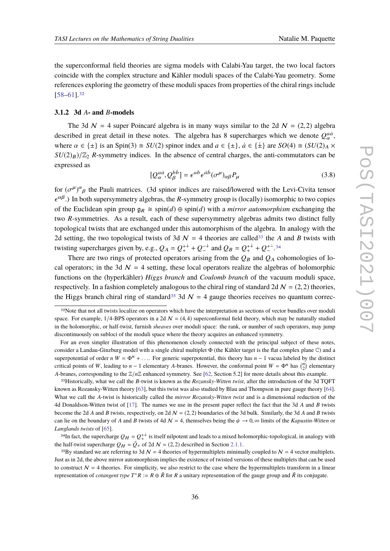the superconformal field theories are sigma models with Calabi-Yau target, the two local factors coincide with the complex structure and Kähler moduli spaces of the Calabi-Yau geometry. Some references exploring the geometry of these moduli spaces from properties of the chiral rings include [\[58](#page-78-10)[–61\]](#page-78-11).[32](#page-35-0)

#### **3.1.2 3d** *A***- and** *B***-models**

The 3d  $N = 4$  super Poincaré algebra is in many ways similar to the 2d  $N = (2, 2)$  algebra described in great detail in these notes. The algebra has 8 supercharges which we denote  $Q_{\alpha}^{a\dot{a}}$ , where  $\alpha \in {\pm}$  is an Spin(3)  $\cong SU(2)$  spinor index and  $a \in {\pm}$ ,  $\dot{a} \in {\dot{\pm}}$  are  $SO(4) \cong (SU(2)_A \times$  $SU(2)_B$ / $\mathbb{Z}_2$  *R*-symmetry indices. In the absence of central charges, the anti-commutators can be expressed as

β

$$
[Q_{\alpha}^{a\dot{a}}, Q_{\beta}^{b\dot{b}}] = \epsilon^{ab} \epsilon^{\dot{a}\dot{b}} (\sigma^{\mu})_{\alpha\beta} P_{\mu}
$$
 (3.8)

for  $(\sigma^{\mu})^{\alpha}{}_{\beta}$  the Pauli matrices. (3d spinor indices are raised/lowered with the Levi-Civita tensor  $\epsilon^{\alpha\beta}$ .) In both supersymmetry algebras, the *R*-symmetry group is (locally) isomorphic to two copies of the Euclidean spin group  $g_R \cong \text{spin}(d) \oplus \text{spin}(d)$  with a *mirror automorphism* exchanging the two *R*-symmetries. As a result, each of these supersymmetry algebras admits two distinct fully topological twists that are exchanged under this automorphism of the algebra. In analogy with the 2d setting, the two topological twists of 3d  $\mathcal{N} = 4$  theories are called<sup>[33](#page-35-1)</sup> the *A* and *B* twists with twisting supercharges given by, e.g.,  $Q_A = Q_+^{++} + Q_-^{-+}$  and  $Q_B = Q_+^{++} + Q_-^{+-}$ .<sup>[34](#page-35-2)</sup>

There are two rings of protected operators arising from the  $Q_B$  and  $Q_A$  cohomologies of local operators; in the 3d  $\mathcal{N} = 4$  setting, these local operators realize the algebras of holomorphic functions on the (hyperkähler) *Higgs branch* and *Coulomb branch* of the vacuum moduli space, respectively. In a fashion completely analogous to the chiral ring of standard 2d  $N = (2, 2)$  theories, the Higgs branch chiral ring of standard<sup>[35](#page-35-3)</sup> 3d  $\mathcal{N} = 4$  gauge theories receives no quantum correc-

<span id="page-35-1"></span>33Historically, what we call the *B*-twist is known as the *Rozansky-Witten twist*, after the introduction of the 3d TQFT known as Rozansky-Witten theory [\[63\]](#page-78-13), but this twist was also studied by Blau and Thompson in pure gauge theory [\[64\]](#page-79-0). What we call the *A*-twist is historically called the *mirror Rozansky-Witten twist* and is a dimensional reduction of the 4d Donaldson-Witten twist of [\[17\]](#page-76-5). The names we use in the present paper reflect the fact that the 3d *A* and *B* twists become the 2d *A* and *B* twists, respectively, on 2d  $\mathcal{N} = (2, 2)$  boundaries of the 3d bulk. Similarly, the 3d *A* and *B* twists can lie on the boundary of *A* and *B* twists of 4d  $\mathcal{N} = 4$ , themselves being the  $\psi \to 0$ ,  $\infty$  limits of the *Kapustin-Witten* or *Langlands twists* of [\[65\]](#page-79-1).

<span id="page-35-2"></span><sup>34</sup>In fact, the supercharge  $Q_H = Q_+^{++}$  is itself nilpotent and leads to a mixed holomorphic-topological, in analogy with the half-twist supercharge  $Q_H = \overline{Q}_+$  of 2d  $\mathcal{N} = (2, 2)$  described in Section [2.1.1.](#page-4-0)

<span id="page-35-3"></span><sup>35</sup>By standard we are referring to 3d  $\mathcal{N} = 4$  theories of hypermultiplets minimally coupled to  $\mathcal{N} = 4$  vector multiplets. Just as in 2d, the above mirror automorphism implies the existence of twisted versions of these multiplets that can be used to construct  $N = 4$  theories. For simplicity, we also restrict to the case where the hypermultiplets transform in a linear representation of *cotangent type*  $T^*R := R \oplus \overline{R}$  for  $R$  a unitary representation of the gauge group and  $\overline{R}$  its conjugate.

<span id="page-35-0"></span><sup>&</sup>lt;sup>32</sup>Note that not all twists localize on operators which have the interpretation as sections of vector bundles over moduli space. For example,  $1/4$ -BPS operators in a 2d  $\mathcal{N} = (4, 4)$  superconformal field theory, which may be naturally studied in the holomorphic, or half-twist, furnish *sheaves* over moduli space: the rank, or number of such operators, may jump discontinuously on subloci of the moduli space where the theory acquires an enhanced symmetry.

For an even simpler illustration of this phenomenon closely connected with the principal subject of these notes, consider a Landau-Ginzburg model with a single chiral multiplet Φ (the Kähler target is the flat complex plane C) and a superpotential of order *n*  $W = \Phi^n + \dots$  For generic superpotential, this theory has  $n - 1$  vacua labeled by the distinct critical points of *W*, leading to *n* − 1 elementary *A*-branes. However, the conformal point  $W = \Phi^n$  has  $\binom{n}{2}$  elementary *A*-branes, corresponding to the  $\mathbb{Z}/n\mathbb{Z}$  enhanced symmetry. See [\[62,](#page-78-12) Section 5.2] for more details about this example.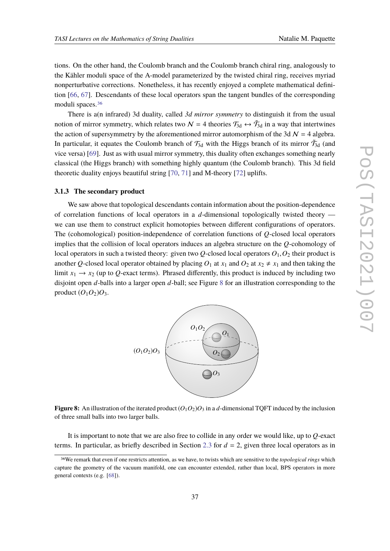tions. On the other hand, the Coulomb branch and the Coulomb branch chiral ring, analogously to the Kähler moduli space of the A-model parameterized by the twisted chiral ring, receives myriad nonperturbative corrections. Nonetheless, it has recently enjoyed a complete mathematical definition [\[66,](#page-79-0) [67\]](#page-79-1). Descendants of these local operators span the tangent bundles of the corresponding moduli spaces.[36](#page-36-0)

There is a(n infrared) 3d duality, called *3d mirror symmetry* to distinguish it from the usual notion of mirror symmetry, which relates two  $\mathcal{N} = 4$  theories  $\mathcal{T}_{3d} \leftrightarrow \tilde{\mathcal{T}}_{3d}$  in a way that intertwines the action of supersymmetry by the aforementioned mirror automorphism of the 3d  $\mathcal{N} = 4$  algebra. In particular, it equates the Coulomb branch of  $\mathcal{T}_{3d}$  with the Higgs branch of its mirror  $\tilde{\mathcal{T}}_{3d}$  (and vice versa) [\[69\]](#page-79-2). Just as with usual mirror symmetry, this duality often exchanges something nearly classical (the Higgs branch) with something highly quantum (the Coulomb branch). This 3d field theoretic duality enjoys beautiful string [\[70,](#page-79-3) [71\]](#page-79-4) and M-theory [\[72\]](#page-79-5) uplifts.

#### <span id="page-36-2"></span>**3.1.3 The secondary product**

We saw above that topological descendants contain information about the position-dependence of correlation functions of local operators in a *d*-dimensional topologically twisted theory we can use them to construct explicit homotopies between different configurations of operators. The (cohomological) position-independence of correlation functions of *Q*-closed local operators implies that the collision of local operators induces an algebra structure on the *Q*-cohomology of local operators in such a twisted theory: given two  $Q$ -closed local operators  $O_1$ ,  $O_2$  their product is another *Q*-closed local operator obtained by placing  $O_1$  at  $x_1$  and  $O_2$  at  $x_2 \neq x_1$  and then taking the limit  $x_1 \rightarrow x_2$  (up to Q-exact terms). Phrased differently, this product is induced by including two disjoint open *d*-balls into a larger open *d*-ball; see Figure [8](#page-36-1) for an illustration corresponding to the product  $(O_1O_2)O_3$ .

<span id="page-36-1"></span>

**Figure 8:** An illustration of the iterated product  $(O_1O_2)O_3$  in a *d*-dimensional TQFT induced by the inclusion of three small balls into two larger balls.

It is important to note that we are also free to collide in any order we would like, up to *Q*-exact terms. In particular, as briefly described in Section [2.3](#page-17-0) for  $d = 2$ , given three local operators as in

<span id="page-36-0"></span><sup>36</sup>We remark that even if one restricts attention, as we have, to twists which are sensitive to the *topological rings* which capture the geometry of the vacuum manifold, one can encounter extended, rather than local, BPS operators in more general contexts (e.g. [\[68\]](#page-79-6)).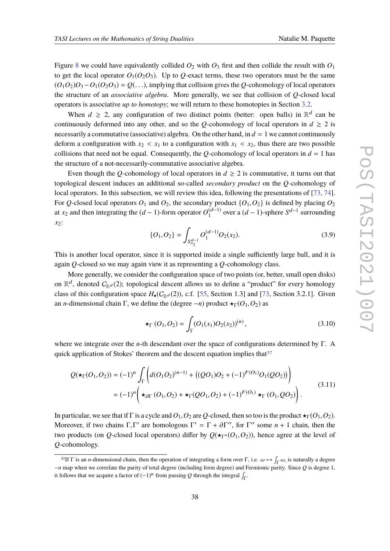Figure [8](#page-36-1) we could have equivalently collided  $O_2$  with  $O_3$  first and then collide the result with  $O_1$ to get the local operator  $O_1(O_2 O_3)$ . Up to *Q*-exact terms, these two operators must be the same  $(O_1O_2)O_3 - O_1(O_2O_3) = O(\ldots)$ , implying that collision gives the *Q*-cohomology of local operators the structure of an *associative algebra*. More generally, we see that collision of *Q*-closed local operators is associative *up to homotopy*; we will return to these homotopies in Section [3.2.](#page-39-0)

When  $d \geq 2$ , any configuration of two distinct points (better: open balls) in  $\mathbb{R}^d$  can be continuously deformed into any other, and so the *Q*-cohomology of local operators in  $d \ge 2$  is necessarily a commutative (associative) algebra. On the other hand, in  $d = 1$  we cannot continuously deform a configuration with  $x_2 < x_1$  to a configuration with  $x_1 < x_2$ , thus there are two possible collisions that need not be equal. Consequently, the *Q*-cohomology of local operators in  $d = 1$  has the structure of a not-necessarily-commutative associative algebra.

Even though the *Q*-cohomology of local operators in  $d \geq 2$  is commutative, it turns out that topological descent induces an additional so-called *secondary product* on the *Q*-cohomology of local operators. In this subsection, we will review this idea, following the presentations of [\[73,](#page-79-7) [74\]](#page-79-8). For *Q*-closed local operators  $O_1$  and  $O_2$ , the secondary product  $\{O_1, O_2\}$  is defined by placing  $O_2$ at *x*<sub>2</sub> and then integrating the  $(d-1)$ -form operator  $O_1^{(d-1)}$  over a  $(d-1)$ -sphere  $S^{d-1}$  surrounding *x*2:

$$
\{O_1, O_2\} = \int_{S_{x_2}^{d-1}} O_1^{(d-1)} O_2(x_2).
$$
 (3.9)

This is another local operator, since it is supported inside a single sufficiently large ball, and it is again *Q*-closed so we may again view it as representing a *Q*-cohomology class.

More generally, we consider the configuration space of two points (or, better, small open disks) on  $\mathbb{R}^d$ , denoted  $C_{\mathbb{R}^d}(2)$ ; topological descent allows us to define a "product" for every homology class of this configuration space  $H_{\bullet}(C_{\mathbb{R}^d}(2))$ , c.f. [\[55,](#page-78-0) Section 1.3] and [\[73,](#page-79-7) Section 3.2.1]. Given an *n*-dimensional chain Γ, we define the (degree  $-n$ ) product  $\star_{\Gamma}(O_1, O_2)$  as

$$
\star_{\Gamma}(O_1, O_2) = \int_{\Gamma}(O_1(x_1)O_2(x_2))^{(n)}, \tag{3.10}
$$

where we integrate over the *n*-th descendant over the space of configurations determined by Γ. A quick application of Stokes' theorem and the descent equation implies that  $37$ 

$$
Q(\star_{\Gamma}(O_1, O_2)) = (-1)^n \int_{\Gamma} \left( d(O_1 O_2)^{(n-1)} + ((Q O_1) O_2 + (-1)^{F(O_1)} O_1(Q O_2)) \right)
$$
  
=  $(-1)^n \left( \star_{\partial \Gamma} (O_1, O_2) + \star_{\Gamma} (Q O_1, O_2) + (-1)^{F(O_1)} \star_{\Gamma} (O_1, Q O_2) \right).$  (3.11)

In particular, we see that if Γ is a cycle and  $O_1$ ,  $O_2$  are *Q*-closed, then so too is the product  $\star_\Gamma(O_1, O_2)$ . Moreover, if two chains  $\Gamma, \Gamma'$  are homologous  $\Gamma' = \Gamma + \partial \Gamma''$ , for  $\Gamma''$  some  $n + 1$  chain, then the two products (on *Q*-closed local operators) differ by  $Q(\star_{\Gamma''}(O_1,O_2))$ , hence agree at the level of *Q*-cohomology.

<span id="page-37-0"></span><sup>&</sup>lt;sup>37</sup>If  $\Gamma$  is an *n*-dimensional chain, then the operation of integrating a form over  $\Gamma$ , i.e.  $\omega \mapsto \int_{\Gamma} \omega$ , is naturally a degree −*n* map when we correlate the parity of total degree (including form degree) and Fermionic parity. Since *Q* is degree 1, it follows that we acquire a factor of  $(-1)^n$  from passing *Q* through the integral  $\int_{\Gamma}$ .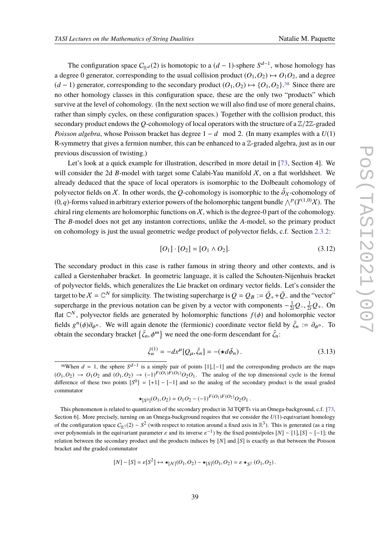The configuration space  $C_{\mathbb{R}^d}(2)$  is homotopic to a  $(d-1)$ -sphere  $S^{d-1}$ , whose homology has a degree 0 generator, corresponding to the usual collision product  $(O_1, O_2) \mapsto O_1O_2$ , and a degree  $(d-1)$  generator, corresponding to the secondary product  $(O_1, O_2) \mapsto {O_1, O_2}$ .<sup>[38](#page-38-0)</sup> Since there are no other homology classes in this configuration space, these are the only two "products" which survive at the level of cohomology. (In the next section we will also find use of more general chains, rather than simply cycles, on these configuration spaces.) Together with the collision product, this secondary product endows the *<sup>Q</sup>*-cohomology of local operators with the structure of a <sup>Z</sup>/2Z-graded *Poisson algebra*, whose Poisson bracket has degree 1 − *d* mod 2. (In many examples with a  $U(1)$ ) R-symmetry that gives a fermion number, this can be enhanced to a  $\mathbb{Z}$ -graded algebra, just as in our previous discussion of twisting.)

Let's look at a quick example for illustration, described in more detail in [\[73,](#page-79-7) Section 4]. We will consider the 2d *B*-model with target some Calabi-Yau manifold  $X$ , on a flat worldsheet. We already deduced that the space of local operators is isomorphic to the Dolbeault cohomology of polyvector fields on X. In other words, the Q-cohomology is isomorphic to the  $\bar{\partial}_X$ -cohomology of  $(0, q)$ -forms valued in arbitrary exterior powers of the holomorphic tangent bundle  $\bigwedge^p (T^{(1,0)}X)$ . The chiral ring elements are holomorphic functions on  $X$ , which is the degree-0 part of the cohomology. The *B*-model does not get any instanton corrections, unlike the *A*-model, so the primary product on cohomology is just the usual geometric wedge product of polyvector fields, c.f. Section [2.3.2:](#page-18-0)

$$
[O_1] \cdot [O_2] = [O_1 \wedge O_2]. \tag{3.12}
$$

The secondary product in this case is rather famous in string theory and other contexts, and is called a Gerstenhaber bracket. In geometric language, it is called the Schouten-Nijenhuis bracket of polyvector fields, which generalizes the Lie bracket on ordinary vector fields. Let's consider the target to be  $X = \mathbb{C}^N$  for simplicity. The twisting supercharge is  $Q = Q_B := \bar{Q}_+ + \bar{Q}_-$  and the "vector" supercharge in the previous notation can be given by a vector with components  $-\frac{1}{2i}Q_-, \frac{1}{2i}Q_+$ . On flat  $\mathbb{C}^N$ , polyvector fields are generated by holomorphic functions  $f(\phi)$  and holomorphic vector fields  $g^n(\phi)\partial_{\phi^n}$ . We will again denote the (fermionic) coordinate vector field by  $\bar{\zeta}_n := \partial_{\phi^n}$ . To obtain the secondary bracket  $\{\bar{\zeta}_n, \phi^m\}$  we need the one-form descendant for  $\bar{\zeta}_n$ :

$$
\bar{\zeta}_n^{(1)} = -dx^\mu [Q_\mu, \bar{\zeta}_n] = -(\star d\bar{\phi}_n). \tag{3.13}
$$

$$
\star_{[S^0]}(O_1,O_2) = O_1O_2 - (-1)^{F(O_1)F(O_2)}O_2O_1.
$$

$$
[N] - [S] = \varepsilon[S^2] \leftrightarrow \star_{[N]}(O_1, O_2) - \star_{[S]}(O_1, O_2) = \varepsilon \star_{S^2} (O_1, O_2).
$$

<span id="page-38-0"></span><sup>&</sup>lt;sup>38</sup>When  $d = 1$ , the sphere  $S^{d-1}$  is a simply pair of points [1], [-1] and the corresponding products are the maps  $(O_1, O_2) \rightarrow O_1O_2$  and  $(O_1, O_2) \rightarrow (-1)^{F(O_1)F(O_2)}O_2O_1$ . The analog of the top dimensional cycle is the formal difference of these two points  $[S^0] = [+1] - [-1]$  and so the analog of the secondary product is the usual graded commutator

This phenomenon is related to quantization of the secondary product in 3d TQFTs via an Omega-background, c.f. [\[73,](#page-79-7) Section 6]. More precisely, turning on an Omega-background requires that we consider the *U*(1)-equivariant homology of the configuration space  $C_{\mathbb{R}^3}(2) \sim S^2$  (with respect to rotation around a fixed axis in  $\mathbb{R}^3$ ). This is generated (as a ring over polynomials in the equivariant parameter  $\varepsilon$  and its inverse  $\varepsilon^{-1}$ ) by the fixed points/poles  $[N] \sim [1], [S] \sim [-1]$ ; the relation between the secondary product and the products induces by  $[N]$  and  $[S]$  is exactly as that between the Poisson bracket and the graded commutator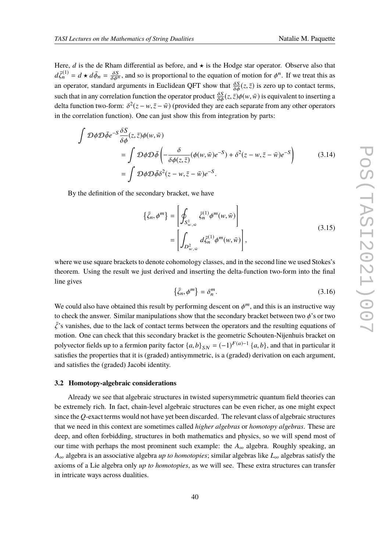Here, *d* is the de Rham differential as before, and  $\star$  is the Hodge star operator. Observe also that  $d\bar{\zeta}_n^{(1)} = d \star d\bar{\phi}_n = \frac{\delta S}{\delta \phi^n}$ , and so is proportional to the equation of motion for  $\phi^n$ . If we treat this as an operator, standard arguments in Euclidean QFT show that  $\frac{\delta S}{\delta \phi}(z,\bar{z})$  is zero up to contact terms, such that in any correlation function the operator product  $\frac{\delta S}{\delta \phi}(z, \bar{z})\phi(w, \bar{w})$  is equivalent to inserting a delta function two form:  $\delta^2(z - w, \bar{z} - \bar{w})$  (provided they are each separate from any other operator delta function two-form:  $\delta^2(z - w, \bar{z} - \bar{w})$  (provided they are each separate from any other operators in the correlation function). One can just show this from integration by parts:

$$
\int \mathcal{D}\phi \mathcal{D}\bar{\phi}e^{-S}\frac{\delta S}{\delta\phi}(z,\bar{z})\phi(w,\bar{w})
$$
\n
$$
= \int \mathcal{D}\phi \mathcal{D}\bar{\phi}\left(-\frac{\delta}{\delta\phi(z,\bar{z})}(\phi(w,\bar{w})e^{-S}) + \delta^{2}(z-w,\bar{z}-\bar{w})e^{-S}\right)
$$
\n
$$
= \int \mathcal{D}\phi \mathcal{D}\bar{\phi}\delta^{2}(z-w,\bar{z}-\bar{w})e^{-S}.
$$
\n(3.14)

By the definition of the secondary bracket, we have

$$
\{\bar{\zeta}_n, \phi^m\} = \left[\oint_{S^1_{w,\bar{w}}} \bar{\zeta}_n^{(1)} \phi^m(w,\bar{w})\right]
$$

$$
= \left[\int_{D^2_{w,\bar{w}}} d\bar{\zeta}_n^{(1)} \phi^m(w,\bar{w})\right],
$$
(3.15)

where we use square brackets to denote cohomology classes, and in the second line we used Stokes's theorem. Using the result we just derived and inserting the delta-function two-form into the final line gives

$$
\{\bar{\zeta}_n, \phi^m\} = \delta_n^m. \tag{3.16}
$$

We could also have obtained this result by performing descent on  $\phi^m$ , and this is an instructive way to check the answer. Similar manipulations show that the secondary bracket between two  $\phi$ 's or two  $\bar{\zeta}$ 's vanishes, due to the lack of contact terms between the operators and the resulting equations of motion. One can check that this secondary bracket is the geometric Schouten-Nijenhuis bracket on polyvector fields up to a fermion parity factor  $\{a, b\}_{SN} = (-1)^{F(a)-1} \{a, b\}$ , and that in particular it satisfies the properties that it is (graded) antisymmetric, is a (graded) derivation on each argument, and satisfies the (graded) Jacobi identity.

#### <span id="page-39-0"></span>**3.2 Homotopy-algebraic considerations**

Already we see that algebraic structures in twisted supersymmetric quantum field theories can be extremely rich. In fact, chain-level algebraic structures can be even richer, as one might expect since the *Q*-exact terms would not have yet been discarded. The relevant class of algebraic structures that we need in this context are sometimes called *higher algebras* or *homotopy algebras*. These are deep, and often forbidding, structures in both mathematics and physics, so we will spend most of our time with perhaps the most prominent such example: the *A*<sup>∞</sup> algebra. Roughly speaking, an *A*<sup>∞</sup> algebra is an associative algebra *up to homotopies*; similar algebras like *L*<sup>∞</sup> algebras satisfy the axioms of a Lie algebra only *up to homotopies*, as we will see. These extra structures can transfer in intricate ways across dualities.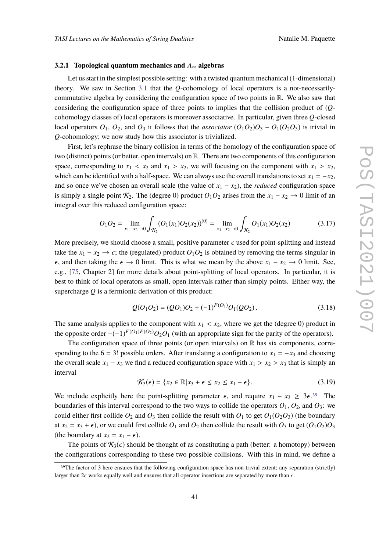#### <span id="page-40-1"></span>**3.2.1 Topological quantum mechanics and** *A*<sup>∞</sup> **algebras**

Let us start in the simplest possible setting: with a twisted quantum mechanical (1-dimensional) theory. We saw in Section [3.1](#page-32-0) that the *Q*-cohomology of local operators is a not-necessarilycommutative algebra by considering the configuration space of two points in  $\mathbb{R}$ . We also saw that considering the configuration space of three points to implies that the collision product of (*Q*cohomology classes of) local operators is moreover associative. In particular, given three *Q*-closed local operators  $O_1$ ,  $O_2$ , and  $O_3$  it follows that the *associator*  $(O_1O_2)O_3 - O_1(O_2O_3)$  is trivial in *Q*-cohomology; we now study how this associator is trivialized.

First, let's rephrase the binary collision in terms of the homology of the configuration space of two (distinct) points (or better, open intervals) on R. There are two components of this configuration space, corresponding to  $x_1 < x_2$  and  $x_1 > x_2$ , we will focusing on the component with  $x_1 > x_2$ , which can be identified with a half-space. We can always use the overall translations to set  $x_1 = -x_2$ , and so once we've chosen an overall scale (the value of  $x_1 - x_2$ ), the *reduced* configuration space is simply a single point  $K_2$ . The (degree 0) product  $O_1O_2$  arises from the  $x_1 - x_2 \rightarrow 0$  limit of an integral over this reduced configuration space:

$$
O_1O_2 = \lim_{x_1 - x_2 \to 0} \int_{\mathcal{K}_2} (O_1(x_1)O_2(x_2))^{(0)} = \lim_{x_1 - x_2 \to 0} \int_{\mathcal{K}_2} O_1(x_1)O_2(x_2)
$$
(3.17)

More precisely, we should choose a small, positive parameter  $\epsilon$  used for point-splitting and instead take the  $x_1 - x_2 \rightarrow \epsilon$ ; the (regulated) product  $O_1O_2$  is obtained by removing the terms singular in  $\epsilon$ , and then taking the  $\epsilon \to 0$  limit. This is what we mean by the above  $x_1 - x_2 \to 0$  limit. See, e.g., [\[75,](#page-79-9) Chapter 2] for more details about point-splitting of local operators. In particular, it is best to think of local operators as small, open intervals rather than simply points. Either way, the supercharge *Q* is a fermionic derivation of this product:

$$
Q(O_1O_2) = (QO_1)O_2 + (-1)^{F(O_1)}O_1(QO_2).
$$
\n(3.18)

The same analysis applies to the component with  $x_1 < x_2$ , where we get the (degree 0) product in the opposite order  $-(-1)^{F(O_1)F(O_2)}O_2O_1$  (with an appropriate sign for the parity of the operators).

The configuration space of three points (or open intervals) on  $\mathbb R$  has six components, corresponding to the 6 = 3! possible orders. After translating a configuration to  $x_1 = -x_3$  and choosing the overall scale  $x_1 - x_3$  we find a reduced configuration space with  $x_1 > x_2 > x_3$  that is simply an interval

$$
\mathcal{K}_3(\epsilon) = \{x_2 \in \mathbb{R} | x_3 + \epsilon \le x_2 \le x_1 - \epsilon\}.
$$
\n(3.19)

We include explicitly here the point-splitting parameter  $\epsilon$ , and require  $x_1 - x_3 \geq 3\epsilon^{39}$  $x_1 - x_3 \geq 3\epsilon^{39}$  $x_1 - x_3 \geq 3\epsilon^{39}$ . The boundaries of this interval correspond to the two ways to collide the operators  $O_1$ ,  $O_2$ , and  $O_3$ : we could either first collide  $O_2$  and  $O_3$  then collide the result with  $O_1$  to get  $O_1(O_2 O_3)$  (the boundary at  $x_2 = x_3 + \epsilon$ , or we could first collide  $O_1$  and  $O_2$  then collide the result with  $O_3$  to get  $(O_1O_2)O_3$ (the boundary at  $x_2 = x_1 - \epsilon$ ).

The points of  $\mathcal{K}_3(\epsilon)$  should be thought of as constituting a path (better: a homotopy) between the configurations corresponding to these two possible collisions. With this in mind, we define a

<span id="page-40-0"></span><sup>39</sup>The factor of 3 here ensures that the following configuration space has non-trivial extent; any separation (strictly) larger than  $2\epsilon$  works equally well and ensures that all operator insertions are separated by more than  $\epsilon$ .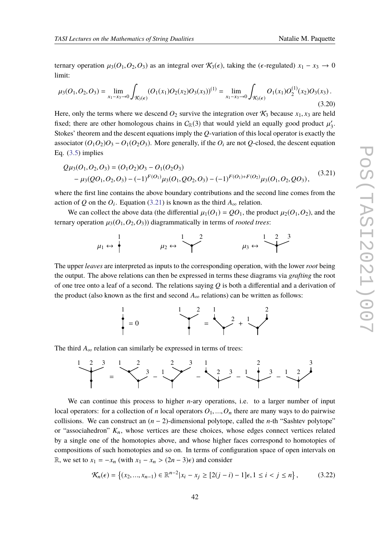ternary operation  $\mu_3(O_1, O_2, O_3)$  as an integral over  $\mathcal{K}_3(\epsilon)$ , taking the ( $\epsilon$ -regulated)  $x_1 - x_3 \to 0$ limit:

$$
\mu_3(O_1, O_2, O_3) = \lim_{x_1 - x_3 \to 0} \int_{\mathcal{K}_3(\epsilon)} (O_1(x_1) O_2(x_2) O_3(x_3))^{(1)} = \lim_{x_1 - x_3 \to 0} \int_{\mathcal{K}_3(\epsilon)} O_1(x_1) O_2^{(1)}(x_2) O_3(x_3).
$$
\n(3.20)

Here, only the terms where we descend  $O_2$  survive the integration over  $K_3$  because  $x_1, x_3$  are held fixed; there are other homologous chains in  $C_{\mathbb{R}}(3)$  that would yield an equally good product  $\mu'_3$ . Stokes' theorem and the descent equations imply the *Q*-variation of this local operator is exactly the associator  $(O_1O_2)O_3 - O_1(O_2O_3)$ . More generally, if the *O<sub>i</sub>* are not *Q*-closed, the descent equation Eq.  $(3.5)$  implies

<span id="page-41-0"></span>
$$
Q\mu_3(O_1, O_2, O_3) = (O_1O_2)O_3 - O_1(O_2O_3)
$$
  
-  $\mu_3(QO_1, O_2, O_3) - (-1)^{F(O_1)}\mu_3(O_1, QO_2, O_3) - (-1)^{F(O_1) + F(O_2)}\mu_3(O_1, O_2, QO_3),$  (3.21)

where the first line contains the above boundary contributions and the second line comes from the action of *Q* on the  $O_i$ . Equation [\(3.21\)](#page-41-0) is known as the third  $A_\infty$  relation.

We can collect the above data (the differential  $\mu_1(O_1) = QO_1$ , the product  $\mu_2(O_1, O_2)$ , and the ternary operation  $\mu_3(O_1, O_2, O_3)$  diagrammatically in terms of *rooted trees*:

$$
\mu_1 \leftrightarrow \begin{matrix} 1 \\ \ast \\ \ast \end{matrix} \qquad \qquad \mu_2 \leftrightarrow \begin{matrix} 1 & 2 & 3 \\ \ast & \\ \ast & \\ \ast \end{matrix} \qquad \qquad \mu_3 \leftrightarrow \begin{matrix} 1 & 2 & 3 \\ \ast & \\ \ast & \\ \ast \end{matrix}
$$

The upper *leaves* are interpreted as inputs to the corresponding operation, with the lower *root* being the output. The above relations can then be expressed in terms these diagrams via *grafting* the root of one tree onto a leaf of a second. The relations saying *Q* is both a differential and a derivation of the product (also known as the first and second  $A_{\infty}$  relations) can be written as follows:



The third  $A_{\infty}$  relation can similarly be expressed in terms of trees:



We can continue this process to higher *n*-ary operations, i.e. to a larger number of input local operators: for a collection of *n* local operators  $O_1, ..., O_n$  there are many ways to do pairwise collisions. We can construct an  $(n-2)$ -dimensional polytope, called the *n*-th "Sashtev polytope" or "associahedron" *K*n, whose vertices are these choices, whose edges connect vertices related by a single one of the homotopies above, and whose higher faces correspond to homotopies of compositions of such homotopies and so on. In terms of configuration space of open intervals on R, we set to  $x_1 = -x_n$  (with  $x_1 - x_n > (2n - 3)\epsilon$ ) and consider

$$
\mathcal{K}_n(\epsilon) = \left\{ (x_2, ..., x_{n-1}) \in \mathbb{R}^{n-2} | x_i - x_j \geq [2(j-i)-1] \epsilon, 1 \leq i < j \leq n \right\},\tag{3.22}
$$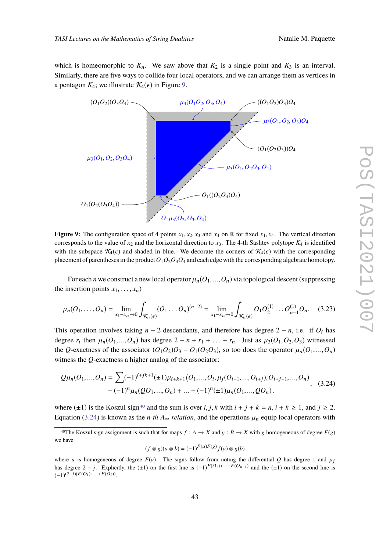which is homeomorphic to  $K_n$ . We saw above that  $K_2$  is a single point and  $K_3$  is an interval. Similarly, there are five ways to collide four local operators, and we can arrange them as vertices in a pentagon  $K_4$ ; we illustrate  $\mathcal{K}_4(\epsilon)$  in Figure [9.](#page-42-0)

<span id="page-42-0"></span>

**Figure 9:** The configuration space of 4 points  $x_1, x_2, x_3$  and  $x_4$  on R for fixed  $x_1, x_4$ . The vertical direction corresponds to the value of  $x_2$  and the horizontal direction to  $x_3$ . The 4-th Sashtev polytope  $K_4$  is identified with the subspace  $\mathcal{K}_4(\epsilon)$  and shaded in blue. We decorate the corners of  $\mathcal{K}_4(\epsilon)$  with the corresponding placement of parentheses in the product  $O_1O_2O_3O_4$  and each edge with the corresponding algebraic homotopy.

For each *n* we construct a new local operator  $\mu_n(O_1, ..., O_n)$  via topological descent (suppressing the insertion points  $x_1, \ldots, x_n$ )

$$
\mu_n(O_1,\ldots,O_n) = \lim_{x_1 - x_n \to 0} \int_{\mathcal{K}_n(\epsilon)} (O_1 \ldots O_n)^{(n-2)} = \lim_{x_1 - x_n \to 0} \int_{\mathcal{K}_n(\epsilon)} O_1 O_2^{(1)} \ldots O_{n-1}^{(1)} O_n. \tag{3.23}
$$

This operation involves taking  $n - 2$  descendants, and therefore has degree  $2 - n$ , i.e. if  $O_i$  has degree  $r_i$  then  $\mu_n(O_1, ..., O_n)$  has degree  $2 - n + r_1 + ... + r_n$ . Just as  $\mu_3(O_1, O_2, O_3)$  witnessed the *Q*-exactness of the associator  $(O_1O_2)O_3 - O_1(O_2O_3)$ , so too does the operator  $\mu_n(O_1,...,O_n)$ witness the *Q*-exactness a higher analog of the associator:

<span id="page-42-2"></span>
$$
Q\mu_n(O_1, ..., O_n) = \sum (-1)^{i+jk+1} (\pm 1)\mu_{i+k+1}(O_1, ..., O_i, \mu_j(O_{i+1}, ..., O_{i+j}), O_{i+j+1}, ..., O_n) + (-1)^n \mu_n(QO_1, ..., O_n) + ... + (-1)^n (\pm 1)\mu_n(O_1, ..., QO_n).
$$
 (3.24)

where  $(\pm 1)$  is the Koszul sign<sup>[40](#page-42-1)</sup> and the sum is over *i*, *j*, *k* with  $i + j + k = n$ ,  $i + k \ge 1$ , and  $j \ge 2$ . Equation [\(3.24\)](#page-42-2) is known as the *n-th*  $A_{\infty}$  *relation*, and the operations  $\mu_n$  equip local operators with

<span id="page-42-1"></span><sup>40</sup>The Koszul sign assignment is such that for maps  $f : A \rightarrow X$  and  $g : B \rightarrow X$  with g homogeneous of degree  $F(g)$ we have

$$
(f \otimes g)(a \otimes b) = (-1)^{F(a)F(g)} f(a) \otimes g(b)
$$

where *a* is homogeneous of degree  $F(a)$ . The signs follow from noting the differential *Q* has degree 1 and  $\mu_i$ has degree  $2 - j$ . Explicitly, the (±1) on the first line is  $(-1)^{F(O_1)+...+F(O_{n-1})}$  and the (±1) on the second line is  $(-1)^{(2-j)(F(O_1)+...+F(O_i))}$ .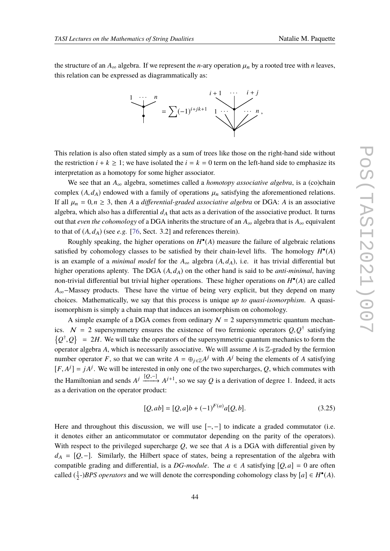the structure of an  $A_{\infty}$  algebra. If we represent the *n*-ary operation  $\mu_n$  by a rooted tree with *n* leaves, this relation can be expressed as diagrammatically as:



This relation is also often stated simply as a sum of trees like those on the right-hand side without the restriction  $i + k \ge 1$ ; we have isolated the  $i = k = 0$  term on the left-hand side to emphasize its interpretation as a homotopy for some higher associator.

We see that an  $A_{\infty}$  algebra, sometimes called a *homotopy associative algebra*, is a (co)chain complex  $(A, d<sub>A</sub>)$  endowed with a family of operations  $\mu<sub>n</sub>$  satisfying the aforementioned relations. If all  $\mu_n = 0, n \geq 3$ , then *A* a *differential-graded associative algebra* or DGA: *A* is an associative algebra, which also has a differential  $d_A$  that acts as a derivation of the associative product. It turns out that *even the cohomology* of a DGA inherits the structure of an  $A_{\infty}$  algebra that is  $A_{\infty}$  equivalent to that of  $(A, d<sub>A</sub>)$  (see *e.g.* [\[76,](#page-79-10) Sect. 3.2] and references therein).

Roughly speaking, the higher operations on *H* • (*A*) measure the failure of algebraic relations satisfied by cohomology classes to be satisfied by their chain-level lifts. The homology *H* • (*A*) is an example of a *minimal model* for the  $A_{\infty}$  algebra  $(A, d_A)$ , i.e. it has trivial differential but higher operations aplenty. The DGA  $(A, d<sub>A</sub>)$  on the other hand is said to be *anti-minimal*, having non-trivial differential but trivial higher operations. These higher operations on *H* • (*A*) are called *A*∞−Massey products. These have the virtue of being very explicit, but they depend on many choices. Mathematically, we say that this process is unique *up to quasi-isomorphism*. A quasiisomorphism is simply a chain map that induces an isomorphism on cohomology.

A simple example of a DGA comes from ordinary  $N = 2$  supersymmetric quantum mechanics.  $N = 2$  supersymmetry ensures the existence of two fermionic operators  $Q, Q^{\dagger}$  satisfying  ${Q^{\dagger}, Q}$  = 2*H*. We will take the operators of the supersymmetric quantum mechanics to form the operator algebra *A*, which is necessarily associative. We will assume *A* is Z-graded by the fermion number operator *F*, so that we can write  $A = \bigoplus_{j \in \mathbb{Z}} A^j$  with  $A^j$  being the elements of *A* satisfying  $[F, A^j] = jA^j$ . We will be interested in only one of the two supercharges, *Q*, which commutes with the Hamiltonian and sends  $A^j \xrightarrow{[Q,-]} A^{j+1}$ , so we say  $Q$  is a derivation of degree 1. Indeed, it acts as a derivation on the operator product:

$$
[Q, ab] = [Q, a]b + (-1)^{F(a)}a[Q, b].
$$
\n(3.25)

Here and throughout this discussion, we will use  $[-,-]$  to indicate a graded commutator (i.e. it denotes either an anticommutator or commutator depending on the parity of the operators). With respect to the privileged supercharge *Q*, we see that *A* is a DGA with differential given by  $d_A = [Q, -]$ . Similarly, the Hilbert space of states, being a representation of the algebra with compatible grading and differential, is a *DG-module*. The  $a \in A$  satisfying  $[Q, a] = 0$  are often called  $(\frac{1}{2}$ -)*BPS operators* and we will denote the corresponding cohomology class by  $[a] \in H^{\bullet}(A)$ .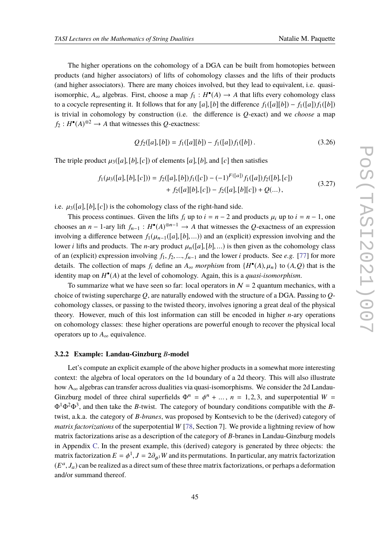The higher operations on the cohomology of a DGA can be built from homotopies between products (and higher associators) of lifts of cohomology classes and the lifts of their products (and higher associators). There are many choices involved, but they lead to equivalent, i.e. quasiisomorphic,  $A_{\infty}$  algebras. First, choose a map  $f_1 : H^{\bullet}(A) \to A$  that lifts every cohomology class to a cocycle representing it. It follows that for any  $[a],[b]$  the difference  $f_1([a][b]) - f_1([a]) f_1([b])$ is trivial in cohomology by construction (i.e. the difference is *Q*-exact) and we *choose* a map  $f_2: H^{\bullet}(A)^{\otimes 2} \to A$  that witnesses this *Q*-exactness:

$$
Qf_2([a],[b]) = f_1([a][b]) - f_1([a])f_1([b]). \qquad (3.26)
$$

The triple product  $\mu_3([a],[b],[c])$  of elements [a], [b], and [c] then satisfies

<span id="page-44-0"></span>
$$
f_1(\mu_3([a],[b],[c])) = f_2([a],[b])f_1([c]) - (-1)^{F([a])}f_1([a])f_2([b],[c]) + f_2([a][b],[c]) - f_2([a],[b][c]) + Q(...),
$$
\n(3.27)

i.e.  $\mu_3([a],[b],[c])$  is the cohomology class of the right-hand side.

This process continues. Given the lifts  $f_i$  up to  $i = n - 2$  and products  $\mu_i$  up to  $i = n - 1$ , one chooses an *n* − 1-ary lift  $f_{n-1}: H^{\bullet}(A)^{\otimes n-1} \to A$  that witnesses the *Q*-exactness of an expression involving a difference between  $f_1(\mu_{n-1}([a],[b],...))$  and an (explicit) expression involving and the lower *i* lifts and products. The *n*-ary product  $\mu_n([a],[b],...)$  is then given as the cohomology class of an (explicit) expression involving *f*1, *f*2, ..., *f*n−<sup>1</sup> and the lower *i* products. See *e.g.* [\[77\]](#page-79-11) for more details. The collection of maps  $f_i$  define an  $A_\infty$  *morphism* from  $\{H^{\bullet}(A), \mu_n\}$  to  $(A, Q)$  that is the identity map on *H* • (*A*) at the level of cohomology. Again, this is a *quasi-isomorphism*.

To summarize what we have seen so far: local operators in  $\mathcal{N} = 2$  quantum mechanics, with a choice of twisting supercharge *Q*, are naturally endowed with the structure of a DGA. Passing to *Q*cohomology classes, or passing to the twisted theory, involves ignoring a great deal of the physical theory. However, much of this lost information can still be encoded in higher *n*-ary operations on cohomology classes: these higher operations are powerful enough to recover the physical local operators up to  $A_{\infty}$  equivalence.

# **3.2.2 Example: Landau-Ginzburg** *B***-model**

Let's compute an explicit example of the above higher products in a somewhat more interesting context: the algebra of local operators on the 1d boundary of a 2d theory. This will also illustrate how  $A_{\infty}$  algebras can transfer across dualities via quasi-isomorphisms. We consider the 2d Landau-Ginzburg model of three chiral superfields  $\Phi^n = \phi^n + \dots$ ,  $n = 1, 2, 3$ , and superpotential  $W =$ Φ1Φ2Φ<sup>3</sup> , and then take the *B*-twist. The category of boundary conditions compatible with the *B*twist, a.k.a. the category of *B-branes*, was proposed by Kontsevich to be the (derived) category of *matrix factorizations* of the superpotential *W* [\[78,](#page-79-12) Section 7]. We provide a lightning review of how matrix factorizations arise as a description of the category of *B*-branes in Landau-Ginzburg models in Appendix [C.](#page-71-0) In the present example, this (derived) category is generated by three objects: the matrix factorization  $E = \phi^1$ ,  $J = 2\partial_{\phi^1}W$  and its permutations. In particular, any matrix factorization  $(E^a, J_a)$  can be realized as a direct sum of these three matrix factorizations, or perhaps a deformation and/or summand thereof.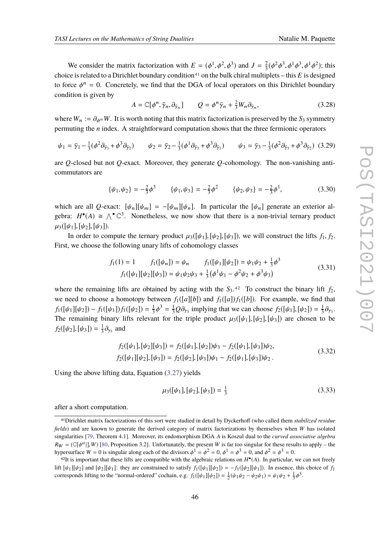We consider the matrix factorization with  $E = (\phi^1, \phi^2, \phi^3)$  and  $J = \frac{2}{3}$  $\frac{2}{3}$  $(\phi^2 \phi^3, \phi^1 \phi^3, \phi^1 \phi^2)$ ; this choice is related to a Dirichlet boundary condition<sup>[41](#page-45-0)</sup> on the bulk chiral multiplets – this  $E$  is designed to force  $\phi^n = 0$ . Concretely, we find that the DGA of local operators on this Dirichlet boundary condition is given by

$$
A = \mathbb{C}[\phi^n, \bar{\gamma}_n, \partial_{\bar{\gamma}_n}] \qquad Q = \phi^n \bar{\gamma}_n + \frac{2}{3} W_n \partial_{\bar{\gamma}_n}, \qquad (3.28)
$$

where  $W_n := \partial_{\phi^n} W$ . It is worth noting that this matrix factorization is preserved by the  $S_3$  symmetry permuting the *n* index. A straightforward computation shows that the three fermionic operators

$$
\psi_1 = \bar{\gamma}_1 - \frac{1}{3}(\phi^2 \partial_{\bar{\gamma}_3} + \phi^3 \partial_{\bar{\gamma}_2}) \qquad \psi_2 = \bar{\gamma}_2 - \frac{1}{3}(\phi^1 \partial_{\bar{\gamma}_3} + \phi^3 \partial_{\bar{\gamma}_1}) \qquad \psi_3 = \bar{\gamma}_3 - \frac{1}{3}(\phi^2 \partial_{\bar{\gamma}_3} + \phi^3 \partial_{\bar{\gamma}_2}) \tag{3.29}
$$

are *Q*-closed but not *Q*-exact. Moreover, they generate *Q*-cohomology. The non-vanishing anticommutators are

$$
\{\psi_1,\psi_2\} = -\frac{2}{3}\phi^3 \qquad \{\psi_1,\psi_3\} = -\frac{2}{3}\phi^2 \qquad \{\psi_2,\psi_3\} = -\frac{2}{3}\phi^1,\tag{3.30}
$$

which are all *Q*-exact:  $[\psi_n][\psi_m] = -[\psi_m][\psi_n]$ . In particular the  $[\psi_n]$  generate an exterior algebra:  $H^{\bullet}(A) \cong \bigwedge^{\bullet} \mathbb{C}^3$ . Nonetheless, we now show that there is a non-trivial ternary product  $\mu_3([\psi_1],[\psi_2],[\psi_3]).$ 

In order to compute the ternary product  $\mu_3([\psi_1], [\psi_2], [\psi_3])$ , we will construct the lifts  $f_1, f_2$ . First, we choose the following unary lifts of cohomology classes

$$
f_1(1) = 1 \t f_1([\psi_n]) = \psi_n \t f_1([\psi_1][\psi_2]) = \psi_1 \psi_2 + \frac{1}{3} \phi^3
$$
  
\n
$$
f_1([\psi_1][\psi_2][\psi_3]) = \psi_1 \psi_2 \psi_3 + \frac{1}{3} (\phi^1 \psi_1 - \phi^2 \psi_2 + \phi^3 \psi_3)
$$
\n(3.31)

where the remaining lifts are obtained by acting with the  $S_3$ .<sup>[42](#page-45-1)</sup> To construct the binary lift  $f_2$ , we need to choose a homotopy between  $f_1([a][b])$  and  $f_1([a])[1([b])$ . For example, we find that  $f_1([\psi_1][\psi_2]) - f_1([\psi_1])f_1([\psi_2]) = \frac{1}{3}$  $\frac{1}{3}\phi^3 = \frac{1}{3}Q\partial_{\gamma_3}$  implying that we can choose  $f_2([\psi_1], [\psi_2]) = \frac{1}{3}$  $rac{1}{3}\partial_{\gamma_3}$ . The remaining binary lifts relevant for the triple product  $\mu_3([\psi_1], [\psi_2], [\psi_3])$  are chosen to be  $f_2([\psi_2], [\psi_3]) = \frac{1}{3}$  $\frac{1}{3}\partial_{\gamma_1}$  and

$$
f_2([\psi_1], [\psi_2][\psi_3]) = f_2([\psi_1], [\psi_2])\psi_3 - f_2([\psi_1], [\psi_3])\psi_2,
$$
  
\n
$$
f_2([\psi_1][\psi_2], [\psi_3]) = f_2([\psi_2], [\psi_3])\psi_1 - f_2([\psi_1], [\psi_3])\psi_2.
$$
\n(3.32)

Using the above lifting data, Equation  $(3.27)$  yields

$$
\mu_3([\psi_1], [\psi_2], [\psi_3]) = \frac{1}{3} \tag{3.33}
$$

after a short computation.

<span id="page-45-0"></span><sup>41</sup>Dirichlet matrix factorizations of this sort were studied in detail by Dyckerhoff (who called them *stabilized residue fields*) and are known to generate the derived category of matrix factorizations by themselves when *W* has isolated singularities [\[79,](#page-80-0) Theorem 4.1]. Moreover, its endomorphism DGA *A* is Koszul dual to the *curved associative algebra*  $R_W = (\mathbb{C}[\phi^a|], W)$  [\[80,](#page-80-1) Proposition 3.2]. Unfortunately, the present *W* is far too singular for these results to apply – the hypersurface  $W = 0$  is singular along each of the divisors  $\phi^1 = \phi^2 = 0$ ,  $\phi^1 = \phi^3 = 0$ , and  $\phi^2 = \phi^3 = 0$ .

<span id="page-45-1"></span><sup>&</sup>lt;sup>42</sup>It is important that these lifts are compatible with the algebraic relations on  $H^{\bullet}(A)$ . In particular, we can not freely lift  $[\psi_1][\psi_2]$  and  $[\psi_2][\psi_1]$ : they are constrained to satisfy  $f_1([\psi_1][\psi_2]) = -f_1([\psi_2][\psi_1])$ . In essence, this choice of  $f_1$ corresponds lifting to the "normal-ordered" cochain, e.g.  $f_1([\psi_1][\psi_2]) = \frac{1}{2}(\psi_1\psi_2 - \psi_2\psi_1) = \psi_1\psi_2 + \frac{1}{3}\phi^3$ .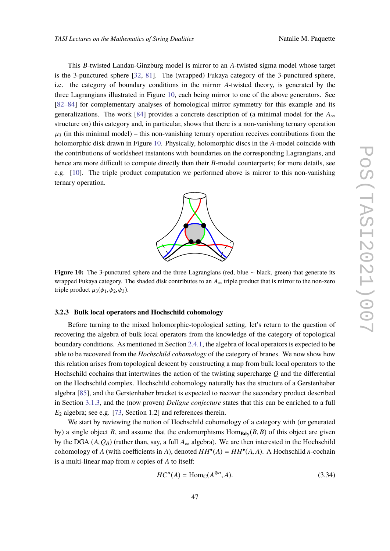This *B*-twisted Landau-Ginzburg model is mirror to an *A*-twisted sigma model whose target is the 3-punctured sphere [\[32,](#page-77-0) [81\]](#page-80-2). The (wrapped) Fukaya category of the 3-punctured sphere, i.e. the category of boundary conditions in the mirror *A*-twisted theory, is generated by the three Lagrangians illustrated in Figure [10,](#page-46-0) each being mirror to one of the above generators. See [\[82](#page-80-3)[–84\]](#page-80-4) for complementary analyses of homological mirror symmetry for this example and its generalizations. The work [\[84\]](#page-80-4) provides a concrete description of (a minimal model for the  $A_{\infty}$ ) structure on) this category and, in particular, shows that there is a non-vanishing ternary operation  $\mu_3$  (in this minimal model) – this non-vanishing ternary operation receives contributions from the holomorphic disk drawn in Figure [10.](#page-46-0) Physically, holomorphic discs in the *A*-model coincide with the contributions of worldsheet instantons with boundaries on the corresponding Lagrangians, and hence are more difficult to compute directly than their *B*-model counterparts; for more details, see e.g. [\[10\]](#page-76-0). The triple product computation we performed above is mirror to this non-vanishing ternary operation.

# $\bigcap$ **be**

<span id="page-46-0"></span>**Figure 10:** The 3-punctured sphere and the three Lagrangians (red, blue ∼ black, green) that generate its wrapped Fukaya category. The shaded disk contributes to an  $A_{\infty}$  triple product that is mirror to the non-zero triple product  $\mu_3(\psi_1, \psi_2, \psi_3)$ .

# **3.2.3 Bulk local operators and Hochschild cohomology**

Before turning to the mixed holomorphic-topological setting, let's return to the question of recovering the algebra of bulk local operators from the knowledge of the category of topological boundary conditions. As mentioned in Section [2.4.1,](#page-22-0) the algebra of local operators is expected to be able to be recovered from the *Hochschild cohomology* of the category of branes. We now show how this relation arises from topological descent by constructing a map from bulk local operators to the Hochschild cochains that intertwines the action of the twisting supercharge *Q* and the differential on the Hochschild complex. Hochschild cohomology naturally has the structure of a Gerstenhaber algebra [\[85\]](#page-80-5), and the Gerstenhaber bracket is expected to recover the secondary product described in Section [3.1.3,](#page-36-2) and the (now proven) *Deligne conjecture* states that this can be enriched to a full *E*<sup>2</sup> algebra; see e.g. [\[73,](#page-79-7) Section 1.2] and references therein.

We start by reviewing the notion of Hochschild cohomology of a category with (or generated by) a single object *B*, and assume that the endomorphisms  $\text{Hom}_{\text{BdV}}(B, B)$  of this object are given by the DGA  $(A, Q_{\partial})$  (rather than, say, a full  $A_{\infty}$  algebra). We are then interested in the Hochschild cohomology of *A* (with coefficients in *A*), denoted  $HH^{\bullet}(A) = HH^{\bullet}(A, A)$ . A Hochschild *n*-cochain is a multi-linear map from *n* copies of *A* to itself:

$$
HC^n(A) = \text{Hom}_{\mathbb{C}}(A^{\otimes n}, A). \tag{3.34}
$$

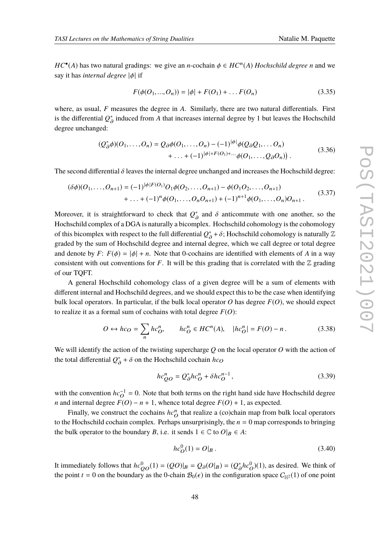*HC*<sup>•</sup>(*A*) has two natural gradings: we give an *n*-cochain  $\phi \in HC^n(A)$  *Hochschild degree n* and we say it has *internal degree* |φ| if

$$
F(\phi(O_1, ..., O_n)) = |\phi| + F(O_1) + ... F(O_n)
$$
\n(3.35)

where, as usual, *F* measures the degree in *A*. Similarly, there are two natural differentials. First is the differential  $Q^*_{\alpha}$  induced from A that increases internal degree by 1 but leaves the Hochschild degree unchanged:

$$
(Q_{\partial}^*\phi)(O_1,\ldots,O_n) = Q_{\partial}\phi(O_1,\ldots,O_n) - (-1)^{|\phi|}\phi(Q_{\partial}Q_1,\ldots,O_n) + \ldots + (-1)^{|\phi|+F(O_1)+\ldots}\phi(O_1,\ldots,O_{\partial}O_n)).
$$
\n(3.36)

The second differential  $\delta$  leaves the internal degree unchanged and increases the Hochschild degree:

$$
(\delta \phi)(O_1, \dots, O_{n+1}) = (-1)^{|\phi|F(O_1)} O_1 \phi(O_2, \dots, O_{n+1}) - \phi(O_1 O_2, \dots, O_{n+1})
$$
  
+ ... +  $(-1)^n \phi(O_1, \dots, O_n O_{n+1}) + (-1)^{n+1} \phi(O_1, \dots, O_n) O_{n+1}$ . (3.37)

Moreover, it is straightforward to check that  $Q_A^*$  and  $\delta$  anticommute with one another, so the Hochschild complex of a DGA is naturally a bicomplex. Hochschild cohomology is the cohomology of this bicomplex with respect to the full differential  $Q^*_{\hat{\sigma}} + \delta$ ; Hochschild cohomology is naturally  $\mathbb Z$ ∂ graded by the sum of Hochschild degree and internal degree, which we call degree or total degree and denote by *F*:  $F(\phi) = |\phi| + n$ . Note that 0-cochains are identified with elements of *A* in a way consistent with out conventions for *F*. It will be this grading that is correlated with the  $\mathbb{Z}$  grading of our TQFT.

A general Hochschild cohomology class of a given degree will be a sum of elements with different internal and Hochschild degrees, and we should expect this to be the case when identifying bulk local operators. In particular, if the bulk local operator  $O$  has degree  $F(O)$ , we should expect to realize it as a formal sum of cochains with total degree  $F(O)$ :

$$
O \leftrightarrow hc_O = \sum_n hc_O^n, \qquad hc_O^n \in HC^n(A), \quad |hc_O^n| = F(O) - n. \tag{3.38}
$$

We will identify the action of the twisting supercharge *Q* on the local operator *O* with the action of the total differential  $Q^*_{\partial}$  +  $\delta$  on the Hochschild cochain *hc*<sub>O</sub>

$$
hc_{QO}^{n} = Q_{\partial}^{*}hc_{O}^{n} + \delta hc_{O}^{n-1},\tag{3.39}
$$

with the convention  $hc_O^{-1} = 0$ . Note that both terms on the right hand side have Hochschild degree *n* and internal degree  $F(O) - n + 1$ , whence total degree  $F(O) + 1$ , as expected.

Finally, we construct the cochains  $hc^n$  that realize a (co)chain map from bulk local operators to the Hochschild cochain complex. Perhaps unsurprisingly, the  $n = 0$  map corresponds to bringing the bulk operator to the boundary *B*, i.e. it sends  $1 \in \mathbb{C}$  to  $O|_B \in A$ :

$$
hc_O^0(1) = O|_B.
$$
\n(3.40)

It immediately follows that  $hc_{QO}^0(1) = (QO)|_B = Q_{\partial}(O|_B) = (Q_{\partial}^*hc_{O}^0)(1)$ , as desired. We think of the point *t* = 0 on the boundary as the 0-chain  $\mathcal{B}_0(\epsilon)$  in the configuration space  $C_{\mathbb{H}^2}(1)$  of one point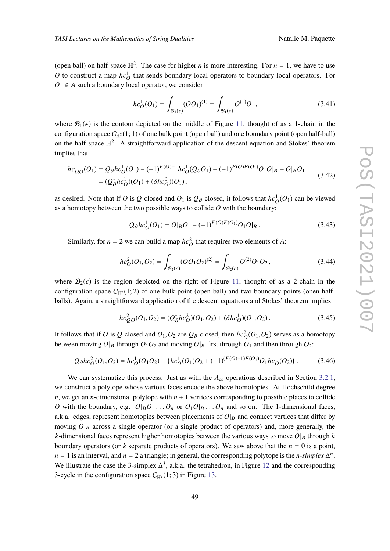(open ball) on half-space  $\mathbb{H}^2$ . The case for higher *n* is more interesting. For  $n = 1$ , we have to use *O* to construct a map  $hc<sup>1</sup><sub>O</sub>$  that sends boundary local operators to boundary local operators. For  $O_1 \in A$  such a boundary local operator, we consider

$$
hc_O^1(O_1) = \int_{\mathcal{B}_1(\epsilon)} (OO_1)^{(1)} = \int_{\mathcal{B}_1(\epsilon)} O^{(1)}O_1, \qquad (3.41)
$$

where  $\mathcal{B}_1(\epsilon)$  is the contour depicted on the middle of Figure [11,](#page-49-0) thought of as a 1-chain in the configuration space  $C_{\mathbb{H}^2}(1; 1)$  of one bulk point (open ball) and one boundary point (open half-ball) on the half-space  $\mathbb{H}^2$ . A straightforward application of the descent equation and Stokes' theorem implies that

$$
hc_{QO}^{1}(O_{1}) = Q_{\partial}hc_{O}^{1}(O_{1}) - (-1)^{F(O)-1}hc_{O}^{1}(Q_{\partial}O_{1}) + (-1)^{F(O)F(O_{1})}O_{1}O|_{B} - O|_{B}O_{1}
$$
  
=  $(Q_{\partial}^{*}hc_{O}^{1})(O_{1}) + (\delta hc_{O}^{0})(O_{1}),$  (3.42)

as desired. Note that if *O* is *Q*-closed and  $O_1$  is  $Q_\partial$ -closed, it follows that  $hc_O^1(O_1)$  can be viewed as a homotopy between the two possible ways to collide *O* with the boundary:

$$
Q_{\partial}hc_{O}^{1}(O_{1}) = O|_{B}O_{1} - (-1)^{F(O)F(O_{1})}O_{1}O|_{B}. \qquad (3.43)
$$

Similarly, for  $n = 2$  we can build a map  $hc<sup>2</sup><sub>O</sub>$  that requires two elements of *A*:

$$
hc_{O}^{2}(O_{1}, O_{2}) = \int_{\mathcal{B}_{2}(\epsilon)} (OO_{1}O_{2})^{(2)} = \int_{\mathcal{B}_{2}(\epsilon)} O^{(2)}O_{1}O_{2}, \qquad (3.44)
$$

where  $\mathcal{B}_2(\epsilon)$  is the region depicted on the right of Figure [11,](#page-49-0) thought of as a 2-chain in the configuration space  $C_{\mathbb{H}^2}(1; 2)$  of one bulk point (open ball) and two boundary points (open halfballs). Again, a straightforward application of the descent equations and Stokes' theorem implies

$$
hc_{QO}^{2}(O_{1}, O_{2}) = (Q_{\partial}^{*}hc_{O}^{2})(O_{1}, O_{2}) + (\delta hc_{O}^{1})(O_{1}, O_{2}).
$$
\n(3.45)

It follows that if *O* is *Q*-closed and  $O_1$ ,  $O_2$  are  $Q_0$ -closed, then  $hc_O^2(O_1, O_2)$  serves as a homotopy between moving  $O|_B$  through  $O_1O_2$  and moving  $O|_B$  first through  $O_1$  and then through  $O_2$ :

$$
Q_{\partial}hc_{O}^{2}(O_{1}, O_{2}) = hc_{O}^{1}(O_{1}O_{2}) - (hc_{O}^{1}(O_{1})O_{2} + (-1)^{(F(O)-1)F(O_{1})}O_{1}hc_{O}^{1}(O_{2}))
$$
\n(3.46)

We can systematize this process. Just as with the  $A_{\infty}$  operations described in Section [3.2.1,](#page-40-1) we construct a polytope whose various faces encode the above homotopies. At Hochschild degree *n*, we get an *n*-dimensional polytope with *n* + 1 vertices corresponding to possible places to collide *O* with the boundary, e.g.  $O|_B O_1 \ldots O_n$  or  $O_1 O|_B \ldots O_n$  and so on. The 1-dimensional faces, a.k.a. edges, represent homotopies between placements of  $O|_B$  and connect vertices that differ by moving  $O|_B$  across a single operator (or a single product of operators) and, more generally, the *k*-dimensional faces represent higher homotopies between the various ways to move  $O|_B$  through *k* boundary operators (or  $k$  separate products of operators). We saw above that the  $n = 0$  is a point,  $n = 1$  is an interval, and  $n = 2$  a triangle; in general, the corresponding polytope is the *n*-simplex  $\Delta^n$ . We illustrate the case the 3-simplex  $\Delta^3$ , a.k.a. the tetrahedron, in Figure [12](#page-49-1) and the corresponding 3-cycle in the configuration space  $C_{\mathbb{H}^2}(1; 3)$  in Figure [13.](#page-50-0)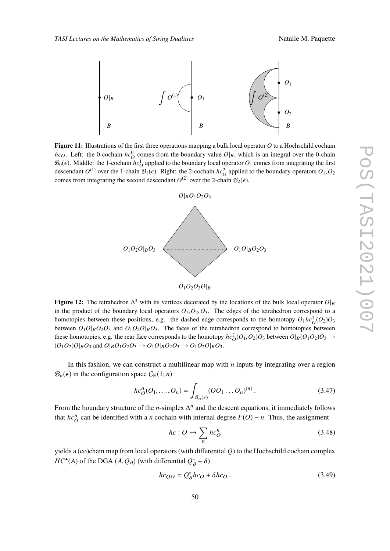<span id="page-49-0"></span>

<span id="page-49-1"></span>**Figure 11:** Illustrations of the first three operations mapping a bulk local operator *O* to a Hochschild cochain *hc*<sub>O</sub>. Left: the 0-cochain  $hc^0$  comes from the boundary value  $O|_B$ , which is an integral over the 0-chain  $\mathcal{B}_0(\epsilon)$ . Middle: the 1-cochain  $hc_O^1$  applied to the boundary local operator  $O_1$  comes from integrating the first descendant  $O^{(1)}$  over the 1-chain  $\mathcal{B}_1(\epsilon)$ . Right: the 2-cochain  $hc_O^2$  applied to the boundary operators  $O_1, O_2$ comes from integrating the second descendant  $O^{(2)}$  over the 2-chain  $\mathcal{B}_2(\epsilon)$ .



**Figure 12:** The tetrahedron  $\Delta^3$  with its vertices decorated by the locations of the bulk local operator  $O|_B$ in the product of the boundary local operators  $O_1$ ,  $O_2$ ,  $O_3$ . The edges of the tetrahedron correspond to a homotopies between these positions, e.g. the dashed edge corresponds to the homotopy  $O_1 h c_0^1(O_2) O_3$ between  $O_1O|_BO_2O_3$  and  $O_1O_2O|_BO_3$ . The faces of the tetrahedron correspond to homotopies between these homotopies, e.g. the rear face corresponds to the homotopy  $hc_Q^2(O_1,O_2)O_3$  between  $O|_B(O_1O_2)O_3 \to$  $(O_1O_2)O|_B O_3$  and  $O|_B O_1 O_2 O_3 \rightarrow O_1 O|_B O_2 O_3 \rightarrow O_1 O_2 O|_B O_3$ .

In this fashion, we can construct a multilinear map with *n* inputs by integrating over a region  $\mathcal{B}_n(\epsilon)$  in the configuration space  $C_{\mathbb{H}}(1;n)$ 

$$
hc_O^n(O_1,\ldots,O_n) = \int_{\mathcal{B}_n(\epsilon)} (OO_1 \ldots O_n)^{(n)}.
$$
 (3.47)

From the boundary structure of the *n*-simplex  $\Delta^n$  and the descent equations, it immediately follows that  $hc^n$  can be identified with a *n* cochain with internal degree  $F(O) - n$ . Thus, the assignment

$$
hc: O \mapsto \sum_{n} hc_O^n \tag{3.48}
$$

yields a (co)chain map from local operators (with differential *Q*) to the Hochschild cochain complex *HC*<sup>•</sup>(*A*) of the DGA (*A*, *Q*<sub>∂</sub>) (with differential  $Q^*_{\partial} + \delta$ )

$$
hc_{QO} = Q_{\partial}^{*}hc_{O} + \delta hc_{O} \,. \tag{3.49}
$$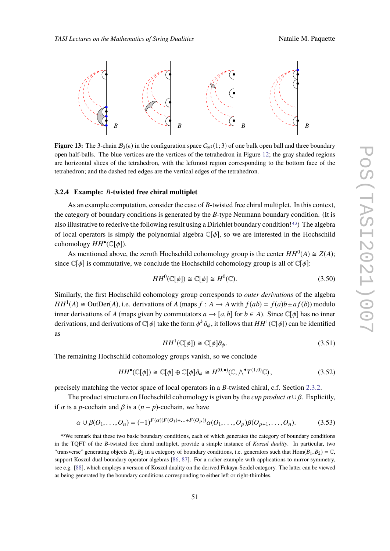<span id="page-50-0"></span>

**Figure 13:** The 3-chain  $\mathcal{B}_3(\epsilon)$  in the configuration space  $C_{\mathbb{H}^2}(1;3)$  of one bulk open ball and three boundary open half-balls. The blue vertices are the vertices of the tetrahedron in Figure [12;](#page-49-1) the gray shaded regions are horizontal slices of the tetrahedron, with the leftmost region corresponding to the bottom face of the tetrahedron; and the dashed red edges are the vertical edges of the tetrahedron.

#### **3.2.4 Example:** *B***-twisted free chiral multiplet**

As an example computation, consider the case of *B*-twisted free chiral multiplet. In this context, the category of boundary conditions is generated by the *B*-type Neumann boundary condition. (It is also illustrative to rederive the following result using a Dirichlet boundary condition![43](#page-50-1)) The algebra of local operators is simply the polynomial algebra  $\mathbb{C}[\phi]$ , so we are interested in the Hochschild cohomology *HH*• (C[φ]).

As mentioned above, the zeroth Hochschild cohomology group is the center  $HH^0(A) \cong Z(A)$ ; since  $\mathbb{C}[\phi]$  is commutative, we conclude the Hochschild cohomology group is all of  $\mathbb{C}[\phi]$ :

$$
HH^{0}(\mathbb{C}[\phi]) \cong \mathbb{C}[\phi] \cong H^{0}(\mathbb{C}).
$$
\n(3.50)

Similarly, the first Hochschild cohomology group corresponds to *outer derivations* of the algebra *HH*<sup>1</sup>(*A*)  $\cong$  OutDer(*A*), i.e. derivations of *A* (maps *f* : *A*  $\rightarrow$  *A* with  $f(ab) = f(a)b \pm af(b)$ ) modulo inner derivations of *A* (maps given by commutators  $a \to [a, b]$  for  $b \in A$ ). Since  $\mathbb{C}[\phi]$  has no inner derivations, and derivations of  $\mathbb{C}[\phi]$  take the form  $\phi^k \partial_\phi$ , it follows that  $HH^1(\mathbb{C}[\phi])$  can be identified as

$$
HH^{1}(\mathbb{C}[\phi]) \cong \mathbb{C}[\phi]\partial_{\phi}.
$$
\n(3.51)

The remaining Hochschild cohomology groups vanish, so we conclude

$$
HH^{\bullet}(\mathbb{C}[\phi]) \cong \mathbb{C}[\phi] \oplus \mathbb{C}[\phi]\partial_{\phi} \cong H^{(0,\bullet)}(\mathbb{C}, \wedge^{\bullet}T^{(1,0)}\mathbb{C}), \tag{3.52}
$$

precisely matching the vector space of local operators in a *B*-twisted chiral, c.f. Section [2.3.2.](#page-18-0)

The product structure on Hochschild cohomology is given by the *cup product*  $\alpha \cup \beta$ . Explicitly, if  $\alpha$  is a *p*-cochain and  $\beta$  is a  $(n - p)$ -cochain, we have

$$
\alpha \cup \beta(O_1, \dots, O_n) = (-1)^{F(\alpha)(F(O_1) + \dots + F(O_p))} \alpha(O_1, \dots, O_p) \beta(O_{p+1}, \dots, O_n).
$$
 (3.53)

<span id="page-50-1"></span><sup>43</sup>We remark that these two basic boundary conditions, each of which generates the category of boundary conditions in the TQFT of the *B*-twisted free chiral multiplet, provide a simple instance of *Koszul duality*. In particular, two "transverse" generating objects  $B_1, B_2$  in a category of boundary conditions, i.e. generators such that  $Hom(B_1, B_2) = \mathbb{C}$ , support Koszul dual boundary operator algebras [\[86,](#page-80-6) [87\]](#page-80-7). For a richer example with applications to mirror symmetry, see e.g. [\[88\]](#page-80-8), which employs a version of Koszul duality on the derived Fukaya-Seidel category. The latter can be viewed as being generated by the boundary conditions corresponding to either left or right-thimbles.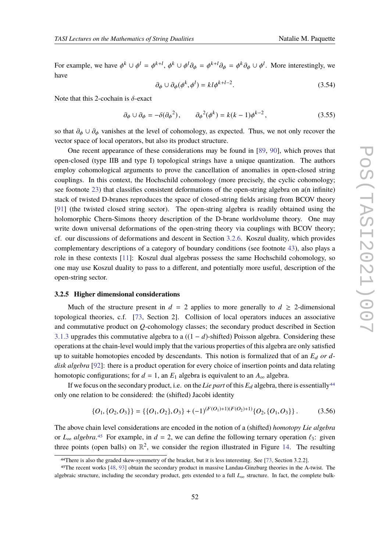For example, we have  $\phi^k \cup \phi^l = \phi^{k+l}$ ,  $\phi^k \cup \phi^l \partial_{\phi} = \phi^{k+l} \partial_{\phi} = \phi^k \partial_{\phi} \cup \phi^l$ . More interestingly, we have

$$
\partial_{\phi} \cup \partial_{\phi}(\phi^k, \phi^l) = kl\phi^{k+l-2}.
$$
\n(3.54)

Note that this 2-cochain is  $\delta$ -exact

$$
\partial_{\phi} \cup \partial_{\phi} = -\delta(\partial_{\phi}^{2}), \qquad \partial_{\phi}^{2}(\phi^{k}) = k(k-1)\phi^{k-2}, \qquad (3.55)
$$

so that  $\partial_{\phi} \cup \partial_{\phi}$  vanishes at the level of cohomology, as expected. Thus, we not only recover the vector space of local operators, but also its product structure.

One recent appearance of these considerations may be found in [\[89,](#page-80-9) [90\]](#page-80-10), which proves that open-closed (type IIB and type I) topological strings have a unique quantization. The authors employ cohomological arguments to prove the cancellation of anomalies in open-closed string couplings. In this context, the Hochschild cohomology (more precisely, the cyclic cohomology; see footnote [23\)](#page-24-0) that classifies consistent deformations of the open-string algebra on a(n infinite) stack of twisted D-branes reproduces the space of closed-string fields arising from BCOV theory [\[91\]](#page-80-11) (the twisted closed string sector). The open-string algebra is readily obtained using the holomorphic Chern-Simons theory description of the D-brane worldvolume theory. One may write down universal deformations of the open-string theory via couplings with BCOV theory; cf. our discussions of deformations and descent in Section [3.2.6.](#page-53-0) Koszul duality, which provides complementary descriptions of a category of boundary conditions (see footnote [43\)](#page-50-1), also plays a role in these contexts [\[11\]](#page-76-1): Koszul dual algebras possess the same Hochschild cohomology, so one may use Koszul duality to pass to a different, and potentially more useful, description of the open-string sector.

# **3.2.5 Higher dimensional considerations**

Much of the structure present in  $d = 2$  applies to more generally to  $d \geq 2$ -dimensional topological theories, c.f. [\[73,](#page-79-7) Section 2]. Collision of local operators induces an associative and commutative product on *Q*-cohomology classes; the secondary product described in Section [3.1.3](#page-36-2) upgrades this commutative algebra to a ((1 − *d*)-shifted) Poisson algebra. Considering these operations at the chain-level would imply that the various properties of this algebra are only satisfied up to suitable homotopies encoded by descendants. This notion is formalized that of an  $E<sub>d</sub>$  *or ddisk algebra* [\[92\]](#page-80-12): there is a product operation for every choice of insertion points and data relating homotopic configurations; for  $d = 1$ , an  $E_1$  algebra is equivalent to an  $A_{\infty}$  algebra.

If we focus on the secondary product, i.e. on the *Lie part* of this  $E_d$  algebra, there is essentially<sup>[44](#page-51-0)</sup> only one relation to be considered: the (shifted) Jacobi identity

$$
\{O_1, \{O_2, O_3\}\} = \{\{O_1, O_2\}, O_3\} + (-1)^{(F(O_1)+1)(F(O_2)+1)}\{O_2, \{O_1, O_3\}\}.
$$
 (3.56)

The above chain level considerations are encoded in the notion of a (shifted) *homotopy Lie algebra* or  $L_{\infty}$  *algebra*.<sup>[45](#page-51-1)</sup> For example, in  $d = 2$ , we can define the following ternary operation  $\ell_3$ : given three points (open balls) on  $\mathbb{R}^2$ , we consider the region illustrated in Figure [14.](#page-52-0) The resulting

<span id="page-51-1"></span><span id="page-51-0"></span><sup>44</sup>There is also the graded skew-symmetry of the bracket, but it is less interesting. See [\[73,](#page-79-7) Section 3.2.2].

<sup>45</sup>The recent works [\[48,](#page-78-1) [93\]](#page-80-13) obtain the secondary product in massive Landau-Ginzburg theories in the A-twist. The algebraic structure, including the secondary product, gets extended to a full *L*<sup>∞</sup> structure. In fact, the complete bulk-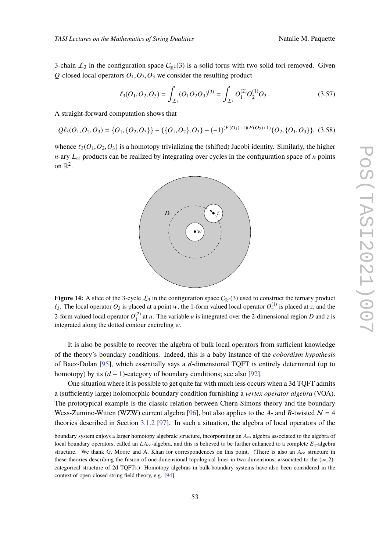3-chain  $\mathcal{L}_3$  in the configuration space  $C_{\mathbb{R}^2}(3)$  is a solid torus with two solid tori removed. Given *Q*-closed local operators  $O_1$ ,  $O_2$ ,  $O_3$  we consider the resulting product

$$
\ell_3(O_1, O_2, O_3) = \int_{\mathcal{L}_3} (O_1 O_2 O_3)^{(3)} = \int_{\mathcal{L}_3} O_1^{(2)} O_2^{(1)} O_3.
$$
 (3.57)

A straight-forward computation shows that

$$
Q\ell_3(O_1,O_2,O_3) = \{O_1, \{O_2, O_3\}\} - \{\{O_1, O_2\}, O_3\} - (-1)^{(F(O_1)+1)(F(O_2)+1)}\{O_2, \{O_1, O_3\}\},
$$
(3.58)

<span id="page-52-0"></span>whence  $\ell_3(O_1, O_2, O_3)$  is a homotopy trivializing the (shifted) Jacobi identity. Similarly, the higher *n*-ary *L*<sub>∞</sub> products can be realized by integrating over cycles in the configuration space of *n* points on  $\mathbb{R}^2$ .



**Figure 14:** A slice of the 3-cycle  $\mathcal{L}_3$  in the configuration space  $C_{\mathbb{R}^2}(3)$  used to construct the ternary product  $\ell_3$ . The local operator  $O_3$  is placed at a point w, the 1-form valued local operator  $O_2^{(1)}$  is placed at *z*, and the 2-form valued local operator  $O_1^{(2)}$  at *u*. The variable *u* is integrated over the 2-dimensional region *D* and *z* is integrated along the dotted contour encircling  $w$ .

It is also be possible to recover the algebra of bulk local operators from sufficient knowledge of the theory's boundary conditions. Indeed, this is a baby instance of the *cobordism hypothesis* of Baez-Dolan [\[95\]](#page-80-14), which essentially says a *d*-dimensional TQFT is entirely determined (up to homotopy) by its  $(d-1)$ -category of boundary conditions; see also [\[92\]](#page-80-12).

One situation where it is possible to get quite far with much less occurs when a 3d TQFT admits a (sufficiently large) holomorphic boundary condition furnishing a *vertex operator algebra* (VOA). The prototypical example is the classic relation between Chern-Simons theory and the boundary Wess-Zumino-Witten (WZW) current algebra [\[96\]](#page-80-15), but also applies to the *A*- and *B*-twisted  $N = 4$ theories described in Section [3.1.2](#page-35-0) [\[97\]](#page-81-0). In such a situation, the algebra of local operators of the

boundary system enjoys a larger homotopy algebraic structure, incorporating an *A*<sup>∞</sup> algebra associated to the algebra of local boundary operators, called an  $LA_{\infty}$ -algebra, and this is believed to be further enhanced to a complete  $E_2$ -algebra structure. We thank G. Moore and A. Khan for correspondences on this point. (There is also an  $A_{\infty}$  structure in these theories describing the fusion of one-dimensional topological lines in two-dimensions, associated to the  $(\infty, 2)$ categorical structure of 2d TQFTs.) Homotopy algebras in bulk-boundary systems have also been considered in the context of open-closed string field theory, e.g. [\[94\]](#page-80-16).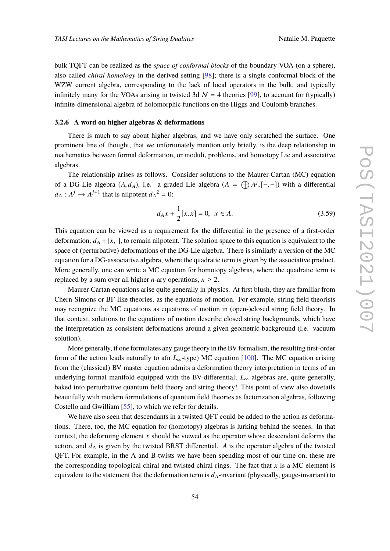bulk TQFT can be realized as the *space of conformal blocks* of the boundary VOA (on a sphere), also called *chiral homology* in the derived setting [\[98\]](#page-81-1); there is a single conformal block of the WZW current algebra, corresponding to the lack of local operators in the bulk, and typically infinitely many for the VOAs arising in twisted 3d  $\mathcal{N} = 4$  theories [\[99\]](#page-81-2), to account for (typically) infinite-dimensional algebra of holomorphic functions on the Higgs and Coulomb branches.

## <span id="page-53-0"></span>**3.2.6 A word on higher algebras & deformations**

There is much to say about higher algebras, and we have only scratched the surface. One prominent line of thought, that we unfortunately mention only briefly, is the deep relationship in mathematics between formal deformation, or moduli, problems, and homotopy Lie and associative algebras.

The relationship arises as follows. Consider solutions to the Maurer-Cartan (MC) equation of a DG-Lie algebra  $(A, d_A)$ , i.e. a graded Lie algebra  $(A = \bigoplus A^j, [-,-])$  with a differential  $d_A: A^j \to A^{j+1}$  that is nilpotent  $d_A^2 = 0$ :

$$
d_A x + \frac{1}{2} [x, x] = 0, \ \ x \in A.
$$
 (3.59)

This equation can be viewed as a requirement for the differential in the presence of a first-order deformation,  $d_A + [x, \cdot]$ , to remain nilpotent. The solution space to this equation is equivalent to the space of (perturbative) deformations of the DG-Lie algebra. There is similarly a version of the MC equation for a DG-associative algebra, where the quadratic term is given by the associative product. More generally, one can write a MC equation for homotopy algebras, where the quadratic term is replaced by a sum over all higher *n*-ary operations,  $n \geq 2$ .

Maurer-Cartan equations arise quite generally in physics. At first blush, they are familiar from Chern-Simons or BF-like theories, as the equations of motion. For example, string field theorists may recognize the MC equations as equations of motion in (open-)closed string field theory. In that context, solutions to the equations of motion describe closed string backgrounds, which have the interpretation as consistent deformations around a given geometric background (i.e. vacuum solution).

More generally, if one formulates any gauge theory in the BV formalism, the resulting first-order form of the action leads naturally to a(n *L*∞-type) MC equation [\[100\]](#page-81-3). The MC equation arising from the (classical) BV master equation admits a deformation theory interpretation in terms of an underlying formal manifold equipped with the BV-differential;  $L_{\infty}$  algebras are, quite generally, baked into perturbative quantum field theory and string theory! This point of view also dovetails beautifully with modern formulations of quantum field theories as factorization algebras, following Costello and Gwilliam [\[55\]](#page-78-0), to which we refer for details.

We have also seen that descendants in a twisted QFT could be added to the action as deformations. There, too, the MC equation for (homotopy) algebras is lurking behind the scenes. In that context, the deforming element *x* should be viewed as the operator whose descendant deforms the action, and  $d_A$  is given by the twisted BRST differential. A is the operator algebra of the twisted QFT. For example, in the A and B-twists we have been spending most of our time on, these are the corresponding topological chiral and twisted chiral rings. The fact that  $x$  is a MC element is equivalent to the statement that the deformation term is  $d_A$ -invariant (physically, gauge-invariant) to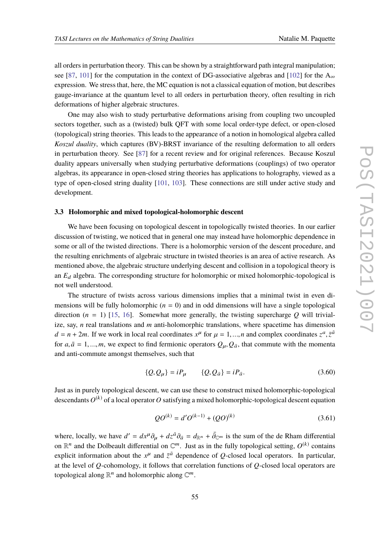all orders in perturbation theory. This can be shown by a straightforward path integral manipulation; see [\[87,](#page-80-7) [101\]](#page-81-4) for the computation in the context of DG-associative algebras and [\[102\]](#page-81-5) for the  $A_{\infty}$ expression. We stress that, here, the MC equation is not a classical equation of motion, but describes gauge-invariance at the quantum level to all orders in perturbation theory, often resulting in rich deformations of higher algebraic structures.

One may also wish to study perturbative deformations arising from coupling two uncoupled sectors together, such as a (twisted) bulk QFT with some local order-type defect, or open-closed (topological) string theories. This leads to the appearance of a notion in homological algebra called *Koszul duality*, which captures (BV)-BRST invariance of the resulting deformation to all orders in perturbation theory. See [\[87\]](#page-80-7) for a recent review and for original references. Because Koszul duality appears universally when studying perturbative deformations (couplings) of two operator algebras, its appearance in open-closed string theories has applications to holography, viewed as a type of open-closed string duality [\[101,](#page-81-4) [103\]](#page-81-6). These connections are still under active study and development.

# **3.3 Holomorphic and mixed topological-holomorphic descent**

We have been focusing on topological descent in topologically twisted theories. In our earlier discussion of twisting, we noticed that in general one may instead have holomorphic dependence in some or all of the twisted directions. There is a holomorphic version of the descent procedure, and the resulting enrichments of algebraic structure in twisted theories is an area of active research. As mentioned above, the algebraic structure underlying descent and collision in a topological theory is an  $E_d$  algebra. The corresponding structure for holomorphic or mixed holomorphic-topological is not well understood.

The structure of twists across various dimensions implies that a minimal twist in even dimensions will be fully holomorphic  $(n = 0)$  and in odd dimensions will have a single topological direction  $(n = 1)$  [\[15,](#page-76-2) [16\]](#page-76-3). Somewhat more generally, the twisting supercharge *Q* will trivialize, say, *n* real translations and *m* anti-holomorphic translations, where spacetime has dimension  $d = n + 2m$ . If we work in local real coordinates  $x^{\mu}$  for  $\mu = 1, ..., n$  and complex coordinates  $z^a, \bar{z}^{\bar{a}}$ for  $a, \bar{a} = 1, ..., m$ , we expect to find fermionic operators  $Q_{\mu}, Q_{\bar{a}}$ , that commute with the momenta and anti-commute amongst themselves, such that

$$
\{Q, Q_{\mu}\} = iP_{\mu} \qquad \{Q, Q_{\bar{a}}\} = iP_{\bar{a}}.
$$
 (3.60)

Just as in purely topological descent, we can use these to construct mixed holomorphic-topological descendants  $O^{(k)}$  of a local operator  $O$  satisfying a mixed holomorphic-topological descent equation

$$
QO^{(k)} = d'O^{(k-1)} + (QO)^{(k)}
$$
\n(3.61)

where, locally, we have  $d' = dx^{\mu} \partial_{\mu} + dz^{\bar{a}} \partial_{\bar{a}} = d_{\mathbb{R}^n} + \bar{\partial}_{\mathbb{C}^m}$  is the sum of the de Rham differential on  $\mathbb{R}^n$  and the Dolbeault differential on  $\mathbb{C}^m$ . Just as in the fully topological setting,  $O^{(k)}$  contains explicit information about the  $x^{\mu}$  and  $\bar{z}^{\bar{a}}$  dependence of *Q*-closed local operators. In particular, at the level of *Q*-cohomology, it follows that correlation functions of *Q*-closed local operators are topological along  $\mathbb{R}^n$  and holomorphic along  $\mathbb{C}^m$ .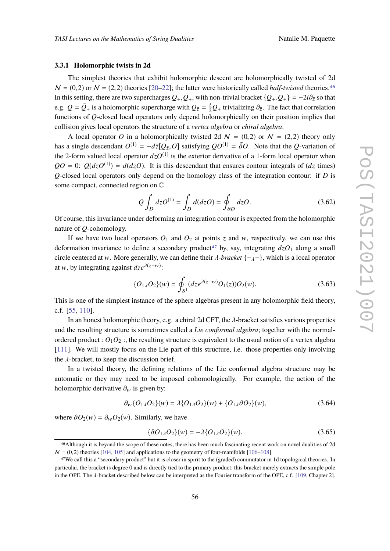# **3.3.1 Holomorphic twists in 2d**

The simplest theories that exhibit holomorphic descent are holomorphically twisted of 2d  $N = (0, 2)$  or  $N = (2, 2)$  theories [\[20](#page-76-4)[–22\]](#page-76-5); the latter were historically called *half-twisted* theories.<sup>[46](#page-55-0)</sup> In this setting, there are two supercharges  $Q_+$ ,  $\bar{Q}_+$ , with non-trivial bracket  $\{\bar{Q}_+$ ,  $Q_+\}$  =  $-2i\partial_{\bar{z}}$  so that e.g.  $Q = \bar{Q}_+$  is a holomorphic supercharge with  $Q_{\bar{z}} = \frac{i}{2}Q_+$  trivializing  $\partial_{\bar{z}}$ . The fact that correlation functions of *Q*-closed local operators only depend holomorphically on their position implies that collision gives local operators the structure of a *vertex algebra* or *chiral algebra*.

A local operator O in a holomorphically twisted 2d  $N = (0, 2)$  or  $N = (2, 2)$  theory only has a single descendant  $O^{(1)} = -d\bar{z}[Q_{\bar{z}}, O]$  satisfying  $QO^{(1)} = \bar{\partial}O$ . Note that the *Q*-variation of the 2-form valued local operator  $dzO^{(1)}$  is the exterior derivative of a 1-form local operator when  $QO = 0$ :  $Q(dzO^{(1)}) = d(dzO)$ . It is this descendant that ensures contour integrals of  $(dz \text{ times})$ *Q*-closed local operators only depend on the homology class of the integration contour: if *D* is some compact, connected region on C

$$
Q \int_D dz O^{(1)} = \int_D d(dz O) = \oint_{\partial D} dz O. \tag{3.62}
$$

Of course, this invariance under deforming an integration contour is expected from the holomorphic nature of *Q*-cohomology.

If we have two local operators  $O_1$  and  $O_2$  at points *z* and *w*, respectively, we can use this deformation invariance to define a secondary product<sup>[47](#page-55-1)</sup> by, say, integrating  $dzO_1$  along a small circle centered at w. More generally, we can define their  $\lambda$ -bracket  $\{-\lambda\}$ , which is a local operator at *w*, by integrating against  $dze^{\lambda(z-w)}$ :

$$
\{O_{1\lambda}O_2\}(w) = \oint_{S^1} (dze^{\lambda(z-w)}O_1(z))O_2(w).
$$
 (3.63)

This is one of the simplest instance of the sphere algebras present in any holomorphic field theory, c.f. [\[55,](#page-78-0) [110\]](#page-81-7).

In an honest holomorphic theory, e.g. a chiral 2d CFT, the  $\lambda$ -bracket satisfies various properties and the resulting structure is sometimes called a *Lie conformal algebra*; together with the normalordered product :  $O_1O_2$ :, the resulting structure is equivalent to the usual notion of a vertex algebra [\[111\]](#page-81-8). We will mostly focus on the Lie part of this structure, i.e. those properties only involving the  $\lambda$ -bracket, to keep the discussion brief.

In a twisted theory, the defining relations of the Lie conformal algebra structure may be automatic or they may need to be imposed cohomologically. For example, the action of the holomorphic derivative  $\partial_w$  is given by:

$$
\partial_w \{O_{1\lambda} O_2\}(w) = \lambda \{O_{1\lambda} O_2\}(w) + \{O_{1\lambda} \partial O_2\}(w),\tag{3.64}
$$

where  $\partial O_2(w) = \partial_w O_2(w)$ . Similarly, we have

$$
\{\partial O_{1\lambda}O_2\}(w) = -\lambda \{O_{1\lambda}O_2\}(w). \tag{3.65}
$$

<span id="page-55-0"></span><sup>46</sup>Although it is beyond the scope of these notes, there has been much fascinating recent work on novel dualities of 2d  $N = (0, 2)$  theories [\[104,](#page-81-9) [105\]](#page-81-10) and applications to the geometry of four-manifolds [\[106–](#page-81-11)[108\]](#page-81-12).

<span id="page-55-1"></span><sup>47</sup>We call this a "secondary product" but it is closer in spirit to the (graded) commutator in 1d topological theories. In particular, the bracket is degree 0 and is directly tied to the primary product; this bracket merely extracts the simple pole in the OPE. The λ-bracket described below can be interpreted as the Fourier transform of the OPE, c.f. [\[109,](#page-81-13) Chapter 2].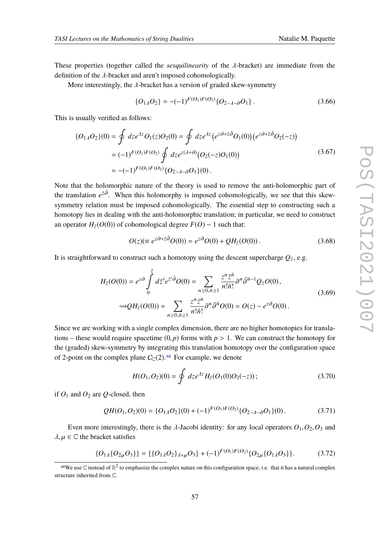These properties (together called the *sesquilinearity* of the λ-bracket) are immediate from the definition of the λ-bracket and aren't imposed cohomologically.

More interestingly, the  $\lambda$ -bracket has a version of graded skew-symmetry

$$
\{O_{1\lambda}O_2\} = -(-1)^{F(O_1)F(O_2)}\{O_{2-\lambda-\partial}O_1\}.
$$
\n(3.66)

This is usually verified as follows:

$$
\{O_{1\lambda}O_2\}(0) = \oint dz e^{\lambda z} O_1(z)O_2(0) = \oint dz e^{\lambda z} (e^{z\partial + \bar{z}\bar{\partial}} O_1(0)) (e^{z\partial + \bar{z}\bar{\partial}} O_2(-z))
$$
  
=  $(-1)^{F(O_1)F(O_2)} \oint dz e^{z(\lambda + \partial)} (O_2(-z)O_1(0))$   
=  $-(-1)^{F(O_1)F(O_2)} \{O_{2-\lambda-\partial}O_1\}(0).$  (3.67)

Note that the holomorphic nature of the theory is used to remove the anti-holomorphic part of the translation  $e^{z\bar{\partial}}$ . When this holomorphy is imposed cohomologically, we see that this skewsymmetry relation must be imposed cohomologically. The essential step to constructing such a homotopy lies in dealing with the anti-holomorphic translation; in particular, we need to construct an operator  $H_{\bar{z}}(O(0))$  of cohomological degree  $F(O) - 1$  such that:

$$
O(z)(\equiv e^{z\partial + \bar{z}\bar{\partial}}O(0)) = e^{z\partial}O(0) + QH_{\bar{z}}(O(0)).
$$
\n(3.68)

It is straightforward to construct such a homotopy using the descent supercharge  $Q_{\bar{z}},$  e.g.

$$
H_{\bar{z}}(O(0)) = e^{z\partial} \int_{0}^{\bar{z}} d\bar{z}' e^{\bar{z}'\bar{\partial}} O(0) = \sum_{n \ge 0, \bar{n} \ge 1} \frac{z^n \bar{z}^{\bar{n}}}{n! \bar{n}!} \partial^n \bar{\partial}^{\bar{n}-1} Q_{\bar{z}} O(0),
$$
  

$$
\omega_2 H_{\bar{z}}(O(0)) = \sum_{n \ge 0, \bar{n} \ge 1} \frac{z^n \bar{z}^{\bar{n}}}{n! \bar{n}!} \partial^n \bar{\partial}^{\bar{n}} O(0) = O(z) - e^{z\partial} O(0).
$$
 (3.69)

Since we are working with a single complex dimension, there are no higher homotopies for translations – these would require spacetime  $(0, p)$  forms with  $p > 1$ . We can construct the homotopy for the (graded) skew-symmetry by integrating this translation homotopy over the configuration space of 2-point on the complex plane  $C_{\mathbb{C}}(2)$ .<sup>[48](#page-56-0)</sup> For example, we denote

$$
H(O_1, O_2)(0) = \oint dz e^{\lambda z} H_{\bar{z}}(O_1(0)O_2(-z)) ; \qquad (3.70)
$$

if  $O_1$  and  $O_2$  are Q-closed, then

$$
QH(O_1, O_2)(0) = \{O_{1\lambda}O_2\}(0) + (-1)^{F(O_1)F(O_2)}\{O_{2-\lambda-\partial}O_1\}(0). \tag{3.71}
$$

Even more interestingly, there is the  $\lambda$ -Jacobi identity: for any local operators  $O_1$ ,  $O_2$ ,  $O_3$  and  $\lambda, \mu \in \mathbb{C}$  the bracket satisfies

$$
\{O_{1\lambda}\{O_{2\mu}O_3\}\} = \{\{O_{1\lambda}O_2\}_{\lambda+\mu}O_3\} + (-1)^{F(O_1)F(O_2)}\{O_{2\mu}\{O_{1\lambda}O_3\}\}.
$$
 (3.72)

<span id="page-56-0"></span><sup>&</sup>lt;sup>48</sup>We use C instead of  $\R^2$  to emphasize the complex nature on this configuration space, i.e. that it has a natural complex structure inherited from C.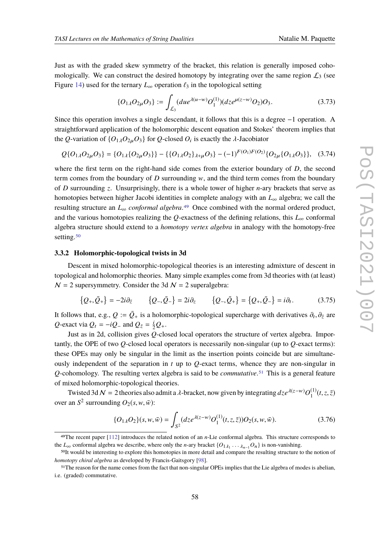Just as with the graded skew symmetry of the bracket, this relation is generally imposed cohomologically. We can construct the desired homotopy by integrating over the same region  $\mathcal{L}_3$  (see Figure [14\)](#page-52-0) used for the ternary  $L_{\infty}$  operation  $\ell_3$  in the topological setting

$$
\{O_{1\lambda}O_{2\mu}O_3\} := \int_{\mathcal{L}_3} (du e^{\lambda(u-w)} O_1^{(1)}) (dz e^{\mu(z-w)} O_2) O_3. \tag{3.73}
$$

Since this operation involves a single descendant, it follows that this is a degree −1 operation. A straightforward application of the holomorphic descent equation and Stokes' theorem implies that the *Q*-variation of  $\{O_{1\lambda}O_{2\mu}O_3\}$  for *Q*-closed  $O_i$  is exactly the  $\lambda$ -Jacobiator

$$
Q\{O_{1\lambda}O_{2\mu}O_3\} = \{O_{1\lambda}\{O_{2\mu}O_3\}\} - \{\{O_{1\lambda}O_2\}_{\lambda+\mu}O_3\} - (-1)^{F(O_1)F(O_2)}\{O_{2\mu}\{O_{1\lambda}O_3\}\},
$$
 (3.74)

where the first term on the right-hand side comes from the exterior boundary of *D*, the second term comes from the boundary of  $D$  surrounding  $w$ , and the third term comes from the boundary of *D* surrounding *z*. Unsurprisingly, there is a whole tower of higher *n*-ary brackets that serve as homotopies between higher Jacobi identities in complete analogy with an  $L_{\infty}$  algebra; we call the resulting structure an *<sup>L</sup>*<sup>∞</sup> *conformal algebra*.[49](#page-57-0) Once combined with the normal ordered product, and the various homotopies realizing the  $Q$ -exactness of the defining relations, this  $L_{\infty}$  conformal algebra structure should extend to a *homotopy vertex algebra* in analogy with the homotopy-free setting.<sup>[50](#page-57-1)</sup>

## **3.3.2 Holomorphic-topological twists in 3d**

Descent in mixed holomorphic-topological theories is an interesting admixture of descent in topological and holomorphic theories. Many simple examples come from 3d theories with (at least)  $N = 2$  supersymmetry. Consider the 3d  $N = 2$  superalgebra:

$$
\{Q_+,\bar{Q}_+\} = -2i\partial_{\bar{z}} \qquad \{Q_-,\bar{Q}_-\} = 2i\partial_z \qquad \{Q_-,\bar{Q}_+\} = \{Q_+,\bar{Q}_-\} = i\partial_t. \tag{3.75}
$$

It follows that, e.g.,  $Q := \bar{Q}_+$  is a holomorphic-topological supercharge with derivatives  $\partial_t, \partial_{\bar{z}}$  are  $Q$ -exact via  $Q_t = -iQ_-\text{ and } Q_{\bar{z}} = \frac{i}{2}Q_+$ .

Just as in 2d, collision gives *Q*-closed local operators the structure of vertex algebra. Importantly, the OPE of two *Q*-closed local operators is necessarily non-singular (up to *Q*-exact terms): these OPEs may only be singular in the limit as the insertion points coincide but are simultaneously independent of the separation in  $t$  up to  $Q$ -exact terms, whence they are non-singular in *Q*-cohomology. The resulting vertex algebra is said to be *commutative*.[51](#page-57-2) This is a general feature of mixed holomorphic-topological theories.

Twisted 3d  $N = 2$  theories also admit a  $\lambda$ -bracket, now given by integrating  $dze^{\lambda(z-w)}O_1^{(1)}(t,z,\bar{z})$ over an  $S^2$  surrounding  $O_2(s, w, \overline{w})$ :

$$
\{O_{1\lambda}O_2\}(s, w, \bar{w}) = \int_{S^2} (dze^{\lambda(z-w)}O_1^{(1)}(t, z, \bar{z}))O_2(s, w, \bar{w}).
$$
\n(3.76)

<span id="page-57-0"></span><sup>49</sup>The recent paper [\[112\]](#page-81-14) introduces the related notion of an *n*-Lie conformal algebra. This structure corresponds to the *L*<sub>∞</sub> conformal algebra we describe, where only the *n*-ary bracket  $\{O_{1\lambda_1} \ldots \lambda_{n-1} O_n\}$  is non-vanishing.

<span id="page-57-1"></span><sup>50</sup>It would be interesting to explore this homotopies in more detail and compare the resulting structure to the notion of *homotopy chiral algebra* as developed by Francis-Gaitsgory [\[98\]](#page-81-1).

<span id="page-57-2"></span><sup>51</sup>The reason for the name comes from the fact that non-singular OPEs implies that the Lie algebra of modes is abelian, i.e. (graded) commutative.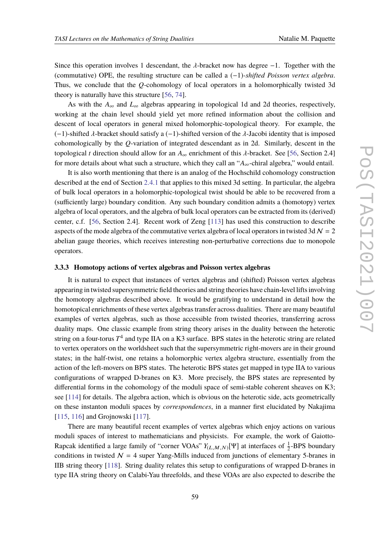Since this operation involves 1 descendant, the  $\lambda$ -bracket now has degree  $-1$ . Together with the (commutative) OPE, the resulting structure can be called a (−1)*-shifted Poisson vertex algebra*. Thus, we conclude that the *Q*-cohomology of local operators in a holomorphically twisted 3d theory is naturally have this structure [\[56,](#page-78-2) [74\]](#page-79-8).

As with the  $A_{\infty}$  and  $L_{\infty}$  algebras appearing in topological 1d and 2d theories, respectively, working at the chain level should yield yet more refined information about the collision and descent of local operators in general mixed holomorphic-topological theory. For example, the  $(-1)$ -shifted  $\lambda$ -bracket should satisfy a  $(-1)$ -shifted version of the  $\lambda$ -Jacobi identity that is imposed cohomologically by the *Q*-variation of integrated descendant as in 2d. Similarly, descent in the topological *t* direction should allow for an  $A_{\infty}$  enrichment of this  $\lambda$ -bracket. See [\[56,](#page-78-2) Section 2.4] for more details about what such a structure, which they call an "*A*∞-chiral algebra," would entail.

It is also worth mentioning that there is an analog of the Hochschild cohomology construction described at the end of Section [2.4.1](#page-22-0) that applies to this mixed 3d setting. In particular, the algebra of bulk local operators in a holomorphic-topological twist should be able to be recovered from a (sufficiently large) boundary condition. Any such boundary condition admits a (homotopy) vertex algebra of local operators, and the algebra of bulk local operators can be extracted from its (derived) center, c.f. [\[56,](#page-78-2) Section 2.4]. Recent work of Zeng [\[113\]](#page-81-15) has used this construction to describe aspects of the mode algebra of the commutative vertex algebra of local operators in twisted 3d  $\mathcal{N} = 2$ abelian gauge theories, which receives interesting non-perturbative corrections due to monopole operators.

# **3.3.3 Homotopy actions of vertex algebras and Poisson vertex algebras**

It is natural to expect that instances of vertex algebras and (shifted) Poisson vertex algebras appearing in twisted supersymmetric field theories and string theories have chain-level lifts involving the homotopy algebras described above. It would be gratifying to understand in detail how the homotopical enrichments of these vertex algebras transfer across dualities. There are many beautiful examples of vertex algebras, such as those accessible from twisted theories, transferring across duality maps. One classic example from string theory arises in the duality between the heterotic string on a four-torus  $T^4$  and type IIA on a K3 surface. BPS states in the heterotic string are related to vertex operators on the worldsheet such that the supersymmetric right-movers are in their ground states; in the half-twist, one retains a holomorphic vertex algebra structure, essentially from the action of the left-movers on BPS states. The heterotic BPS states get mapped in type IIA to various configurations of wrapped D-branes on K3. More precisely, the BPS states are represented by differential forms in the cohomology of the moduli space of semi-stable coherent sheaves on K3; see [\[114\]](#page-81-16) for details. The algebra action, which is obvious on the heterotic side, acts geometrically on these instanton moduli spaces by *correspondences*, in a manner first elucidated by Nakajima [\[115,](#page-82-0) [116\]](#page-82-1) and Grojnowski [\[117\]](#page-82-2).

There are many beautiful recent examples of vertex algebras which enjoy actions on various moduli spaces of interest to mathematicians and physicists. For example, the work of Gaiotto-Rapcak identified a large family of "corner VOAs"  $Y_{(L,M,N)}[\Psi]$  at interfaces of  $\frac{1}{2}$ -BPS boundary conditions in twisted  $\mathcal{N} = 4$  super Yang-Mills induced from junctions of elementary 5-branes in IIB string theory [\[118\]](#page-82-3). String duality relates this setup to configurations of wrapped D-branes in type IIA string theory on Calabi-Yau threefolds, and these VOAs are also expected to describe the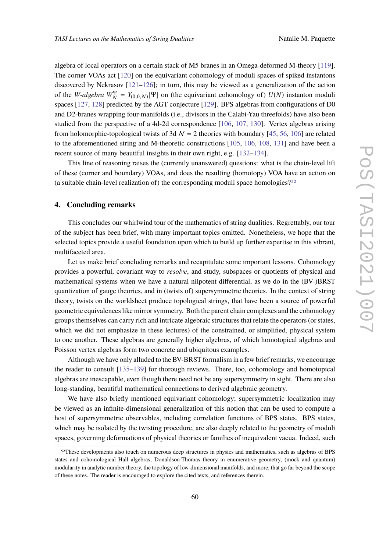algebra of local operators on a certain stack of M5 branes in an Omega-deformed M-theory [\[119\]](#page-82-4). The corner VOAs act [\[120\]](#page-82-5) on the equivariant cohomology of moduli spaces of spiked instantons discovered by Nekrasov  $[121-126]$  $[121-126]$ ; in turn, this may be viewed as a generalization of the action of the *W-algebra*  $W_N^{\Psi} = Y_{(0,0,N)}[\Psi]$  on (the equivariant cohomology of)  $U(N)$  instanton moduli spaces [\[127,](#page-82-8) [128\]](#page-82-9) predicted by the AGT conjecture [\[129\]](#page-82-10). BPS algebras from configurations of D0 and D2-branes wrapping four-manifolds (i.e., divisors in the Calabi-Yau threefolds) have also been studied from the perspective of a 4d-2d correspondence [\[106,](#page-81-11) [107,](#page-81-17) [130\]](#page-82-11). Vertex algebras arising from holomorphic-topological twists of 3d  $\mathcal{N} = 2$  theories with boundary [\[45,](#page-77-1) [56,](#page-78-2) [106\]](#page-81-11) are related to the aforementioned string and M-theoretic constructions [\[105,](#page-81-10) [106,](#page-81-11) [108,](#page-81-12) [131\]](#page-82-12) and have been a recent source of many beautiful insights in their own right, e.g. [\[132–](#page-83-0)[134\]](#page-83-1).

This line of reasoning raises the (currently unanswered) questions: what is the chain-level lift of these (corner and boundary) VOAs, and does the resulting (homotopy) VOA have an action on (a suitable chain-level realization of) the corresponding moduli space homologies?[52](#page-59-0)

# **4. Concluding remarks**

This concludes our whirlwind tour of the mathematics of string dualities. Regrettably, our tour of the subject has been brief, with many important topics omitted. Nonetheless, we hope that the selected topics provide a useful foundation upon which to build up further expertise in this vibrant, multifaceted area.

Let us make brief concluding remarks and recapitulate some important lessons. Cohomology provides a powerful, covariant way to *resolve*, and study, subspaces or quotients of physical and mathematical systems when we have a natural nilpotent differential, as we do in the (BV-)BRST quantization of gauge theories, and in (twists of) supersymmetric theories. In the context of string theory, twists on the worldsheet produce topological strings, that have been a source of powerful geometric equivalences like mirror symmetry. Both the parent chain complexes and the cohomology groups themselves can carry rich and intricate algebraic structures that relate the operators (or states, which we did not emphasize in these lectures) of the constrained, or simplified, physical system to one another. These algebras are generally higher algebras, of which homotopical algebras and Poisson vertex algebras form two concrete and ubiquitous examples.

Although we have only alluded to the BV-BRST formalism in a few brief remarks, we encourage the reader to consult [\[135](#page-83-2)[–139\]](#page-83-3) for thorough reviews. There, too, cohomology and homotopical algebras are inescapable, even though there need not be any supersymmetry in sight. There are also long-standing, beautiful mathematical connections to derived algebraic geometry.

We have also briefly mentioned equivariant cohomology; supersymmetric localization may be viewed as an infinite-dimensional generalization of this notion that can be used to compute a host of supersymmetric observables, including correlation functions of BPS states. BPS states, which may be isolated by the twisting procedure, are also deeply related to the geometry of moduli spaces, governing deformations of physical theories or families of inequivalent vacua. Indeed, such

<span id="page-59-0"></span><sup>52</sup>These developments also touch on numerous deep structures in physics and mathematics, such as algebras of BPS states and cohomological Hall algebras, Donaldson-Thomas theory in enumerative geometry, (mock and quantum) modularity in analytic number theory, the topology of low-dimensional manifolds, and more, that go far beyond the scope of these notes. The reader is encouraged to explore the cited texts, and references therein.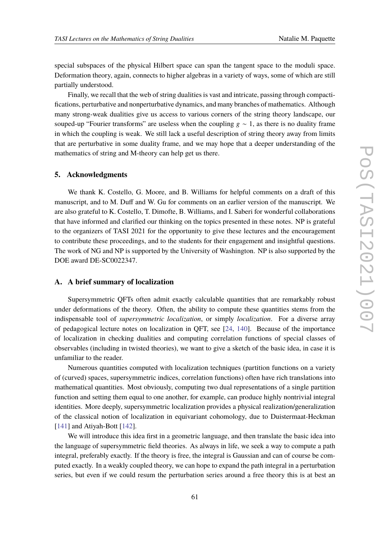special subspaces of the physical Hilbert space can span the tangent space to the moduli space. Deformation theory, again, connects to higher algebras in a variety of ways, some of which are still partially understood.

Finally, we recall that the web of string dualities is vast and intricate, passing through compactifications, perturbative and nonperturbative dynamics, and many branches of mathematics. Although many strong-weak dualities give us access to various corners of the string theory landscape, our souped-up "Fourier transforms" are useless when the coupling  $g \sim 1$ , as there is no duality frame in which the coupling is weak. We still lack a useful description of string theory away from limits that are perturbative in some duality frame, and we may hope that a deeper understanding of the mathematics of string and M-theory can help get us there.

#### **5. Acknowledgments**

We thank K. Costello, G. Moore, and B. Williams for helpful comments on a draft of this manuscript, and to M. Duff and W. Gu for comments on an earlier version of the manuscript. We are also grateful to K. Costello, T. Dimofte, B. Williams, and I. Saberi for wonderful collaborations that have informed and clarified our thinking on the topics presented in these notes. NP is grateful to the organizers of TASI 2021 for the opportunity to give these lectures and the encouragement to contribute these proceedings, and to the students for their engagement and insightful questions. The work of NG and NP is supported by the University of Washington. NP is also supported by the DOE award DE-SC0022347.

# <span id="page-60-0"></span>**A. A brief summary of localization**

Supersymmetric QFTs often admit exactly calculable quantities that are remarkably robust under deformations of the theory. Often, the ability to compute these quantities stems from the indispensable tool of *supersymmetric localization*, or simply *localization*. For a diverse array of pedagogical lecture notes on localization in QFT, see [\[24,](#page-76-6) [140\]](#page-83-4). Because of the importance of localization in checking dualities and computing correlation functions of special classes of observables (including in twisted theories), we want to give a sketch of the basic idea, in case it is unfamiliar to the reader.

Numerous quantities computed with localization techniques (partition functions on a variety of (curved) spaces, supersymmetric indices, correlation functions) often have rich translations into mathematical quantities. Most obviously, computing two dual representations of a single partition function and setting them equal to one another, for example, can produce highly nontrivial integral identities. More deeply, supersymmetric localization provides a physical realization/generalization of the classical notion of localization in equivariant cohomology, due to Duistermaat-Heckman [\[141\]](#page-83-5) and Atiyah-Bott [\[142\]](#page-83-6).

We will introduce this idea first in a geometric language, and then translate the basic idea into the language of supersymmetric field theories. As always in life, we seek a way to compute a path integral, preferably exactly. If the theory is free, the integral is Gaussian and can of course be computed exactly. In a weakly coupled theory, we can hope to expand the path integral in a perturbation series, but even if we could resum the perturbation series around a free theory this is at best an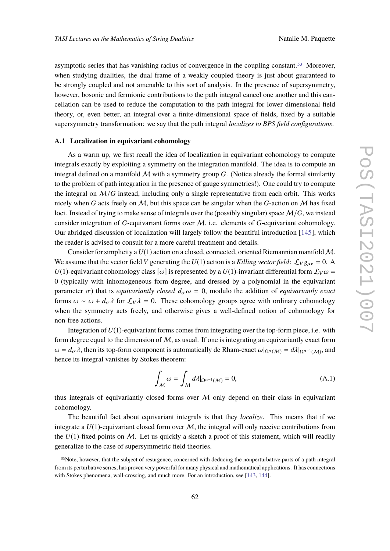asymptotic series that has vanishing radius of convergence in the coupling constant.[53](#page-61-0) Moreover, when studying dualities, the dual frame of a weakly coupled theory is just about guaranteed to be strongly coupled and not amenable to this sort of analysis. In the presence of supersymmetry, however, bosonic and fermionic contributions to the path integral cancel one another and this cancellation can be used to reduce the computation to the path integral for lower dimensional field theory, or, even better, an integral over a finite-dimensional space of fields, fixed by a suitable supersymmetry transformation: we say that the path integral *localizes to BPS field configurations*.

# **A.1 Localization in equivariant cohomology**

As a warm up, we first recall the idea of localization in equivariant cohomology to compute integrals exactly by exploiting a symmetry on the integration manifold. The idea is to compute an integral defined on a manifold  $M$  with a symmetry group  $G$ . (Notice already the formal similarity to the problem of path integration in the presence of gauge symmetries!). One could try to compute the integral on  $M/G$  instead, including only a single representative from each orbit. This works nicely when *G* acts freely on *M*, but this space can be singular when the *G*-action on *M* has fixed loci. Instead of trying to make sense of integrals over the (possibly singular) space M/*G*, we instead consider integration of *G*-equivariant forms over M, i.e. elements of *G*-equivariant cohomology. Our abridged discussion of localization will largely follow the beautiful introduction [\[145\]](#page-83-7), which the reader is advised to consult for a more careful treatment and details.

Consider for simplicity a  $U(1)$  action on a closed, connected, oriented Riemannian manifold M. We assume that the vector field *V* generating the  $U(1)$  action is a *Killing vector field*:  $\mathcal{L}_V g_{\mu\nu} = 0$ . A *U*(1)-equivariant cohomology class  $[\omega]$  is represented by a *U*(1)-invariant differential form  $\mathcal{L}_V \omega$  = 0 (typically with inhomogeneous form degree, and dressed by a polynomial in the equivariant parameter  $\sigma$ ) that is *equivariantly closed*  $d_{\sigma}\omega = 0$ , modulo the addition of *equivariantly exact* forms  $\omega \sim \omega + d_{\sigma} \lambda$  for  $\mathcal{L}_V \lambda = 0$ . These cohomology groups agree with ordinary cohomology when the symmetry acts freely, and otherwise gives a well-defined notion of cohomology for non-free actions.

Integration of *U*(1)-equivariant forms comes from integrating over the top-form piece, i.e. with form degree equal to the dimension of  $M$ , as usual. If one is integrating an equivariantly exact form  $\omega = d_{\sigma}\lambda$ , then its top-form component is automatically de Rham-exact  $\omega|_{\Omega^n(M)} = d\lambda|_{\Omega^{n-1}(M)}$ , and hence its integral vanishes by Stokes theorem:

$$
\int_{M} \omega = \int_{M} d\lambda |_{\Omega^{n-1}(M)} = 0,
$$
\n(A.1)

thus integrals of equivariantly closed forms over  $M$  only depend on their class in equivariant cohomology.

The beautiful fact about equivariant integrals is that they *localize*. This means that if we integrate a  $U(1)$ -equivariant closed form over  $M$ , the integral will only receive contributions from the  $U(1)$ -fixed points on M. Let us quickly a sketch a proof of this statement, which will readily generalize to the case of supersymmetric field theories.

<span id="page-61-0"></span><sup>53</sup>Note, however, that the subject of resurgence, concerned with deducing the nonperturbative parts of a path integral from its perturbative series, has proven very powerful for many physical and mathematical applications. It has connections with Stokes phenomena, wall-crossing, and much more. For an introduction, see [\[143,](#page-83-8) [144\]](#page-83-9).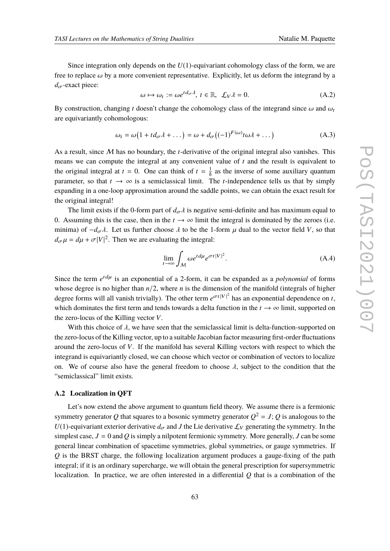Since integration only depends on the *U*(1)-equivariant cohomology class of the form, we are free to replace  $\omega$  by a more convenient representative. Explicitly, let us deform the integrand by a  $d_{\sigma}$ -exact piece:

$$
\omega \mapsto \omega_t := \omega e^{td_{\sigma}\lambda}, \ t \in \mathbb{R}, \ \mathcal{L}_V \lambda = 0. \tag{A.2}
$$

By construction, changing *t* doesn't change the cohomology class of the integrand since  $\omega$  and  $\omega_t$ are equivariantly cohomologous:

$$
\omega_t = \omega \big( 1 + t d_{\sigma} \lambda + \dots \big) = \omega + d_{\sigma} \big( (-1)^{F(\omega)} t \omega \lambda + \dots \big) \tag{A.3}
$$

As a result, since M has no boundary, the *t*-derivative of the original integral also vanishes. This means we can compute the integral at any convenient value of *t* and the result is equivalent to the original integral at  $t = 0$ . One can think of  $t = \frac{1}{h}$  as the inverse of some auxiliary quantum parameter, so that  $t \to \infty$  is a semiclassical limit. The *t*-independence tells us that by simply expanding in a one-loop approximation around the saddle points, we can obtain the exact result for the original integral!

The limit exists if the 0-form part of  $d_{\sigma} \lambda$  is negative semi-definite and has maximum equal to 0. Assuming this is the case, then in the  $t \to \infty$  limit the integral is dominated by the zeroes (i.e. minima) of  $-d_{\sigma}\lambda$ . Let us further choose  $\lambda$  to be the 1-form  $\mu$  dual to the vector field *V*, so that  $d_{\sigma}\mu = d\mu + \sigma|V|^2$ . Then we are evaluating the integral:

$$
\lim_{t \to \infty} \int_M \omega e^{td\mu} e^{\sigma t |V|^2}.
$$
\n(A.4)

Since the term  $e^{td\mu}$  is an exponential of a 2-form, it can be expanded as a *polynomial* of forms whose degree is no higher than  $n/2$ , where *n* is the dimension of the manifold (integrals of higher degree forms will all vanish trivially). The other term  $e^{\sigma t|V|^2}$  has an exponential dependence on *t*, which dominates the first term and tends towards a delta function in the  $t \to \infty$  limit, supported on the zero-locus of the Killing vector *V*.

With this choice of  $\lambda$ , we have seen that the semiclassical limit is delta-function-supported on the zero-locus of the Killing vector, up to a suitable Jacobian factor measuring first-order fluctuations around the zero-locus of *V*. If the manifold has several Killing vectors with respect to which the integrand is equivariantly closed, we can choose which vector or combination of vectors to localize on. We of course also have the general freedom to choose  $\lambda$ , subject to the condition that the "semiclassical" limit exists.

# **A.2 Localization in QFT**

Let's now extend the above argument to quantum field theory. We assume there is a fermionic symmetry generator  $Q$  that squares to a bosonic symmetry generator  $Q^2 = J$  ;  $Q$  is analogous to the *U*(1)-equivariant exterior derivative  $d_{\sigma}$  and *J* the Lie derivative  $\mathcal{L}_V$  generating the symmetry. In the simplest case,  $J = 0$  and  $Q$  is simply a nilpotent fermionic symmetry. More generally,  $J$  can be some general linear combination of spacetime symmetries, global symmetries, or gauge symmetries. If *Q* is the BRST charge, the following localization argument produces a gauge-fixing of the path integral; if it is an ordinary supercharge, we will obtain the general prescription for supersymmetric localization. In practice, we are often interested in a differential *Q* that is a combination of the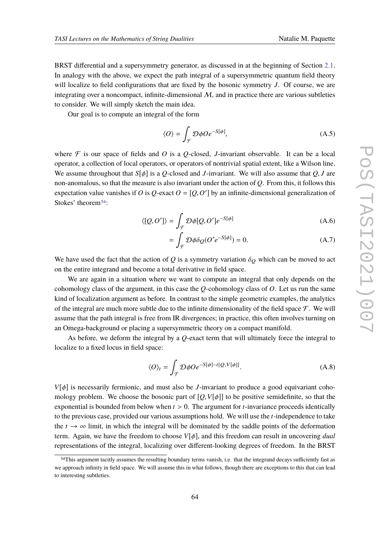BRST differential and a supersymmetry generator, as discussed in at the beginning of Section [2.1.](#page-3-0) In analogy with the above, we expect the path integral of a supersymmetric quantum field theory will localize to field configurations that are fixed by the bosonic symmetry *J*. Of course, we are integrating over a noncompact, infinite-dimensional  $M$ , and in practice there are various subtleties to consider. We will simply sketch the main idea.

Our goal is to compute an integral of the form

$$
\langle O \rangle = \int_{\mathcal{F}} \mathcal{D}\phi O e^{-S[\phi]},\tag{A.5}
$$

where  $\mathcal F$  is our space of fields and *O* is a *Q*-closed, *J*-invariant observable. It can be a local operator, a collection of local operators, or operators of nontrivial spatial extent, like a Wilson line. We assume throughout that  $S[\phi]$  is a *Q*-closed and *J*-invariant. We will also assume that *Q*, *J* are non-anomalous, so that the measure is also invariant under the action of *Q*. From this, it follows this expectation value vanishes if *O* is  $Q$ -exact  $O = [Q, O']$  by an infinite-dimensional generalization of Stokes' theorem<sup>[54](#page-63-0)</sup>:

$$
\langle [Q, O'] \rangle = \int_{\mathcal{F}} \mathcal{D}\phi [Q, O'] e^{-S[\phi]} \tag{A.6}
$$

$$
= \int_{\mathcal{F}} \mathcal{D}\phi \delta_{Q}(O'e^{-S[\phi]}) = 0.
$$
 (A.7)

We have used the fact that the action of  $Q$  is a symmetry variation  $\delta_Q$  which can be moved to act on the entire integrand and become a total derivative in field space.

We are again in a situation where we want to compute an integral that only depends on the cohomology class of the argument, in this case the *Q*-cohomology class of *O*. Let us run the same kind of localization argument as before. In contrast to the simple geometric examples, the analytics of the integral are much more subtle due to the infinite dimensionality of the field space  $\mathcal F$ . We will assume that the path integral is free from IR divergences; in practice, this often involves turning on an Omega-background or placing a supersymmetric theory on a compact manifold.

As before, we deform the integral by a *Q*-exact term that will ultimately force the integral to localize to a fixed locus in field space:

$$
\langle O \rangle_t = \int_{\mathcal{F}} \mathcal{D}\phi O e^{-S[\phi] - t[Q, V[\phi]]}.
$$
 (A.8)

*V*[φ] is necessarily fermionic, and must also be *J*-invariant to produce a good equivariant cohomology problem. We choose the bosonic part of  $[Q, V[\phi]]$  to be positive semidefinite, so that the exponential is bounded from below when *t* > 0. The argument for *t*-invariance proceeds identically to the previous case, provided our various assumptions hold. We will use the *t*-independence to take the  $t \to \infty$  limit, in which the integral will be dominated by the saddle points of the deformation term. Again, we have the freedom to choose  $V[\phi]$ , and this freedom can result in uncovering *dual* representations of the integral, localizing over different-looking degrees of freedom. In the BRST

<span id="page-63-0"></span><sup>54</sup>This argument tacitly assumes the resulting boundary terms vanish, i.e. that the integrand decays sufficiently fast as we approach infinity in field space. We will assume this in what follows, though there are exceptions to this that can lead to interesting subtleties.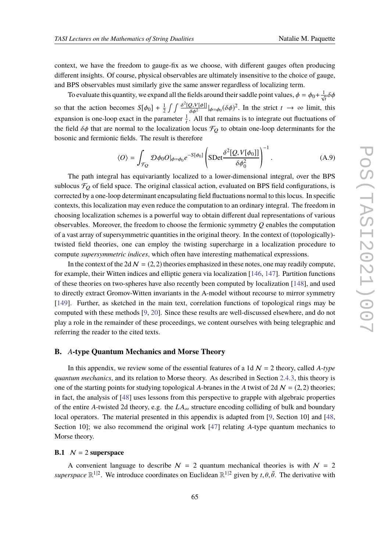context, we have the freedom to gauge-fix as we choose, with different gauges often producing different insights. Of course, physical observables are ultimately insensitive to the choice of gauge, and BPS observables must similarly give the same answer regardless of localizing term.

To evaluate this quantity, we expand all the fields around their saddle point values,  $\phi = \phi_0 + \frac{1}{\sqrt{t}} \delta \phi$ so that the action becomes  $S[\phi_0] + \frac{1}{2}$  $\frac{1}{2} \int \int \frac{\delta^2[Q,V[\phi]]}{\delta \phi^2}$  $\frac{Q,V[\phi]]}{\delta\phi^2}\Big|_{\phi=\phi_0} (\delta\phi)^2$ . In the strict  $t \to \infty$  limit, this expansion is one-loop exact in the parameter  $\frac{1}{t}$ . All that remains is to integrate out fluctuations of the field  $\delta\phi$  that are normal to the localization locus  $\mathcal{F}_Q$  to obtain one-loop determinants for the bosonic and fermionic fields. The result is therefore

$$
\langle O \rangle = \int_{\mathcal{F}_{Q}} \mathcal{D}\phi_{0} O|_{\phi = \phi_{0}} e^{-S[\phi_{0}]} \left( \text{SDet} \frac{\delta^{2}[Q, V[\phi_{0}]]}{\delta \phi_{0}^{2}} \right)^{-1} . \tag{A.9}
$$

The path integral has equivariantly localized to a lower-dimensional integral, over the BPS sublocus  $\mathcal{F}_O$  of field space. The original classical action, evaluated on BPS field configurations, is corrected by a one-loop determinant encapsulating field fluctuations normal to this locus. In specific contexts, this localization may even reduce the computation to an ordinary integral. The freedom in choosing localization schemes is a powerful way to obtain different dual representations of various observables. Moreover, the freedom to choose the fermionic symmetry *Q* enables the computation of a vast array of supersymmetric quantities in the original theory. In the context of (topologically) twisted field theories, one can employ the twisting supercharge in a localization procedure to compute *supersymmetric indices*, which often have interesting mathematical expressions.

In the context of the 2d  $\mathcal{N} = (2, 2)$  theories emphasized in these notes, one may readily compute, for example, their Witten indices and elliptic genera via localization [\[146,](#page-83-10) [147\]](#page-83-11). Partition functions of these theories on two-spheres have also recently been computed by localization [\[148\]](#page-83-12), and used to directly extract Gromov-Witten invariants in the A-model without recourse to mirror symmetry [\[149\]](#page-84-0). Further, as sketched in the main text, correlation functions of topological rings may be computed with these methods [\[9,](#page-75-0) [20\]](#page-76-4). Since these results are well-discussed elsewhere, and do not play a role in the remainder of these proceedings, we content ourselves with being telegraphic and referring the reader to the cited texts.

# **B.** *A***-type Quantum Mechanics and Morse Theory**

In this appendix, we review some of the essential features of a 1d N = 2 theory, called *A-type quantum mechanics*, and its relation to Morse theory. As described in Section [2.4.3,](#page-28-0) this theory is one of the starting points for studying topological *A*-branes in the *A* twist of 2d  $N = (2, 2)$  theories; in fact, the analysis of [\[48\]](#page-78-1) uses lessons from this perspective to grapple with algebraic properties of the entire *A*-twisted 2d theory, e.g. the  $LA_{\infty}$  structure encoding colliding of bulk and boundary local operators. The material presented in this appendix is adapted from [\[9,](#page-75-0) Section 10] and [\[48,](#page-78-1) Section 10]; we also recommend the original work [\[47\]](#page-78-3) relating *A*-type quantum mechanics to Morse theory.

## <span id="page-64-0"></span>**B.1**  $N = 2$  **superspace**

A convenient language to describe  $N = 2$  quantum mechanical theories is with  $N = 2$ *superspace*  $\mathbb{R}^{1|2}$ . We introduce coordinates on Euclidean  $\mathbb{R}^{1|2}$  given by  $t, \theta, \bar{\theta}$ . The derivative with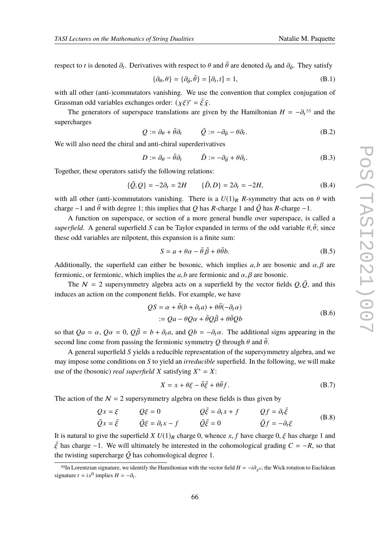respect to *t* is denoted  $\partial_t$ . Derivatives with respect to  $\theta$  and  $\bar{\theta}$  are denoted  $\partial_{\theta}$  and  $\partial_{\bar{\theta}}$ . They satisfy

$$
\{\partial_{\theta}, \theta\} = \{\partial_{\bar{\theta}}, \bar{\theta}\} = [\partial_t, t] = 1,\tag{B.1}
$$

with all other (anti-)commutators vanishing. We use the convention that complex conjugation of Grassman odd variables exchanges order:  $(\chi \xi)^* = \bar{\xi} \bar{\chi}$ .

The generators of superspace translations are given by the Hamiltonian  $H = -\partial_t^{55}$  $H = -\partial_t^{55}$  $H = -\partial_t^{55}$  and the supercharges

$$
Q := \partial_{\theta} + \bar{\theta}\partial_t \qquad \bar{Q} := -\partial_{\bar{\theta}} - \theta\partial_t.
$$
 (B.2)

We will also need the chiral and anti-chiral superderivatives

$$
D := \partial_{\theta} - \bar{\theta}\partial_t \qquad \quad \bar{D} := -\partial_{\bar{\theta}} + \theta\partial_t. \tag{B.3}
$$

Together, these operators satisfy the following relations:

$$
\{\bar{Q}, Q\} = -2\partial_t = 2H \qquad \{\bar{D}, D\} = 2\partial_t = -2H, \tag{B.4}
$$

with all other (anti-)commutators vanishing. There is a  $U(1)_R$  *R*-symmetry that acts on  $\theta$  with charge  $-1$  and  $\bar{\theta}$  with degree 1; this implies that *Q* has *R*-charge 1 and  $\bar{Q}$  has *R*-charge  $-1$ .

A function on superspace, or section of a more general bundle over superspace, is called a *superfield*. A general superfield *S* can be Taylor expanded in terms of the odd variable  $\theta$ ,  $\bar{\theta}$ ; since these odd variables are nilpotent, this expansion is a finite sum:

$$
S = a + \theta \alpha - \bar{\theta} \bar{\beta} + \theta \bar{\theta} b. \tag{B.5}
$$

Additionally, the superfield can either be bosonic, which implies  $a, b$  are bosonic and  $\alpha, \beta$  are fermionic, or fermionic, which implies the *a*, *b* are fermionic and  $\alpha$ ,  $\beta$  are bosonic.

The  $N = 2$  supersymmetry algebra acts on a superfield by the vector fields  $Q, \overline{Q}$ , and this induces an action on the component fields. For example, we have

$$
QS = \alpha + \bar{\theta}(b + \partial_t a) + \theta \bar{\theta}(-\partial_t \alpha)
$$
  
 :=  $Qa - \theta Q \alpha + \bar{\theta} Q \bar{\beta} + \theta \bar{\theta} Q b$  (B.6)

so that  $Qa = \alpha$ ,  $Q\alpha = 0$ ,  $Q\overline{\beta} = b + \partial_t a$ , and  $Qb = -\partial_t \alpha$ . The additional signs appearing in the second line come from passing the fermionic symmetry Q through  $\theta$  and  $\bar{\theta}$ .

A general superfield *S* yields a reducible representation of the supersymmetry algebra, and we may impose some conditions on *S* to yield an *irreducible* superfield. In the following, we will make use of the (bosonic) *real superfield X* satisfying  $X^* = X$ :

$$
X = x + \theta \xi - \bar{\theta} \bar{\xi} + \theta \bar{\theta} f. \tag{B.7}
$$

The action of the  $N = 2$  supersymmetry algebra on these fields is thus given by

$$
Qx = \xi \t Q\xi = 0 \t Q\overline{\xi} = \partial_t x + f \t Qf = \partial_t \overline{\xi}
$$
  
\n
$$
\overline{Q}x = \overline{\xi} \t \overline{Q}\xi = \partial_t x - f \t \overline{Q}\overline{\xi} = 0 \t \overline{Q}f = -\partial_t \xi \t (B.8)
$$

It is natural to give the superfield *X U*(1)<sub>R</sub> charge 0, whence *x*, *f* have charge 0,  $\xi$  has charge 1 and  $\bar{\xi}$  has charge −1. We will ultimately be interested in the cohomological grading  $C = -R$ , so that the twisting supercharge  $\overline{Q}$  has cohomological degree 1.

<span id="page-65-0"></span><sup>&</sup>lt;sup>55</sup>In Lorentzian signature, we identify the Hamiltonian with the vector field  $H = -i\partial_{x^0}$ ; the Wick rotation to Euclidean signature  $t = ix^0$  implies  $H = -\partial_t$ .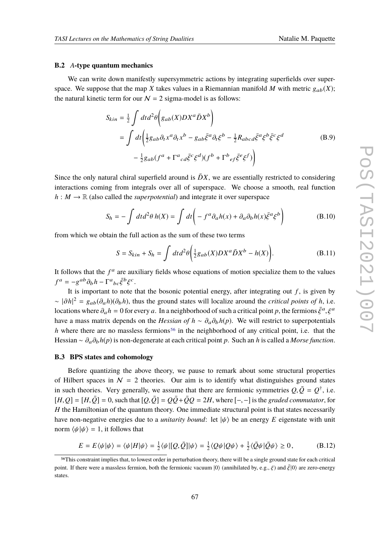#### <span id="page-66-1"></span>**B.2** *A***-type quantum mechanics**

We can write down manifestly supersymmetric actions by integrating superfields over superspace. We suppose that the map *X* takes values in a Riemannian manifold *M* with metric  $g_{ab}(X)$ ; the natural kinetic term for our  $N = 2$  sigma-model is as follows:

$$
S_{kin} = \frac{1}{2} \int dt d^2 \theta \left( g_{ab}(X) D X^a \bar{D} X^b \right)
$$
  
= 
$$
\int dt \left( \frac{1}{2} g_{ab} \partial_t x^a \partial_t x^b - g_{ab} \bar{\xi}^a \partial_t \xi^b - \frac{1}{2} R_{abcd} \bar{\xi}^a \xi^b \bar{\xi}^c \xi^d \right)
$$
  

$$
- \frac{1}{2} g_{ab} (f^a + \Gamma^a{}_{cd} \bar{\xi}^c \xi^d) (f^b + \Gamma^b{}_{ef} \bar{\xi}^e \xi^f) \right)
$$
(B.9)

Since the only natural chiral superfield around is  $\bar{D}X$ , we are essentially restricted to considering interactions coming from integrals over all of superspace. We choose a smooth, real function  $h : M \to \mathbb{R}$  (also called the *superpotential*) and integrate it over superspace

$$
S_h = -\int dt d^2\theta \, h(X) = \int dt \bigg( -f^a \partial_a h(x) + \partial_a \partial_b h(x) \bar{\xi}^a \xi^b \bigg) \tag{B.10}
$$

from which we obtain the full action as the sum of these two terms

$$
S = S_{kin} + S_h = \int dt d^2\theta \left( \frac{1}{2} g_{ab}(X) D X^a \bar{D} X^b - h(X) \right). \tag{B.11}
$$

It follows that the  $f<sup>a</sup>$  are auxiliary fields whose equations of motion specialize them to the values  $f^a = -g^{ab}\partial_b h - \Gamma^a{}_{bc}\bar{\xi}^b \xi^c.$ 

It is important to note that the bosonic potential energy, after integrating out  $f$ , is given by  $\sim |\partial h|^2 = g_{ab}(\partial_a h)(\partial_b h)$ , thus the ground states will localize around the *critical points of h*, i.e. locations where  $\partial_a h = 0$  for every  $a$ . In a neighborhood of such a critical point  $p$ , the fermions  $\bar{\xi}^a, \xi^a$ have a mass matrix depends on the *Hessian of*  $h \sim \partial_a \partial_b h(p)$ . We will restrict to superpotentials *h* where there are no massless fermions<sup>[56](#page-66-0)</sup> in the neighborhood of any critical point, i.e. that the Hessian ∼ ∂a∂<sup>b</sup> *h*(*p*) is non-degenerate at each critical point *p*. Such an *h* is called a *Morse function*.

# **B.3 BPS states and cohomology**

Before quantizing the above theory, we pause to remark about some structural properties of Hilbert spaces in  $N = 2$  theories. Our aim is to identify what distinguishes ground states in such theories. Very generally, we assume that there are fermionic symmetries  $Q, \bar{Q} = Q^{\dagger}$ , i.e.  $[H,Q] = [H,\bar{Q}] = 0$ , such that  $[Q,\bar{Q}] = Q\bar{Q} + \bar{Q}Q = 2H$ , where  $[-,-]$  is the *graded commutator*, for *H* the Hamiltonian of the quantum theory. One immediate structural point is that states necessarily have non-negative energies due to a *unitarity bound*: let  $|\psi\rangle$  be an energy E eigenstate with unit norm  $\langle \psi | \psi \rangle = 1$ , it follows that

$$
E = E\langle\psi|\psi\rangle = \langle\psi|H|\psi\rangle = \frac{1}{2}\langle\psi|[Q,\bar{Q}]|\psi\rangle = \frac{1}{2}\langle Q\psi|Q\psi\rangle + \frac{1}{2}\langle\bar{Q}\psi|\bar{Q}\psi\rangle \ge 0, \tag{B.12}
$$

<span id="page-66-0"></span><sup>56</sup>This constraint implies that, to lowest order in perturbation theory, there will be a single ground state for each critical point. If there were a massless fermion, both the fermionic vacuum  $|0\rangle$  (annihilated by, e.g.,  $\xi$ ) and  $\bar{\xi}|0\rangle$  are zero-energy states.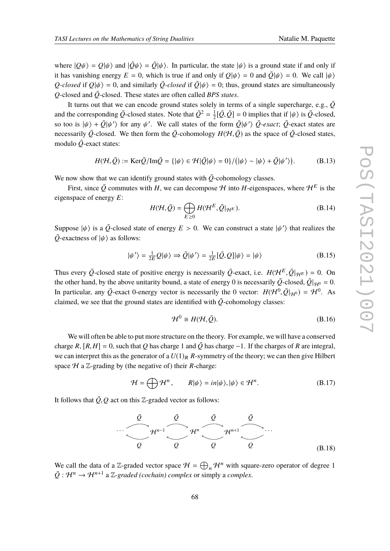where  $|Q\psi\rangle = Q|\psi\rangle$  and  $|\bar{Q}\psi\rangle = \bar{Q}|\psi\rangle$ . In particular, the state  $|\psi\rangle$  is a ground state if and only if it has vanishing energy  $E = 0$ , which is true if and only if  $Q|\psi\rangle = 0$  and  $\overline{Q}|\psi\rangle = 0$ . We call  $|\psi\rangle$ *Q*-closed if  $Q|\psi\rangle = 0$ , and similarly  $\overline{Q}$ -closed if  $\overline{Q}|\psi\rangle = 0$ ; thus, ground states are simultaneously  $Q$ -closed and  $\overline{Q}$ -closed. These states are often called *BPS states*.

It turns out that we can encode ground states solely in terms of a single supercharge, e.g.,  $\overline{Q}$ and the corresponding  $\overline{Q}$ -closed states. Note that  $\overline{Q}^2 = \frac{1}{2}$  $\frac{1}{2}[\overline{Q}, \overline{Q}] = 0$  implies that if  $|\psi\rangle$  is  $\overline{Q}$ -closed, so too is  $|\psi\rangle + \bar{Q}|\psi'\rangle$  for any  $\psi'$ . We call states of the form  $\bar{Q}|\psi'\rangle \bar{Q}$ -exact;  $\bar{Q}$ -exact states are necessarily  $\bar{Q}$ -closed. We then form the  $\bar{Q}$ -cohomology  $H(\mathcal{H}, \bar{Q})$  as the space of  $\bar{Q}$ -closed states, modulo  $\overline{Q}$ -exact states:

$$
H(\mathcal{H}, \bar{Q}) := \text{Ker}\bar{Q}/\text{Im}\bar{Q} = {\vert \psi \rangle \in \mathcal{H} \vert \bar{Q} \vert \psi \rangle = 0 } / ({\vert \psi \rangle \sim \vert \psi \rangle + \bar{Q} \vert \psi' \rangle}).
$$
 (B.13)

We now show that we can identify ground states with  $\overline{Q}$ -cohomology classes.

First, since  $\overline{Q}$  commutes with *H*, we can decompose *H* into *H*-eigenspaces, where  $H^E$  is the eigenspace of energy *E*:

$$
H(\mathcal{H}, \bar{Q}) = \bigoplus_{E \ge 0} H(\mathcal{H}^E, \bar{Q}|_{\mathcal{H}^E}).
$$
 (B.14)

Suppose  $|\psi\rangle$  is a  $\overline{Q}$ -closed state of energy  $E > 0$ . We can construct a state  $|\psi'\rangle$  that realizes the  $\overline{Q}$ -exactness of  $|\psi\rangle$  as follows:

$$
|\psi'\rangle = \frac{1}{2E}Q|\psi\rangle \Rightarrow \bar{Q}|\psi'\rangle = \frac{1}{2E}[\bar{Q}, Q]|\psi\rangle = |\psi\rangle
$$
 (B.15)

Thus every  $\bar{Q}$ -closed state of positive energy is necessarily  $\bar{Q}$ -exact, i.e.  $H(\mathcal{H}^E, \bar{Q}|_{\mathcal{H}^E}) = 0$ . On the other hand, by the above unitarity bound, a state of energy 0 is necessarily  $\bar{Q}$ -closed,  $\bar{Q}|_{\mathcal{H}^0} = 0$ . In particular, any  $\overline{Q}$ -exact 0-energy vector is necessarily the 0 vector:  $H(\mathcal{H}^0, \overline{Q}|_{\mathcal{H}^0}) = \mathcal{H}^0$ . As claimed, we see that the ground states are identified with  $\overline{Q}$ -cohomology classes:

$$
\mathcal{H}^0 \cong H(\mathcal{H}, \bar{\mathcal{Q}}). \tag{B.16}
$$

We will often be able to put more structure on the theory. For example, we will have a conserved charge *R*,  $[R, H] = 0$ , such that *Q* has charge 1 and  $\overline{Q}$  has charge −1. If the charges of *R* are integral, we can interpret this as the generator of a  $U(1)_R$  *R*-symmetry of the theory; we can then give Hilbert space  $H$  a  $\mathbb{Z}$ -grading by (the negative of) their *R*-charge:

$$
\mathcal{H} = \bigoplus \mathcal{H}^n, \qquad R|\psi\rangle = in|\psi\rangle, |\psi\rangle \in \mathcal{H}^n. \tag{B.17}
$$

It follows that  $\overline{Q}$ ,  $Q$  act on this Z-graded vector as follows:

$$
\begin{array}{c}\n\overline{Q} & \overline{Q} & \overline{Q} \\
\hline\n\frac{\partial}{\partial q} & \overline{Q} & \overline{Q} \\
\hline\n\end{array}
$$

We call the data of a Z-graded vector space  $\mathcal{H} = \bigoplus_n \mathcal{H}^n$  with square-zero operator of degree 1  $\overline{Q}$  :  $\mathcal{H}^n \to \mathcal{H}^{n+1}$  a Z-graded (cochain) complex or simply a *complex*.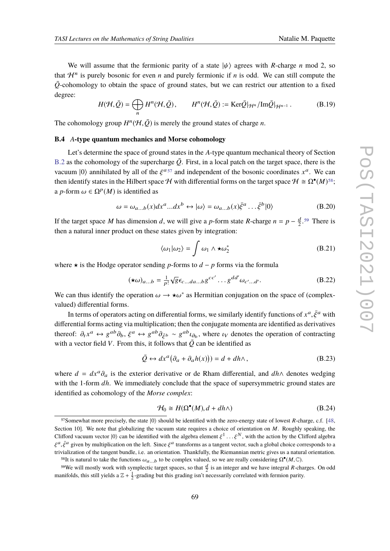$$
H(\mathcal{H}, \bar{Q}) = \bigoplus_{n} H^{n}(\mathcal{H}, \bar{Q}), \qquad H^{n}(\mathcal{H}, \bar{Q}) := \text{Ker}\bar{Q}|_{\mathcal{H}^{n}}/\text{Im}\bar{Q}|_{\mathcal{H}^{n-1}}.
$$
 (B.19)

The cohomology group  $H^n(\mathcal{H}, \bar{Q})$  is merely the ground states of charge *n*.

# **B.4** *A***-type quantum mechanics and Morse cohomology**

Let's determine the space of ground states in the *A*-type quantum mechanical theory of Section [B.2](#page-66-1) as the cohomology of the supercharge  $\overline{Q}$ . First, in a local patch on the target space, there is the vacuum  $|0\rangle$  annihilated by all of the  $\xi^{a}$ <sup>[57](#page-68-0)</sup> and independent of the bosonic coordinates  $x^a$ . We can then identify states in the Hilbert space H with differential forms on the target space  $H \cong \Omega^{\bullet}(M)^{58}$  $H \cong \Omega^{\bullet}(M)^{58}$  $H \cong \Omega^{\bullet}(M)^{58}$ ; a *p*-form  $\omega \in \Omega^p(M)$  is identified as

$$
\omega = \omega_{a...b}(x)dx^a...dx^b \leftrightarrow |\omega\rangle = \omega_{a...b}(x)\bar{\xi}^a...\bar{\xi}^b|0\rangle
$$
 (B.20)

If the target space *M* has dimension *d*, we will give a *p*-form state *R*-charge  $n = p - \frac{d}{2}$  $\frac{d}{2}$ .<sup>[59](#page-68-2)</sup> There is then a natural inner product on these states given by integration:

$$
\langle \omega_1 | \omega_2 \rangle = \int \omega_1 \wedge \star \omega_2^* \tag{B.21}
$$

where  $\star$  is the Hodge operator sending *p*-forms to *d* − *p* forms via the formula

$$
(\star \omega)_{a...b} = \frac{1}{p!} \sqrt{g} \epsilon_{c...da...b} g^{cc'} \dots g^{dd'} \omega_{c'...d'}.
$$
 (B.22)

We can thus identify the operation  $\omega \to \star \omega^*$  as Hermitian conjugation on the space of (complexvalued) differential forms.

In terms of operators acting on differential forms, we similarly identify functions of  $x^a, \bar{\xi}^a$  with differential forms acting via multiplication; then the conjugate momenta are identified as derivatives thereof:  $\partial_t x^a \leftrightarrow g^{ab} \partial_b$ ,  $\xi^a \leftrightarrow g^{ab} \partial_{\xi^b} \sim g^{ab} \iota_{\partial_b}$ , where  $\iota_V$  denotes the operation of contracting<br>with a vector field *V*. From this it follows that  $\overline{\partial}$  can be identified as with a vector field *V*. From this, it follows that  $\overline{Q}$  can be identified as

$$
\bar{Q} \leftrightarrow dx^a \big(\partial_a + \partial_a h(x)\big)\big) = d + dh \wedge ,\tag{B.23}
$$

where  $d = dx^a \partial_a$  is the exterior derivative or de Rham differential, and  $dh \wedge$  denotes wedging with the 1-form *dh*. We immediately conclude that the space of supersymmetric ground states are identified as cohomology of the *Morse complex*:

$$
\mathcal{H}_0 \cong H(\Omega^{\bullet}(M), d + dh \wedge) \tag{B.24}
$$

<span id="page-68-0"></span><sup>&</sup>lt;sup>57</sup>Somewhat more precisely, the state  $|0\rangle$  should be identified with the zero-energy state of lowest *R*-charge, c.f. [\[48,](#page-78-1) Section 10]. We note that globalizing the vacuum state requires a choice of orientation on *M*. Roughly speaking, the Clifford vacuum vector  $|0\rangle$  can be identified with the algebra element  $\xi^1 \dots \xi^N$ , with the action by the Clifford algebra  $\xi^a, \bar{\xi}^a$  given by multiplication on the left. Since  $\xi^a$  transforms as a tangent vector, such a global choice corresponds to a trivialization of the tangent bundle, i.e. an orientation. Thankfully, the Riemannian metric gives us a natural orientation.

<span id="page-68-2"></span><span id="page-68-1"></span><sup>&</sup>lt;sup>58</sup>It is natural to take the functions  $\omega_{a...b}$  to be complex valued, so we are really considering  $\Omega^{\bullet}(M,\mathbb{C})$ .

<sup>&</sup>lt;sup>59</sup>We will mostly work with symplectic target spaces, so that  $\frac{d}{2}$  is an integer and we have integral *R*-charges. On odd manifolds, this still yields a  $\mathbb{Z} + \frac{1}{2}$ -grading but this grading isn't necessarily correlated with fermion parity.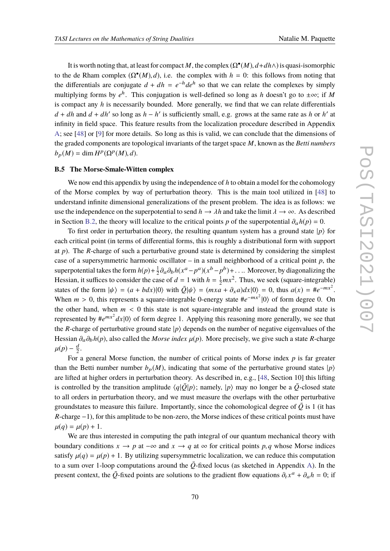It is worth noting that, at least for compact *M*, the complex  $(\Omega^{\bullet}(M), d + dh \wedge)$  is quasi-isomorphic to the de Rham complex  $(\Omega^{\bullet}(M), d)$ , i.e. the complex with  $h = 0$ : this follows from noting that the differentials are conjugate  $d + dh = e^{-h}de^{h}$  so that we can relate the complexes by simply multiplying forms by  $e^h$ . This conjugation is well-defined so long as *h* doesn't go to  $\pm \infty$ ; if *M* is compact any *h* is necessarily bounded. More generally, we find that we can relate differentials  $d + dh$  and  $d + dh'$  so long as  $h - h'$  is sufficiently small, e.g. grows at the same rate as *h* or *h'* at infinity in field space. This feature results from the localization procedure described in Appendix [A;](#page-60-0) see [\[48\]](#page-78-1) or [\[9\]](#page-75-0) for more details. So long as this is valid, we can conclude that the dimensions of the graded components are topological invariants of the target space *M*, known as the *Betti numbers*  $b_p(M) = \dim H^p(\Omega^p(M), d).$ 

## **B.5 The Morse-Smale-Witten complex**

We now end this appendix by using the independence of *h* to obtain a model for the cohomology of the Morse complex by way of perturbation theory. This is the main tool utilized in [\[48\]](#page-78-1) to understand infinite dimensional generalizations of the present problem. The idea is as follows: we use the independence on the superpotential to send  $h \to \lambda h$  and take the limit  $\lambda \to \infty$ . As described in Section [B.2,](#page-66-1) the theory will localize to the critical points *p* of the superpotential  $\partial_a h(p) = 0$ .

To first order in perturbation theory, the resulting quantum system has a ground state  $|p\rangle$  for each critical point (in terms of differential forms, this is roughly a distributional form with support at *p*). The *R*-charge of such a perturbative ground state is determined by considering the simplest case of a supersymmetric harmonic oscillator – in a small neighborhood of a critical point *p*, the superpotential takes the form  $h(p) + \frac{1}{2}$  $\frac{1}{2}\partial_a\partial_b h(x^a - p^a)(x^b - p^b) + \dots$  Moreover, by diagonalizing the Hessian, it suffices to consider the case of  $d = 1$  with  $h = \frac{1}{2}mx^2$ . Thus, we seek (square-integrable) states of the form  $|\psi\rangle = (a + bdx)|0\rangle$  with  $\overline{Q}|\psi\rangle = (mx\overline{a} + \partial_x a)dx|0\rangle = 0$ , thus  $a(x) = \overline{a}e^{-mx^2}$ . When  $m > 0$ , this represents a square-integrable 0-energy state  $\#e^{-mx^2}|0\rangle$  of form degree 0. On the other hand, when  $m < 0$  this state is not square-integrable and instead the ground state is represented by  $\#e^{mx^2}dx|0\rangle$  of form degree 1. Applying this reasoning more generally, we see that the *R*-charge of perturbative ground state  $|p\rangle$  depends on the number of negative eigenvalues of the Hessian ∂a∂<sup>b</sup> *h*(*p*), also called the *Morse index* µ(*p*). More precisely, we give such a state *R*-charge  $\mu(p) - \frac{d}{2}.$ 

For a general Morse function, the number of critical points of Morse index *p* is far greater than the Betti number number  $b_p(M)$ , indicating that some of the perturbative ground states  $|p\rangle$ are lifted at higher orders in perturbation theory. As described in, e.g., [\[48,](#page-78-1) Section 10] this lifting is controlled by the transition amplitude  $\langle q|\bar{Q}|p\rangle$ ; namely,  $|p\rangle$  may no longer be a  $\bar{Q}$ -closed state to all orders in perturbation theory, and we must measure the overlaps with the other perturbative groundstates to measure this failure. Importantly, since the cohomological degree of  $\overline{Q}$  is 1 (it has *R*-charge −1), for this amplitude to be non-zero, the Morse indices of these critical points must have  $\mu(q) = \mu(p) + 1.$ 

We are thus interested in computing the path integral of our quantum mechanical theory with boundary conditions  $x \to p$  at  $-\infty$  and  $x \to q$  at  $\infty$  for critical points p, q whose Morse indices satisfy  $\mu(q) = \mu(p) + 1$ . By utilizing supersymmetric localization, we can reduce this computation to a sum over 1-loop computations around the  $\overline{O}$ -fixed locus (as sketched in Appendix [A\)](#page-60-0). In the present context, the  $\bar{Q}$ -fixed points are solutions to the gradient flow equations  $\partial_t x^a + \partial_a h = 0$ ; if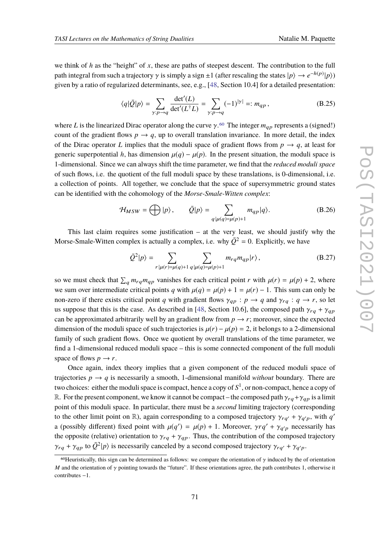we think of *h* as the "height" of *x*, these are paths of steepest descent. The contribution to the full path integral from such a trajectory  $\gamma$  is simply a sign  $\pm 1$  (after rescaling the states  $|p\rangle \to e^{-h(p)}|p\rangle$ ) given by a ratio of regularized determinants, see, e.g., [\[48,](#page-78-1) Section 10.4] for a detailed presentation:

$$
\langle q|\bar{Q}|p\rangle = \sum_{\gamma:p\to q} \frac{\det'(L)}{\det'(L^{\dagger}L)} = \sum_{\gamma:p\to q} (-1)^{|\gamma|} =: m_{qp},
$$
 (B.25)

where *L* is the linearized Dirac operator along the curve  $\gamma$ .<sup>[60](#page-70-0)</sup> The integer  $m_{ap}$  represents a (signed!) count of the gradient flows  $p \to q$ , up to overall translation invariance. In more detail, the index of the Dirac operator *L* implies that the moduli space of gradient flows from  $p \rightarrow q$ , at least for generic superpotential *h*, has dimension  $\mu(q) - \mu(p)$ . In the present situation, the moduli space is 1-dimensional. Since we can always shift the time parameter, we find that the *reduced moduli space* of such flows, i.e. the quotient of the full moduli space by these translations, is 0-dimensional, i.e. a collection of points. All together, we conclude that the space of supersymmetric ground states can be identified with the cohomology of the *Morse-Smale-Witten complex*:

$$
\mathcal{H}_{MSW} = \bigoplus |p\rangle, \qquad \bar{Q}|p\rangle = \sum_{q|\mu(q) = \mu(p)+1} m_{qp}|q\rangle. \tag{B.26}
$$

This last claim requires some justification  $-$  at the very least, we should justify why the Morse-Smale-Witten complex is actually a complex, i.e. why  $\overline{Q}^2 = 0$ . Explicitly, we have

$$
\bar{Q}^{2}|p\rangle = \sum_{r|\mu(r)=\mu(q)+1} \sum_{q|\mu(q)=\mu(p)+1} m_{rq} m_{qp}|r\rangle, \qquad (B.27)
$$

so we must check that  $\sum_q m_{rq}m_{qp}$  vanishes for each critical point *r* with  $\mu(r) = \mu(p) + 2$ , where we sum over intermediate critical points *q* with  $\mu(q) = \mu(p) + 1 = \mu(r) - 1$ . This sum can only be non-zero if there exists critical point *q* with gradient flows  $\gamma_{qp} : p \to q$  and  $\gamma_{rq} : q \to r$ , so let us suppose that this is the case. As described in [\[48,](#page-78-1) Section 10.6], the composed path  $\gamma_{rq} + \gamma_{qp}$ can be approximated arbitrarily well by an gradient flow from  $p \rightarrow r$ ; moreover, since the expected dimension of the moduli space of such trajectories is  $\mu(r) - \mu(p) = 2$ , it belongs to a 2-dimensional family of such gradient flows. Once we quotient by overall translations of the time parameter, we find a 1-dimensional reduced moduli space – this is some connected component of the full moduli space of flows  $p \rightarrow r$ .

Once again, index theory implies that a given component of the reduced moduli space of trajectories  $p \rightarrow q$  is necessarily a smooth, 1-dimensional manifold *without* boundary. There are two choices: either the moduli space is compact, hence a copy of  $S^1$ , or non-compact, hence a copy of R. For the present component, we know it cannot be compact – the composed path  $\gamma_{ra} + \gamma_{ap}$  is a limit point of this moduli space. In particular, there must be a *second* limiting trajectory (corresponding to the other limit point on  $\mathbb{R}$ ), again corresponding to a composed trajectory  $\gamma_{rq'} + \gamma_{q'p}$ , with  $q'$ a (possibly different) fixed point with  $\mu(q') = \mu(p) + 1$ . Moreover,  $\gamma r q' + \gamma_{q'p}$  necessarily has the opposite (relative) orientation to  $\gamma_{rq} + \gamma_{qp}$ . Thus, the contribution of the composed trajectory  $\gamma_{rq} + \gamma_{qp}$  to  $\bar{Q}^2 | p \rangle$  is necessarily canceled by a second composed trajectory  $\gamma_{rq'} + \gamma_{q'p}$ .

<span id="page-70-0"></span><sup>&</sup>lt;sup>60</sup>Heuristically, this sign can be determined as follows: we compare the orientation of  $\gamma$  induced by the of orientation *M* and the orientation of γ pointing towards the "future". If these orientations agree, the path contributes 1, otherwise it contributes −1.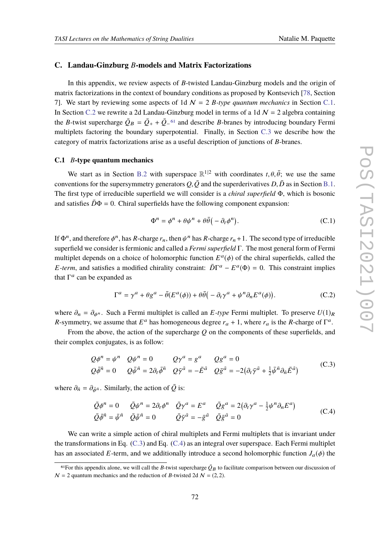### <span id="page-71-0"></span>**C. Landau-Ginzburg** *B***-models and Matrix Factorizations**

In this appendix, we review aspects of *B*-twisted Landau-Ginzburg models and the origin of matrix factorizations in the context of boundary conditions as proposed by Kontsevich [\[78,](#page-79-12) Section 7]. We start by reviewing some aspects of 1d  $\mathcal{N} = 2$  *B-type quantum mechanics* in Section [C.1.](#page-71-1) In Section [C.2](#page-73-0) we rewrite a 2d Landau-Ginzburg model in terms of a 1d  $\mathcal{N} = 2$  algebra containing the *B*-twist supercharge  $\overline{Q}_B = \overline{Q}_+ + \overline{Q}_-$ <sup>[61](#page-71-2)</sup> and describe *B*-branes by introducing boundary Fermi multiplets factoring the boundary superpotential. Finally, in Section [C.3](#page-74-0) we describe how the category of matrix factorizations arise as a useful description of junctions of *B*-branes.

#### <span id="page-71-1"></span>**C.1** *B***-type quantum mechanics**

We start as in Section [B.2](#page-66-1) with superspace  $\mathbb{R}^{1|2}$  with coordinates  $t, \theta, \bar{\theta}$ ; we use the same conventions for the supersymmetry generators  $Q$ ,  $\overline{Q}$  and the superderivatives  $D$ ,  $\overline{D}$  as in Section [B.1.](#page-64-0) The first type of irreducible superfield we will consider is a *chiral superfield* Φ, which is bosonic and satisfies  $\bar{D}\Phi = 0$ . Chiral superfields have the following component expansion:

$$
\Phi^n = \phi^n + \theta \psi^n + \theta \bar{\theta} \big( -\partial_t \phi^n \big). \tag{C.1}
$$

If  $\Phi^n$ , and therefore  $\phi^n$ , has *R*-charge  $r_n$ , then  $\psi^n$  has *R*-charge  $r_n + 1$ . The second type of irreducible superfield we consider is fermionic and called a *Fermi superfield* Γ. The most general form of Fermi multiplet depends on a choice of holomorphic function  $E^a(\phi)$  of the chiral superfields, called the *E*-term, and satisfies a modified chirality constraint:  $\overline{D}\Gamma^a - E^a(\Phi) = 0$ . This constraint implies that  $\Gamma^a$  can be expanded as

$$
\Gamma^{a} = \gamma^{a} + \theta g^{a} - \bar{\theta}(E^{a}(\phi)) + \theta \bar{\theta}(-\partial_{t}\gamma^{a} + \psi^{n}\partial_{n}E^{a}(\phi)).
$$
 (C.2)

where  $\partial_n = \partial_{\phi^n}$ . Such a Fermi multiplet is called an *E*-type Fermi multiplet. To preserve  $U(1)_R$ *R*-symmetry, we assume that  $E^a$  has homogeneous degree  $r_a + 1$ , where  $r_a$  is the *R*-charge of  $\Gamma^a$ .

From the above, the action of the supercharge *Q* on the components of these superfields, and their complex conjugates, is as follow:

<span id="page-71-3"></span>
$$
Q\phi^n = \psi^n \quad Q\psi^n = 0 \qquad Q\gamma^a = g^a \qquad Qg^a = 0
$$
  

$$
Q\bar{\phi}^{\bar{n}} = 0 \qquad Q\bar{\psi}^{\bar{n}} = 2\partial_t\bar{\phi}^{\bar{n}} \quad Q\bar{\gamma}^{\bar{a}} = -\bar{E}^{\bar{a}} \quad Q\bar{g}^{\bar{a}} = -2(\partial_t\bar{\gamma}^{\bar{a}} + \frac{1}{2}\bar{\psi}^{\bar{n}}\partial_{\bar{n}}\bar{E}^{\bar{a}})
$$
(C.3)

where  $\partial_{\bar{n}} = \partial_{\bar{\phi}^{\bar{n}}}$ . Similarly, the action of  $\bar{Q}$  is:

<span id="page-71-4"></span>
$$
\begin{aligned}\n\bar{Q}\phi^n &= 0 & \bar{Q}\psi^n &= 2\partial_t\phi^n & \bar{Q}\gamma^a &= E^a & \bar{Q}g^a &= 2(\partial_t\gamma^a - \frac{1}{2}\psi^n\partial_nE^a) \\
\bar{Q}\bar{\phi}^{\bar{n}} &= \bar{\psi}^{\bar{n}} & \bar{Q}\bar{\psi}^{\bar{n}} &= 0 & \bar{Q}\bar{\gamma}^{\bar{a}} &= -\bar{g}^{\bar{a}} & \bar{Q}\bar{g}^{\bar{a}} &= 0\n\end{aligned} \tag{C.4}
$$

We can write a simple action of chiral multiplets and Fermi multiplets that is invariant under the transformations in Eq. [\(C.3\)](#page-71-3) and Eq. [\(C.4\)](#page-71-4) as an integral over superspace. Each Fermi multiplet has an associated *E*-term, and we additionally introduce a second holomorphic function  $J_a(\phi)$  the

<span id="page-71-2"></span><sup>&</sup>lt;sup>61</sup>For this appendix alone, we will call the *B*-twist supercharge  $\bar{Q}_B$  to facilitate comparison between our discussion of  $N = 2$  quantum mechanics and the reduction of *B*-twisted 2d  $N = (2, 2)$ .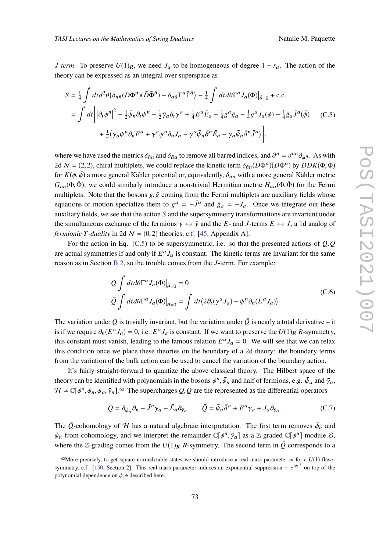*J-term*. To preserve  $U(1)_R$ , we need  $J_a$  to be homogeneous of degree  $1 - r_a$ . The action of the theory can be expressed as an integral over superspace as

<span id="page-72-0"></span>
$$
S = \frac{1}{4} \int dt d^2 \theta \left( \delta_{n\bar{n}} (D\Phi^n)(\bar{D}\bar{\Phi}^{\bar{n}}) - \delta_{a\bar{a}} \Gamma^a \bar{\Gamma}^{\bar{a}} \right) - \frac{1}{4} \int dt d\theta \Gamma^a J_a(\Phi) \Big|_{\bar{\theta}=0} + \text{c.c.}
$$
  

$$
= \int dt \left| \left| \partial_t \phi^n \right|^2 - \frac{1}{2} \bar{\psi}_n \partial_t \psi^n - \frac{1}{2} \bar{\gamma}_a \partial_t \gamma^a + \frac{1}{4} E^a \bar{E}_a - \frac{1}{4} g^a \bar{g}_a - \frac{1}{4} g^a J_a(\phi) - \frac{1}{4} \bar{g}_a \bar{J}^a(\bar{\phi}) \right| + \frac{1}{4} (\bar{\gamma}_a \psi^n \partial_n E^a + \gamma^a \psi^n \partial_n J_a - \gamma^a \bar{\psi}_n \bar{\partial}^n \bar{E}_a - \bar{\gamma}_a \bar{\psi}_n \bar{\partial}^n \bar{J}^a) \right], \tag{C.5}
$$

where we have used the metrics  $\delta_{\bar{n}n}$  and  $\delta_{\bar{a}a}$  to remove all barred indices, and  $\bar{\partial}^n = \delta^{n\bar{n}} \partial_{\bar{\phi}^{\bar{n}}}$ . As with 2d  $\mathcal{N} = (2, 2)$ , chiral multiplets, we could replace the kinetic term  $\delta_{\bar{n}n}(\bar{D}\bar{\Phi}^{\bar{a}})(D\Phi^a)$  by  $\bar{D}DK(\Phi, \bar{\Phi})$ for  $K(\phi, \bar{\phi})$  a more general Kähler potential or, equivalently,  $\delta_{\bar{n}n}$  with a more general Kähler metric  $G_{\bar{n}n}(\Phi,\bar{\Phi})$ ; we could similarly introduce a non-trivial Hermitian metric  $H_{\bar{a}a}(\Phi,\bar{\Phi})$  for the Fermi multiplets. Note that the bosons  $g, \bar{g}$  coming from the Fermi multiplets are auxiliary fields whose equations of motion specialize them to  $g^a = -\bar{J}^a$  and  $\bar{g}_a = -J_a$ . Once we integrate out these auxiliary fields, we see that the action *S* and the supersymmetry transformations are invariant under the simultaneous exchange of the fermions  $\gamma \leftrightarrow \bar{\gamma}$  and the *E*- and *J*-terms  $E \leftrightarrow J$ , a 1d analog of *fermionic T-duality* in 2d  $\mathcal{N} = (0, 2)$  theories, c.f. [\[45,](#page-77-0) Appendix A].

For the action in Eq. [\(C.5\)](#page-72-0) to be supersymmetric, i.e. so that the presented actions of  $Q$ , $\overline{Q}$ are actual symmetries if and only if  $E^a J_a$  is constant. The kinetic terms are invariant for the same reason as in Section [B.2,](#page-66-0) so the trouble comes from the *J*-term. For example:

$$
Q \int dt d\theta \Gamma^a J_a(\Phi)|_{\bar{\theta}=0} = 0
$$
  

$$
\bar{Q} \int dt d\theta \Gamma^a J_a(\Phi)|_{\bar{\theta}=0} = \int dt (2\partial_t(\gamma^a J_a) - \psi^n \partial_n(E^a J_a))
$$
 (C.6)

The variation under Q is trivially invariant, but the variation under  $\overline{Q}$  is nearly a total derivative – it is if we require  $\partial_n(E^a J_a) = 0$ , i.e.  $E^a J_a$  is constant. If we want to preserve the  $U(1)_R$  *R*-symmetry, this constant must vanish, leading to the famous relation  $E^a J_a = 0$ . We will see that we can relax this condition once we place these theories on the boundary of a 2d theory: the boundary terms from the variation of the bulk action can be used to cancel the variation of the boundary action.

It's fairly straight-forward to quantize the above classical theory. The Hilbert space of the theory can be identified with polynomials in the bosons  $\phi^n,\bar{\phi}_n$  and half of fermions, e.g.  $\bar{\psi}_a$  and  $\bar{\gamma}_n,$  $H \simeq \mathbb{C}[\phi^n, \bar{\phi}_n, \bar{\psi}_a, \bar{\gamma}_n]$ .<sup>[62](#page-72-1)</sup> The supercharges  $Q, \bar{Q}$  are the represented as the differential operators

$$
Q = \partial_{\bar{\psi}_n} \partial_n - \bar{J}^a \bar{\gamma}_a - \bar{E}_a \partial_{\bar{\gamma}_a} \qquad \bar{Q} = \bar{\psi}_n \bar{\partial}^a + E^a \bar{\gamma}_a + J_a \partial_{\bar{\gamma}_a}.
$$
 (C.7)

The  $\bar{Q}$ -cohomology of H has a natural algebraic interpretation. The first term removes  $\bar{\phi}_n$  and  $\bar{\psi}_n$  from cohomology, and we interpret the remainder  $\mathbb{C}[\phi^n, \bar{\gamma}_a]$  as a Z-graded  $\mathbb{C}[\phi^n]$ -module  $\mathcal{E}$ , where the Z-grading comes from the  $U(1)_R$  *R*-symmetry. The second term in  $\overline{Q}$  corresponds to a

<span id="page-72-1"></span><sup>&</sup>lt;sup>62</sup>More precisely, to get square-normalizable states we should introduce a real mass parameter  $m$  for a  $U(1)$  flavor symmetry, c.f. [\[150,](#page-84-0) Section 2]. This real mass parameter induces an exponential suppression ∼ *e*<sup>| $\phi$ </sup>|<sup>2</sup> on top of the polynomial dependence on  $\phi$ ,  $\bar{\phi}$  described here.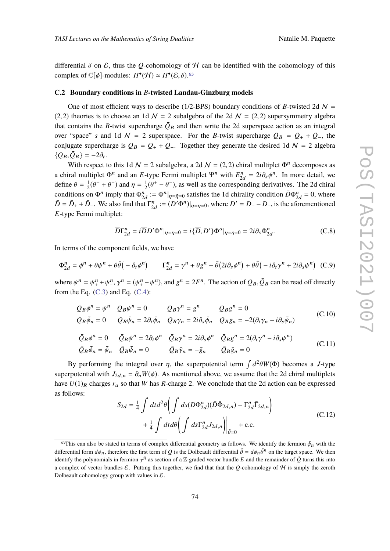differential  $\delta$  on  $\mathcal{E}$ , thus the  $\overline{Q}$ -cohomology of H can be identified with the cohomology of this complex of  $\mathbb{C}[\phi]$ -modules:  $H^{\bullet}(\mathcal{H}) \simeq H^{\bullet}(\mathcal{E}, \delta)$ .<sup>[63](#page-73-0)</sup>

## **C.2 Boundary conditions in** *B***-twisted Landau-Ginzburg models**

One of most efficient ways to describe (1/2-BPS) boundary conditions of *B*-twisted 2d  $N =$ (2, 2) theories is to choose an 1d  $\mathcal{N} = 2$  subalgebra of the 2d  $\mathcal{N} = (2, 2)$  supersymmetry algebra that contains the *B*-twist supercharge  $\overline{Q}_B$  and then write the 2d superspace action as an integral over "space" *s* and 1d  $N = 2$  superspace. For the *B*-twist supercharge  $\overline{Q}_B = \overline{Q}_+ + \overline{Q}_-$ , the conjugate supercharge is  $Q_B = Q_+ + Q_-.$  Together they generate the desired 1d  $N = 2$  algebra  $\{Q_B, \bar{Q}_B\} = -2\partial_t.$ 

With respect to this 1d  $\mathcal{N} = 2$  subalgebra, a 2d  $\mathcal{N} = (2, 2)$  chiral multiplet  $\Phi^n$  decomposes as a chiral multiplet  $\Phi^n$  and an *E*-type Fermi multiplet  $\Psi^n$  with  $E_{2d}^n = 2i\partial_s \phi^n$ . In more detail, we define  $\theta = \frac{1}{2}$  $\frac{1}{2}(\theta^+ + \theta^-)$  and  $\eta = \frac{1}{2}$  $\frac{1}{2}(\theta^+ - \theta^-)$ , as well as the corresponding derivatives. The 2d chiral conditions on  $\Phi^n$  imply that  $\Phi^n_{2d} := \Phi^n|_{\eta = \bar{\eta} = 0}$  satisfies the 1d chirality condition  $\bar{D}\Phi^n_{2d} = 0$ , where  $\overline{D} = \overline{D}_{+} + \overline{D}_{-}$ . We also find that  $\Gamma_{2d}^{n} := (D'\Phi^{n})|_{\eta=\overline{\eta}=0}$ , where  $D' = D_{+} - D_{-}$ , is the aforementioned *E*-type Fermi multiplet:

$$
\overline{D}\Gamma_{2d}^{n} = i\overline{D}D'\Phi^{n}|_{\eta=\bar{\eta}=0} = i\{\overline{D},D'\}\Phi^{a}|_{\eta=\bar{\eta}=0} = 2i\partial_{s}\Phi_{2d}^{n}.
$$
 (C.8)

In terms of the component fields, we have

$$
\Phi_{2d}^{n} = \phi^{n} + \theta \psi^{n} + \theta \bar{\theta} \left( -\partial_{t} \phi^{n} \right) \qquad \Gamma_{2d}^{n} = \gamma^{n} + \theta g^{n} - \bar{\theta} \left( 2i \partial_{s} \phi^{n} \right) + \theta \bar{\theta} \left( -i \partial_{t} \gamma^{n} + 2i \partial_{s} \psi^{n} \right) \tag{C.9}
$$

where  $\psi^n = \psi_+^n + \psi_-^n$  $\lambda^n$ ,  $\gamma^n = (\psi_+^n - \psi_-^n)$  $\binom{n}{-}$ , and  $g^n = 2F^n$ . The action of  $Q_B, \bar{Q}_B$  can be read off directly from the Eq.  $(C.3)$  and Eq.  $(C.4)$ :

$$
Q_B \phi^n = \psi^n \quad Q_B \psi^n = 0 \qquad Q_B \gamma^n = g^n \qquad Q_B g^n = 0
$$
  
\n
$$
Q_B \bar{\phi}_n = 0 \qquad Q_B \bar{\psi}_n = 2\partial_t \bar{\phi}_n \quad Q_B \bar{\gamma}_n = 2i \partial_s \bar{\phi}_n \quad Q_B \bar{g}_n = -2(\partial_t \bar{\gamma}_n - i \partial_s \bar{\psi}_n)
$$
\n(C.10)

$$
\begin{aligned}\n\bar{Q}_B \phi^n &= 0 & \bar{Q}_B \psi^n &= 2\partial_t \phi^n & \bar{Q}_B \gamma^n &= 2i\partial_s \phi^n & \bar{Q}_B g^n &= 2(\partial_t \gamma^n - i\partial_s \psi^n) \\
\bar{Q}_B \bar{\phi}_n &= \bar{\psi}_n & \bar{Q}_B \bar{\psi}_n &= 0 & \bar{Q}_B \bar{\gamma}_n &= -\bar{g}_n & \bar{Q}_B \bar{g}_n &= 0\n\end{aligned} \tag{C.11}
$$

By performing the integral over  $\eta$ , the superpotential term  $\int d^2\theta W(\Phi)$  becomes a *J*-type superpotential with  $J_{2d,n} = \partial_n W(\phi)$ . As mentioned above, we assume that the 2d chiral multiplets have  $U(1)_R$  charges  $r_a$  so that *W* has *R*-charge 2. We conclude that the 2d action can be expressed as follows:

$$
S_{2d} = \frac{1}{4} \int dt d^2 \theta \left( \int ds (D\Phi_{2d}^n)(\bar{D}\bar{\Phi}_{2d,n}) - \Gamma_{2d}^n \bar{\Gamma}_{2d,n} \right) + \frac{1}{4} \int dt d\theta \left( \int ds \Gamma_{2d}^n J_{2d,n} \right) \Big|_{\bar{\theta}=0} + \text{c.c.}
$$
 (C.12)

<span id="page-73-0"></span><sup>&</sup>lt;sup>63</sup>This can also be stated in terms of complex differential geometry as follows. We identify the fermion  $\bar{\psi}_n$  with the differential form  $d\bar{\phi}_n$ , therefore the first term of  $\bar{Q}$  is the Dolbeault differential  $\bar{\partial} = d\bar{\phi}_n\bar{\partial}^n$  on the target space. We then identify the polynomials in fermion  $\bar{\gamma}^{\bar{n}}$  as section of a Z-graded vector bundle *E* and the remainder of  $\bar{Q}$  turns this into a complex of vector bundles  $\mathcal E$ . Putting this together, we find that that the  $\overline{Q}$ -cohomology of  $\mathcal H$  is simply the zeroth Dolbeault cohomology group with values in  $\mathcal{E}$ .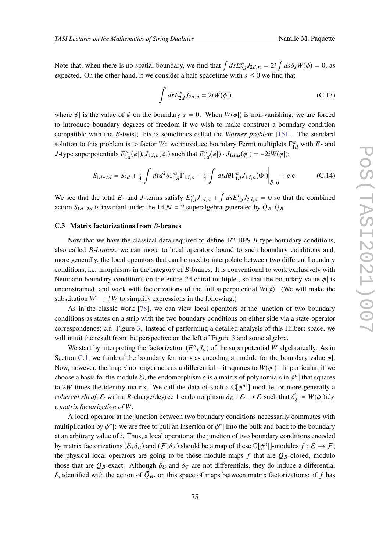Note that, when there is no spatial boundary, we find that  $\int ds E_{2d}^n J_{2d,n} = 2i \int ds \partial_s W(\phi) = 0$ , as expected. On the other hand, if we consider a half-spacetime with  $s \leq 0$  we find that

$$
\int ds E_{2d}^n J_{2d,n} = 2iW(\phi|),\tag{C.13}
$$

where  $\phi$  is the value of  $\phi$  on the boundary  $s = 0$ . When  $W(\phi)$  is non-vanishing, we are forced to introduce boundary degrees of freedom if we wish to make construct a boundary condition compatible with the *B*-twist; this is sometimes called the *Warner problem* [\[151\]](#page-84-1). The standard solution to this problem is to factor *W*: we introduce boundary Fermi multiplets  $\Gamma^a_{1d}$  with *E*- and *J*-type superpotentials  $E_{1d}^a(\phi|)$ ,  $J_{1d,a}(\phi|)$  such that  $E_{1d}^a(\phi|) \cdot J_{1d,a}(\phi|) = -2iW(\phi|)$ :

$$
S_{1d+2d} = S_{2d} + \frac{1}{4} \int dt d^2\theta \Gamma_{1d}^a \bar{\Gamma}_{1d,a} - \frac{1}{4} \int dt d\theta \Gamma_{1d}^a J_{1d,a}(\Phi) \Big|_{\bar{\theta}=0} + \text{c.c.}
$$
 (C.14)

We see that the total *E*- and *J*-terms satisfy  $E_{1d}^a J_{1d,a} + \int ds E_{2d}^n J_{2d,n} = 0$  so that the combined action  $S_{1d+2d}$  is invariant under the 1d  $\mathcal{N} = 2$  superalgebra generated by  $Q_B, \bar{Q}_B$ .

## **C.3 Matrix factorizations from** *B***-branes**

Now that we have the classical data required to define 1/2-BPS *B*-type boundary conditions, also called *B-branes*, we can move to local operators bound to such boundary conditions and, more generally, the local operators that can be used to interpolate between two different boundary conditions, i.e. morphisms in the category of *B*-branes. It is conventional to work exclusively with Neumann boundary conditions on the entire 2d chiral multiplet, so that the boundary value  $\phi$  is unconstrained, and work with factorizations of the full superpotential  $W(\phi)$ . (We will make the substitution  $W \to \frac{i}{2}W$  to simplify expressions in the following.)

As in the classic work [\[78\]](#page-79-0), we can view local operators at the junction of two boundary conditions as states on a strip with the two boundary conditions on either side via a state-operator correspondence; c.f. Figure [3.](#page-23-0) Instead of performing a detailed analysis of this Hilbert space, we will intuit the result from the perspective on the left of Figure [3](#page-23-0) and some algebra.

We start by interpreting the factorization  $(E^a, J_a)$  of the superpotential *W* algebraically. As in Section [C.1,](#page-71-2) we think of the boundary fermions as encoding a module for the boundary value  $\phi$ . Now, however, the map  $\delta$  no longer acts as a differential – it squares to  $W(\phi)$ ! In particular, if we choose a basis for the module  $\mathcal E$ , the endomorphism  $\delta$  is a matrix of polynomials in  $\phi^n$  that squares to 2W times the identity matrix. We call the data of such a  $\mathbb{C}[\phi^n]$ -module, or more generally a *coherent sheaf*,  $\mathcal E$  with a *R*-charge/degree 1 endomorphism  $\delta_{\mathcal E} : \mathcal E \to \mathcal E$  such that  $\delta_{\mathcal E}^2$  ${}_{\varepsilon}^{2} = W(\phi|) \mathrm{id}_{\varepsilon}$ a *matrix factorization of W*.

A local operator at the junction between two boundary conditions necessarily commutes with multiplication by  $\phi^n$ : we are free to pull an insertion of  $\phi^n$  into the bulk and back to the boundary at an arbitrary value of *t*. Thus, a local operator at the junction of two boundary conditions encoded by matrix factorizations  $(\mathcal{E}, \delta_{\mathcal{E}})$  and  $(\mathcal{F}, \delta_{\mathcal{F}})$  should be a map of these  $\mathbb{C}[\phi^n]$ ]-modules  $f : \mathcal{E} \to \mathcal{F}$ ; the physical local operators are going to be those module maps f that are  $\overline{Q}_B$ -closed, modulo those that are  $\bar{Q}_B$ -exact. Although  $\delta_{\mathcal{E}}$  and  $\delta_{\mathcal{F}}$  are not differentials, they do induce a differential  $\delta$ , identified with the action of  $\overline{Q}_B$ , on this space of maps between matrix factorizations: if f has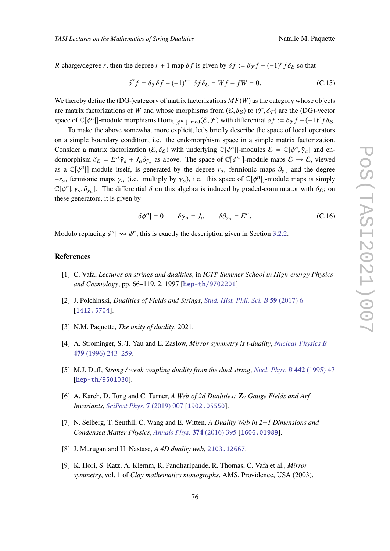*R*-charge/degree *r*, then the degree  $r + 1$  map  $\delta f$  is given by  $\delta f := \delta \mathcal{F} f - (-1)^r f \delta \mathcal{E}$  so that

$$
\delta^2 f = \delta_{\mathcal{F}} \delta f - (-1)^{r+1} \delta f \delta_{\mathcal{E}} = Wf - fW = 0.
$$
 (C.15)

We thereby define the (DG-)category of matrix factorizations *MF*(*W*) as the category whose objects are matrix factorizations of *W* and whose morphisms from  $(\mathcal{E}, \delta_{\mathcal{E}})$  to  $(\mathcal{F}, \delta_{\mathcal{F}})$  are the (DG)-vector space of  $\mathbb{C}[\phi^n]$ -module morphisms Hom<sub> $\mathbb{C}[\phi^n]$ -mod $(\mathcal{E}, \mathcal{F})$  with differential  $\delta f := \delta_{\mathcal{F}} f - (-1)^r f \delta_{\mathcal{E}}$ .</sub>

To make the above somewhat more explicit, let's briefly describe the space of local operators on a simple boundary condition, i.e. the endomorphism space in a simple matrix factorization. Consider a matrix factorization  $(\mathcal{E}, \delta_{\mathcal{E}})$  with underlying  $\mathbb{C}[\phi^n]$ -modules  $\mathcal{E} = \mathbb{C}[\phi^n, \bar{\gamma}_a]$  and endomorphism  $\delta \varepsilon = E^a \bar{\gamma}_a + J_a \partial_{\bar{\gamma}_a}$  as above. The space of  $\mathbb{C}[\phi^n]$ -module maps  $\mathcal{E} \to \mathcal{E}$ , viewed as a  $\mathbb{C}[\phi^n]$ -module itself, is generated by the degree  $r_a$ , fermionic maps  $\partial_{\bar{y}_a}$  and the degree  $-r_a$ , fermionic maps  $\bar{\gamma}_a$  (i.e. multiply by  $\bar{\gamma}_a$ ), i.e. this space of  $\mathbb{C}[\phi^n]$ -module maps is simply  $\mathbb{C}[\phi^n], \bar{\gamma}_a, \partial_{\bar{\gamma}_a}]$ . The differential  $\delta$  on this algebra is induced by graded-commutator with  $\delta_{\mathcal{E}}$ ; on these generators, it is given by

$$
\delta \phi^n \vert = 0 \qquad \delta \bar{\gamma}_a = J_a \qquad \delta \partial_{\bar{\gamma}_a} = E^a. \tag{C.16}
$$

Modulo replacing  $\phi^n \mid \leadsto \phi^n$ , this is exactly the description given in Section [3.2.2.](#page-44-0)

## **References**

- [1] C. Vafa, *Lectures on strings and dualities*, in *ICTP Summer School in High-energy Physics and Cosmology*, pp. 66–119, 2, 1997 [[hep-th/9702201](https://arxiv.org/abs/hep-th/9702201)].
- [2] J. Polchinski, *Dualities of Fields and Strings*, *[Stud. Hist. Phil. Sci. B](https://doi.org/10.1016/j.shpsb.2015.08.011)* **59** (2017) 6 [[1412.5704](https://arxiv.org/abs/1412.5704)].
- [3] N.M. Paquette, *The unity of duality*, 2021.
- [4] A. Strominger, S.-T. Yau and E. Zaslow, *Mirror symmetry is t-duality*, *[Nuclear Physics B](https://doi.org/10.1016/0550-3213(96)00434-8)* **479** [\(1996\) 243–259.](https://doi.org/10.1016/0550-3213(96)00434-8)
- [5] M.J. Duff, *Strong / weak coupling duality from the dual string*, *[Nucl. Phys. B](https://doi.org/10.1016/S0550-3213(95)00070-4)* **442** (1995) 47 [[hep-th/9501030](https://arxiv.org/abs/hep-th/9501030)].
- [6] A. Karch, D. Tong and C. Turner, *A Web of 2d Dualities:* **Z**<sup>2</sup> *Gauge Fields and Arf Invariants*, *[SciPost Phys.](https://doi.org/10.21468/SciPostPhys.7.1.007)* **7** (2019) 007 [[1902.05550](https://arxiv.org/abs/1902.05550)].
- [7] N. Seiberg, T. Senthil, C. Wang and E. Witten, *A Duality Web in 2+1 Dimensions and Condensed Matter Physics*, *[Annals Phys.](https://doi.org/10.1016/j.aop.2016.08.007)* **374** (2016) 395 [[1606.01989](https://arxiv.org/abs/1606.01989)].
- [8] J. Murugan and H. Nastase, *A 4D duality web*, [2103.12667](https://arxiv.org/abs/2103.12667).
- [9] K. Hori, S. Katz, A. Klemm, R. Pandharipande, R. Thomas, C. Vafa et al., *Mirror symmetry*, vol. 1 of *Clay mathematics monographs*, AMS, Providence, USA (2003).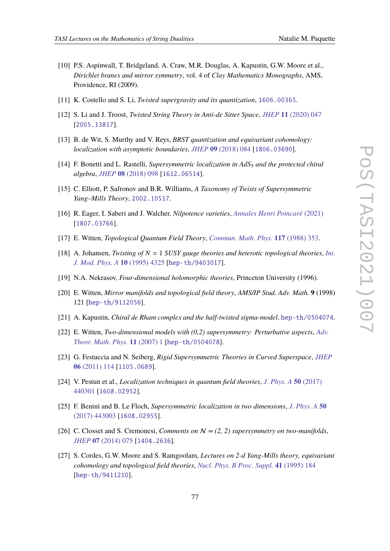- 
- [10] P.S. Aspinwall, T. Bridgeland, A. Craw, M.R. Douglas, A. Kapustin, G.W. Moore et al., *Dirichlet branes and mirror symmetry*, vol. 4 of *Clay Mathematics Monographs*, AMS, Providence, RI (2009).
- [11] K. Costello and S. Li, *Twisted supergravity and its quantization*, [1606.00365](https://arxiv.org/abs/1606.00365).
- [12] S. Li and J. Troost, *Twisted String Theory in Anti-de Sitter Space*, *JHEP* **11** [\(2020\) 047](https://doi.org/10.1007/JHEP11(2020)047) [[2005.13817](https://arxiv.org/abs/2005.13817)].
- [13] B. de Wit, S. Murthy and V. Reys, *BRST quantization and equivariant cohomology: localization with asymptotic boundaries*, *JHEP* **09** [\(2018\) 084](https://doi.org/10.1007/JHEP09(2018)084) [[1806.03690](https://arxiv.org/abs/1806.03690)].
- [14] F. Bonetti and L. Rastelli, *Supersymmetric localization in AdS*<sup>5</sup> *and the protected chiral algebra*, *JHEP* **08** [\(2018\) 098](https://doi.org/10.1007/JHEP08(2018)098) [[1612.06514](https://arxiv.org/abs/1612.06514)].
- [15] C. Elliott, P. Safronov and B.R. Williams, *A Taxonomy of Twists of Supersymmetric Yang–Mills Theory*, [2002.10517](https://arxiv.org/abs/2002.10517).
- [16] R. Eager, I. Saberi and J. Walcher, *Nilpotence varieties*, *[Annales Henri Poincaré](https://doi.org/10.1007/s00023-020-01007-y)* (2021) [[1807.03766](https://arxiv.org/abs/1807.03766)].
- [17] E. Witten, *Topological Quantum Field Theory*, *[Commun. Math. Phys.](https://doi.org/10.1007/BF01223371)* **117** (1988) 353.
- [18] A. Johansen, *Twisting of N* = 1 *SUSY gauge theories and heterotic topological theories*, *[Int.](https://doi.org/10.1142/S0217751X9500200X) [J. Mod. Phys. A](https://doi.org/10.1142/S0217751X9500200X)* **10** (1995) 4325 [[hep-th/9403017](https://arxiv.org/abs/hep-th/9403017)].
- [19] N.A. Nekrasov, *Four-dimensional holomorphic theories*, Princeton University (1996).
- [20] E. Witten, *Mirror manifolds and topological field theory*, *AMS/IP Stud. Adv. Math.* **9** (1998) 121 [[hep-th/9112056](https://arxiv.org/abs/hep-th/9112056)].
- [21] A. Kapustin, *Chiral de Rham complex and the half-twisted sigma-model*, [hep-th/0504074](https://arxiv.org/abs/hep-th/0504074).
- [22] E. Witten, *Two-dimensional models with (0,2) supersymmetry: Perturbative aspects*, *[Adv.](https://doi.org/10.4310/ATMP.2007.v11.n1.a1) [Theor. Math. Phys.](https://doi.org/10.4310/ATMP.2007.v11.n1.a1)* **11** (2007) 1 [[hep-th/0504078](https://arxiv.org/abs/hep-th/0504078)].
- [23] G. Festuccia and N. Seiberg, *Rigid Supersymmetric Theories in Curved Superspace*, *[JHEP](https://doi.org/10.1007/JHEP06(2011)114)* **06** [\(2011\) 114](https://doi.org/10.1007/JHEP06(2011)114) [[1105.0689](https://arxiv.org/abs/1105.0689)].
- [24] V. Pestun et al., *Localization techniques in quantum field theories*, *[J. Phys. A](https://doi.org/10.1088/1751-8121/aa63c1)* **50** (2017) [440301](https://doi.org/10.1088/1751-8121/aa63c1) [[1608.02952](https://arxiv.org/abs/1608.02952)].
- [25] F. Benini and B. Le Floch, *Supersymmetric localization in two dimensions*, *[J. Phys. A](https://doi.org/10.1088/1751-8121/aa77bb)* **50** [\(2017\) 443003](https://doi.org/10.1088/1751-8121/aa77bb) [[1608.02955](https://arxiv.org/abs/1608.02955)].
- [26] C. Closset and S. Cremonesi, *Comments on* N *= (2, 2) supersymmetry on two-manifolds*, *JHEP* **07** [\(2014\) 075](https://doi.org/10.1007/JHEP07(2014)075) [[1404.2636](https://arxiv.org/abs/1404.2636)].
- [27] S. Cordes, G.W. Moore and S. Ramgoolam, *Lectures on 2-d Yang-Mills theory, equivariant cohomology and topological field theories*, *[Nucl. Phys. B Proc. Suppl.](https://doi.org/10.1016/0920-5632(95)00434-B)* **41** (1995) 184 [[hep-th/9411210](https://arxiv.org/abs/hep-th/9411210)].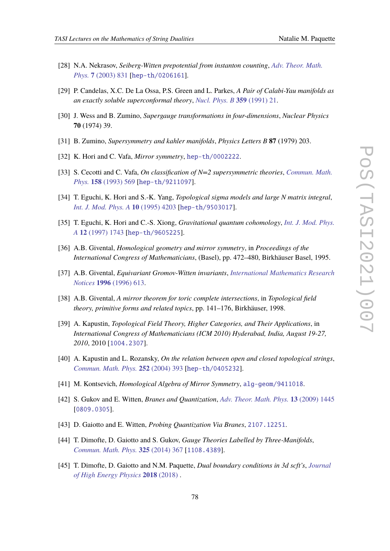- [28] N.A. Nekrasov, *Seiberg-Witten prepotential from instanton counting*, *[Adv. Theor. Math.](https://doi.org/10.4310/ATMP.2003.v7.n5.a4) Phys.* **7** [\(2003\) 831](https://doi.org/10.4310/ATMP.2003.v7.n5.a4) [[hep-th/0206161](https://arxiv.org/abs/hep-th/0206161)].
- [29] P. Candelas, X.C. De La Ossa, P.S. Green and L. Parkes, *A Pair of Calabi-Yau manifolds as an exactly soluble superconformal theory*, *[Nucl. Phys. B](https://doi.org/10.1016/0550-3213(91)90292-6)* **359** (1991) 21.
- [30] J. Wess and B. Zumino, *Supergauge transformations in four-dimensions*, *Nuclear Physics* **70** (1974) 39.
- [31] B. Zumino, *Supersymmetry and kahler manifolds*, *Physics Letters B* **87** (1979) 203.
- [32] K. Hori and C. Vafa, *Mirror symmetry*, [hep-th/0002222](https://arxiv.org/abs/hep-th/0002222).
- [33] S. Cecotti and C. Vafa, *On classification of N=2 supersymmetric theories*, *[Commun. Math.](https://doi.org/10.1007/BF02096804) Phys.* **158** [\(1993\) 569](https://doi.org/10.1007/BF02096804) [[hep-th/9211097](https://arxiv.org/abs/hep-th/9211097)].
- [34] T. Eguchi, K. Hori and S.-K. Yang, *Topological sigma models and large N matrix integral*, *[Int. J. Mod. Phys. A](https://doi.org/10.1142/S0217751X95001959)* **10** (1995) 4203 [[hep-th/9503017](https://arxiv.org/abs/hep-th/9503017)].
- [35] T. Eguchi, K. Hori and C.-S. Xiong, *Gravitational quantum cohomology*, *[Int. J. Mod. Phys.](https://doi.org/10.1142/S0217751X97001146) A* **12** [\(1997\) 1743](https://doi.org/10.1142/S0217751X97001146) [[hep-th/9605225](https://arxiv.org/abs/hep-th/9605225)].
- [36] A.B. Givental, *Homological geometry and mirror symmetry*, in *Proceedings of the International Congress of Mathematicians*, (Basel), pp. 472–480, Birkhäuser Basel, 1995.
- [37] A.B. Givental, *Equivariant Gromov-Witten invariants*, *[International Mathematics Research](https://doi.org/10.1155/S1073792896000414) Notices* **1996** [\(1996\) 613.](https://doi.org/10.1155/S1073792896000414)
- [38] A.B. Givental, *A mirror theorem for toric complete intersections*, in *Topological field theory, primitive forms and related topics*, pp. 141–176, Birkhäuser, 1998.
- [39] A. Kapustin, *Topological Field Theory, Higher Categories, and Their Applications*, in *International Congress of Mathematicians (ICM 2010) Hyderabad, India, August 19-27, 2010*, 2010 [[1004.2307](https://arxiv.org/abs/1004.2307)].
- [40] A. Kapustin and L. Rozansky, *On the relation between open and closed topological strings*, *[Commun. Math. Phys.](https://doi.org/10.1007/s00220-004-1227-z)* **252** (2004) 393 [[hep-th/0405232](https://arxiv.org/abs/hep-th/0405232)].
- [41] M. Kontsevich, *Homological Algebra of Mirror Symmetry*, [alg-geom/9411018](https://arxiv.org/abs/alg-geom/9411018).
- [42] S. Gukov and E. Witten, *Branes and Quantization*, *[Adv. Theor. Math. Phys.](https://doi.org/10.4310/ATMP.2009.v13.n5.a5)* **13** (2009) 1445 [[0809.0305](https://arxiv.org/abs/0809.0305)].
- [43] D. Gaiotto and E. Witten, *Probing Quantization Via Branes*, [2107.12251](https://arxiv.org/abs/2107.12251).
- [44] T. Dimofte, D. Gaiotto and S. Gukov, *Gauge Theories Labelled by Three-Manifolds*, *[Commun. Math. Phys.](https://doi.org/10.1007/s00220-013-1863-2)* **325** (2014) 367 [[1108.4389](https://arxiv.org/abs/1108.4389)].
- <span id="page-77-0"></span>[45] T. Dimofte, D. Gaiotto and N.M. Paquette, *Dual boundary conditions in 3d scft's*, *[Journal](https://doi.org/10.1007/jhep05(2018)060) [of High Energy Physics](https://doi.org/10.1007/jhep05(2018)060)* **2018** (2018) .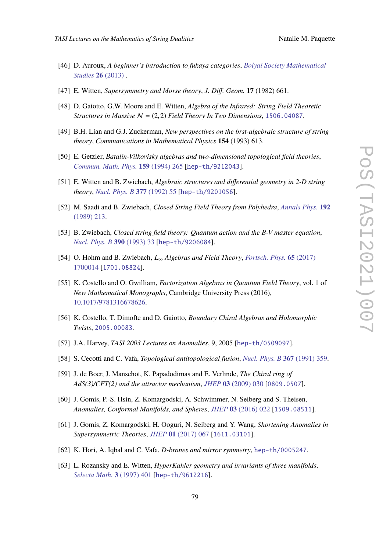- [46] D. Auroux, *A beginner's introduction to fukaya categories*, *[Bolyai Society Mathematical](https://doi.org/10.1007/978-3-319-02036-5_3) [Studies](https://doi.org/10.1007/978-3-319-02036-5_3)* **26** (2013) .
- [47] E. Witten, *Supersymmetry and Morse theory*, *J. Diff. Geom.* **17** (1982) 661.
- [48] D. Gaiotto, G.W. Moore and E. Witten, *Algebra of the Infrared: String Field Theoretic Structures in Massive*  $N = (2, 2)$  *Field Theory In Two Dimensions*, [1506.04087](https://arxiv.org/abs/1506.04087).
- [49] B.H. Lian and G.J. Zuckerman, *New perspectives on the brst-algebraic structure of string theory*, *Communications in Mathematical Physics* **154** (1993) 613.
- [50] E. Getzler, *Batalin-Vilkovisky algebras and two-dimensional topological field theories*, *[Commun. Math. Phys.](https://doi.org/10.1007/BF02102639)* **159** (1994) 265 [[hep-th/9212043](https://arxiv.org/abs/hep-th/9212043)].
- [51] E. Witten and B. Zwiebach, *Algebraic structures and differential geometry in 2-D string theory*, *[Nucl. Phys. B](https://doi.org/10.1016/0550-3213(92)90018-7)* **377** (1992) 55 [[hep-th/9201056](https://arxiv.org/abs/hep-th/9201056)].
- [52] M. Saadi and B. Zwiebach, *Closed String Field Theory from Polyhedra*, *[Annals Phys.](https://doi.org/10.1016/0003-4916(89)90126-7)* **192** [\(1989\) 213.](https://doi.org/10.1016/0003-4916(89)90126-7)
- [53] B. Zwiebach, *Closed string field theory: Quantum action and the B-V master equation*, *[Nucl. Phys. B](https://doi.org/10.1016/0550-3213(93)90388-6)* **390** (1993) 33 [[hep-th/9206084](https://arxiv.org/abs/hep-th/9206084)].
- [54] O. Hohm and B. Zwiebach, *L*<sup>∞</sup> *Algebras and Field Theory*, *[Fortsch. Phys.](https://doi.org/10.1002/prop.201700014)* **65** (2017) [1700014](https://doi.org/10.1002/prop.201700014) [[1701.08824](https://arxiv.org/abs/1701.08824)].
- [55] K. Costello and O. Gwilliam, *Factorization Algebras in Quantum Field Theory*, vol. 1 of *New Mathematical Monographs*, Cambridge University Press (2016), [10.1017/9781316678626.](https://doi.org/10.1017/9781316678626)
- [56] K. Costello, T. Dimofte and D. Gaiotto, *Boundary Chiral Algebras and Holomorphic Twists*, [2005.00083](https://arxiv.org/abs/2005.00083).
- [57] J.A. Harvey, *TASI 2003 Lectures on Anomalies*, 9, 2005 [[hep-th/0509097](https://arxiv.org/abs/hep-th/0509097)].
- [58] S. Cecotti and C. Vafa, *Topological antitopological fusion*, *[Nucl. Phys. B](https://doi.org/10.1016/0550-3213(91)90021-O)* **367** (1991) 359.
- [59] J. de Boer, J. Manschot, K. Papadodimas and E. Verlinde, *The Chiral ring of AdS(3)/CFT(2) and the attractor mechanism*, *JHEP* **03** [\(2009\) 030](https://doi.org/10.1088/1126-6708/2009/03/030) [[0809.0507](https://arxiv.org/abs/0809.0507)].
- [60] J. Gomis, P.-S. Hsin, Z. Komargodski, A. Schwimmer, N. Seiberg and S. Theisen, *Anomalies, Conformal Manifolds, and Spheres*, *JHEP* **03** [\(2016\) 022](https://doi.org/10.1007/JHEP03(2016)022) [[1509.08511](https://arxiv.org/abs/1509.08511)].
- [61] J. Gomis, Z. Komargodski, H. Ooguri, N. Seiberg and Y. Wang, *Shortening Anomalies in Supersymmetric Theories*, *JHEP* **01** [\(2017\) 067](https://doi.org/10.1007/JHEP01(2017)067) [[1611.03101](https://arxiv.org/abs/1611.03101)].
- [62] K. Hori, A. Iqbal and C. Vafa, *D-branes and mirror symmetry*, [hep-th/0005247](https://arxiv.org/abs/hep-th/0005247).
- [63] L. Rozansky and E. Witten, *HyperKahler geometry and invariants of three manifolds*, *[Selecta Math.](https://doi.org/10.1007/s000290050016)* **3** (1997) 401 [[hep-th/9612216](https://arxiv.org/abs/hep-th/9612216)].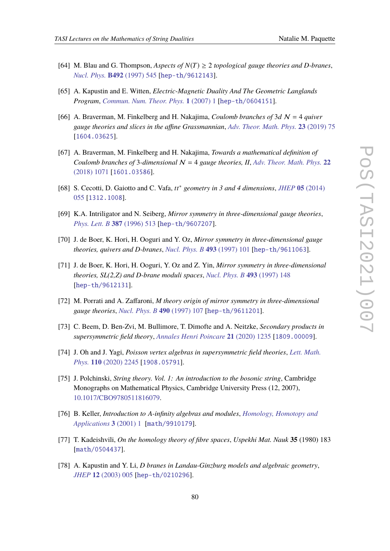- [64] M. Blau and G. Thompson, *Aspects of*  $N(T) \geq 2$  *topological gauge theories and D-branes*, *[Nucl. Phys.](https://doi.org/10.1016/S0550-3213(97)00161-2)* **B492** (1997) 545 [[hep-th/9612143](https://arxiv.org/abs/hep-th/9612143)].
- [65] A. Kapustin and E. Witten, *Electric-Magnetic Duality And The Geometric Langlands Program*, *[Commun. Num. Theor. Phys.](https://doi.org/10.4310/CNTP.2007.v1.n1.a1)* **1** (2007) 1 [[hep-th/0604151](https://arxiv.org/abs/hep-th/0604151)].
- [66] A. Braverman, M. Finkelberg and H. Nakajima, *Coulomb branches of* 3*d* N = 4 *quiver gauge theories and slices in the affine Grassmannian*, *[Adv. Theor. Math. Phys.](https://doi.org/10.4310/ATMP.2019.v23.n1.a3)* **23** (2019) 75 [[1604.03625](https://arxiv.org/abs/1604.03625)].
- [67] A. Braverman, M. Finkelberg and H. Nakajima, *Towards a mathematical definition of Coulomb branches of* 3-dimensional  $N = 4$  *gauge theories, II, [Adv. Theor. Math. Phys.](https://doi.org/10.4310/ATMP.2018.v22.n5.a1)* 22 [\(2018\) 1071](https://doi.org/10.4310/ATMP.2018.v22.n5.a1) [[1601.03586](https://arxiv.org/abs/1601.03586)].
- [68] S. Cecotti, D. Gaiotto and C. Vafa, *tt*∗ *geometry in 3 and 4 dimensions*, *JHEP* **05** [\(2014\)](https://doi.org/10.1007/JHEP05(2014)055) [055](https://doi.org/10.1007/JHEP05(2014)055) [[1312.1008](https://arxiv.org/abs/1312.1008)].
- [69] K.A. Intriligator and N. Seiberg, *Mirror symmetry in three-dimensional gauge theories*, *[Phys. Lett. B](https://doi.org/10.1016/0370-2693(96)01088-X)* **387** (1996) 513 [[hep-th/9607207](https://arxiv.org/abs/hep-th/9607207)].
- [70] J. de Boer, K. Hori, H. Ooguri and Y. Oz, *Mirror symmetry in three-dimensional gauge theories, quivers and D-branes*, *[Nucl. Phys. B](https://doi.org/10.1016/S0550-3213(97)00125-9)* **493** (1997) 101 [[hep-th/9611063](https://arxiv.org/abs/hep-th/9611063)].
- [71] J. de Boer, K. Hori, H. Ooguri, Y. Oz and Z. Yin, *Mirror symmetry in three-dimensional theories, SL(2,Z) and D-brane moduli spaces*, *[Nucl. Phys. B](https://doi.org/10.1016/S0550-3213(97)00115-6)* **493** (1997) 148 [[hep-th/9612131](https://arxiv.org/abs/hep-th/9612131)].
- [72] M. Porrati and A. Zaffaroni, *M theory origin of mirror symmetry in three-dimensional gauge theories*, *[Nucl. Phys. B](https://doi.org/10.1016/S0550-3213(97)00061-8)* **490** (1997) 107 [[hep-th/9611201](https://arxiv.org/abs/hep-th/9611201)].
- [73] C. Beem, D. Ben-Zvi, M. Bullimore, T. Dimofte and A. Neitzke, *Secondary products in supersymmetric field theory*, *[Annales Henri Poincare](https://doi.org/10.1007/s00023-020-00888-3)* **21** (2020) 1235 [[1809.00009](https://arxiv.org/abs/1809.00009)].
- [74] J. Oh and J. Yagi, *Poisson vertex algebras in supersymmetric field theories*, *[Lett. Math.](https://doi.org/10.1007/s11005-020-01290-0) Phys.* **110** [\(2020\) 2245](https://doi.org/10.1007/s11005-020-01290-0) [[1908.05791](https://arxiv.org/abs/1908.05791)].
- [75] J. Polchinski, *String theory. Vol. 1: An introduction to the bosonic string*, Cambridge Monographs on Mathematical Physics, Cambridge University Press (12, 2007), [10.1017/CBO9780511816079.](https://doi.org/10.1017/CBO9780511816079)
- [76] B. Keller, *Introduction to A-infinity algebras and modules*, *[Homology, Homotopy and](https://doi.org/hha/1140370263) [Applications](https://doi.org/hha/1140370263)* **3** (2001) 1 [[math/9910179](https://arxiv.org/abs/math/9910179)].
- [77] T. Kadeishvili, *On the homology theory of fibre spaces*, *Uspekhi Mat. Nauk* **35** (1980) 183 [[math/0504437](https://arxiv.org/abs/math/0504437)].
- <span id="page-79-0"></span>[78] A. Kapustin and Y. Li, *D branes in Landau-Ginzburg models and algebraic geometry*, *JHEP* **12** [\(2003\) 005](https://doi.org/10.1088/1126-6708/2003/12/005) [[hep-th/0210296](https://arxiv.org/abs/hep-th/0210296)].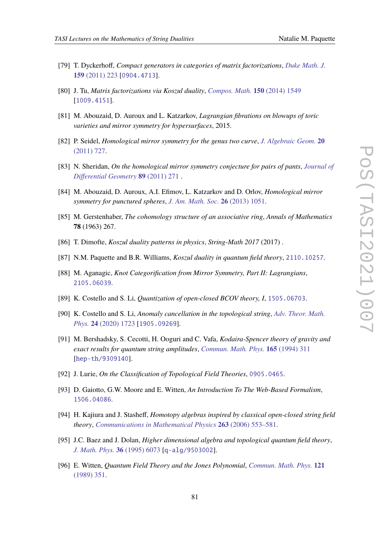- [79] T. Dyckerhoff, *Compact generators in categories of matrix factorizations*, *[Duke Math. J.](https://doi.org/10.1215/00127094-1415869)* **159** [\(2011\) 223](https://doi.org/10.1215/00127094-1415869) [[0904.4713](https://arxiv.org/abs/0904.4713)].
- [80] J. Tu, *Matrix factorizations via Koszul duality*, *[Compos. Math.](https://doi.org/10.1112/S0010437X14007295)* **150** (2014) 1549 [[1009.4151](https://arxiv.org/abs/1009.4151)].
- [81] M. Abouzaid, D. Auroux and L. Katzarkov, *Lagrangian fibrations on blowups of toric varieties and mirror symmetry for hypersurfaces*, 2015.
- [82] P. Seidel, *Homological mirror symmetry for the genus two curve*, *[J. Algebraic Geom.](https://doi.org/10.1090/S1056-3911-10-00550-3)* **20** [\(2011\) 727.](https://doi.org/10.1090/S1056-3911-10-00550-3)
- [83] N. Sheridan, *On the homological mirror symmetry conjecture for pairs of pants*, *[Journal of](https://doi.org/10.4310/jdg/1324477412) [Differential Geometry](https://doi.org/10.4310/jdg/1324477412)* **89** (2011) 271 .
- [84] M. Abouzaid, D. Auroux, A.I. Efimov, L. Katzarkov and D. Orlov, *Homological mirror symmetry for punctured spheres*, *[J. Am. Math. Soc.](https://doi.org/10.1090/s0894-0347-2013-00770-5)* **26** (2013) 1051.
- [85] M. Gerstenhaber, *The cohomology structure of an associative ring*, *Annals of Mathematics* **78** (1963) 267.
- [86] T. Dimofte, *Koszul duality patterns in physics*, *String-Math 2017* (2017) .
- [87] N.M. Paquette and B.R. Williams, *Koszul duality in quantum field theory*, [2110.10257](https://arxiv.org/abs/2110.10257).
- [88] M. Aganagic, *Knot Categorification from Mirror Symmetry, Part II: Lagrangians*, [2105.06039](https://arxiv.org/abs/2105.06039).
- [89] K. Costello and S. Li, *Quantization of open-closed BCOV theory, I*, [1505.06703](https://arxiv.org/abs/1505.06703).
- [90] K. Costello and S. Li, *Anomaly cancellation in the topological string*, *[Adv. Theor. Math.](https://doi.org/10.4310/ATMP.2020.v24.n7.a2) Phys.* **24** [\(2020\) 1723](https://doi.org/10.4310/ATMP.2020.v24.n7.a2) [[1905.09269](https://arxiv.org/abs/1905.09269)].
- [91] M. Bershadsky, S. Cecotti, H. Ooguri and C. Vafa, *Kodaira-Spencer theory of gravity and exact results for quantum string amplitudes*, *[Commun. Math. Phys.](https://doi.org/10.1007/BF02099774)* **165** (1994) 311 [[hep-th/9309140](https://arxiv.org/abs/hep-th/9309140)].
- [92] J. Lurie, *On the Classification of Topological Field Theories*, [0905.0465](https://arxiv.org/abs/0905.0465).
- [93] D. Gaiotto, G.W. Moore and E. Witten, *An Introduction To The Web-Based Formalism*, [1506.04086](https://arxiv.org/abs/1506.04086).
- [94] H. Kajiura and J. Stasheff, *Homotopy algebras inspired by classical open-closed string field theory*, *[Communications in Mathematical Physics](https://doi.org/10.1007/s00220-006-1539-2)* **263** (2006) 553–581.
- [95] J.C. Baez and J. Dolan, *Higher dimensional algebra and topological quantum field theory*, *[J. Math. Phys.](https://doi.org/10.1063/1.531236)* **36** (1995) 6073 [[q-alg/9503002](https://arxiv.org/abs/q-alg/9503002)].
- [96] E. Witten, *Quantum Field Theory and the Jones Polynomial*, *[Commun. Math. Phys.](https://doi.org/10.1007/BF01217730)* **121** [\(1989\) 351.](https://doi.org/10.1007/BF01217730)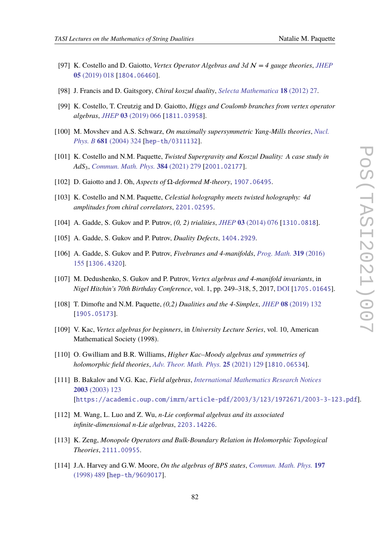- [97] K. Costello and D. Gaiotto, *Vertex Operator Algebras and 3d* N *= 4 gauge theories*, *[JHEP](https://doi.org/10.1007/JHEP05(2019)018)* **05** [\(2019\) 018](https://doi.org/10.1007/JHEP05(2019)018) [[1804.06460](https://arxiv.org/abs/1804.06460)].
- [98] J. Francis and D. Gaitsgory, *Chiral koszul duality*, *[Selecta Mathematica](https://doi.org/10.1007/s00029-011-0065-z)* **18** (2012) 27.
- [99] K. Costello, T. Creutzig and D. Gaiotto, *Higgs and Coulomb branches from vertex operator algebras*, *JHEP* **03** [\(2019\) 066](https://doi.org/10.1007/JHEP03(2019)066) [[1811.03958](https://arxiv.org/abs/1811.03958)].
- [100] M. Movshev and A.S. Schwarz, *On maximally supersymmetric Yang-Mills theories*, *[Nucl.](https://doi.org/10.1016/j.nuclphysb.2003.12.033) Phys. B* **681** [\(2004\) 324](https://doi.org/10.1016/j.nuclphysb.2003.12.033) [[hep-th/0311132](https://arxiv.org/abs/hep-th/0311132)].
- [101] K. Costello and N.M. Paquette, *Twisted Supergravity and Koszul Duality: A case study in AdS*3, *[Commun. Math. Phys.](https://doi.org/10.1007/s00220-021-04065-3)* **384** (2021) 279 [[2001.02177](https://arxiv.org/abs/2001.02177)].
- [102] D. Gaiotto and J. Oh, *Aspects of* Ω*-deformed M-theory*, [1907.06495](https://arxiv.org/abs/1907.06495).
- [103] K. Costello and N.M. Paquette, *Celestial holography meets twisted holography: 4d amplitudes from chiral correlators*, [2201.02595](https://arxiv.org/abs/2201.02595).
- [104] A. Gadde, S. Gukov and P. Putrov, *(0, 2) trialities*, *JHEP* **03** [\(2014\) 076](https://doi.org/10.1007/JHEP03(2014)076) [[1310.0818](https://arxiv.org/abs/1310.0818)].
- [105] A. Gadde, S. Gukov and P. Putrov, *Duality Defects*, [1404.2929](https://arxiv.org/abs/1404.2929).
- [106] A. Gadde, S. Gukov and P. Putrov, *Fivebranes and 4-manifolds*, *[Prog. Math.](https://doi.org/10.1007/978-3-319-43648-7_7)* **319** (2016) [155](https://doi.org/10.1007/978-3-319-43648-7_7) [[1306.4320](https://arxiv.org/abs/1306.4320)].
- [107] M. Dedushenko, S. Gukov and P. Putrov, *Vertex algebras and 4-manifold invariants*, in *Nigel Hitchin's 70th Birthday Conference*, vol. 1, pp. 249–318, 5, 2017, [DOI](https://doi.org/10.1093/oso/9780198802013.003.0011) [[1705.01645](https://arxiv.org/abs/1705.01645)].
- [108] T. Dimofte and N.M. Paquette, *(0,2) Dualities and the 4-Simplex*, *JHEP* **08** [\(2019\) 132](https://doi.org/10.1007/JHEP08(2019)132) [[1905.05173](https://arxiv.org/abs/1905.05173)].
- [109] V. Kac, *Vertex algebras for beginners*, in *University Lecture Series*, vol. 10, American Mathematical Society (1998).
- [110] O. Gwilliam and B.R. Williams, *Higher Kac–Moody algebras and symmetries of holomorphic field theories*, *[Adv. Theor. Math. Phys.](https://doi.org/10.4310/ATMP.2021.v25.n1.a4)* **25** (2021) 129 [[1810.06534](https://arxiv.org/abs/1810.06534)].
- [111] B. Bakalov and V.G. Kac, *Field algebras*, *[International Mathematics Research Notices](https://doi.org/10.1155/S1073792803204232)* **2003** [\(2003\) 123](https://doi.org/10.1155/S1073792803204232) [[https://academic.oup.com/imrn/article-pdf/2003/3/123/1972671/2003-3-123.pdf](https://arxiv.org/abs/https://academic.oup.com/imrn/article-pdf/2003/3/123/1972671/2003-3-123.pdf)].
- [112] M. Wang, L. Luo and Z. Wu, *n-Lie conformal algebras and its associated infinite-dimensional n-Lie algebras*, [2203.14226](https://arxiv.org/abs/2203.14226).
- [113] K. Zeng, *Monopole Operators and Bulk-Boundary Relation in Holomorphic Topological Theories*, [2111.00955](https://arxiv.org/abs/2111.00955).
- [114] J.A. Harvey and G.W. Moore, *On the algebras of BPS states*, *[Commun. Math. Phys.](https://doi.org/10.1007/s002200050461)* **197** [\(1998\) 489](https://doi.org/10.1007/s002200050461) [[hep-th/9609017](https://arxiv.org/abs/hep-th/9609017)].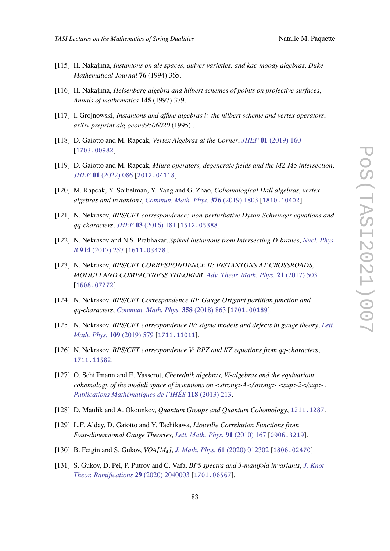- [115] H. Nakajima, *Instantons on ale spaces, quiver varieties, and kac-moody algebras*, *Duke Mathematical Journal* **76** (1994) 365.
- [116] H. Nakajima, *Heisenberg algebra and hilbert schemes of points on projective surfaces*, *Annals of mathematics* **145** (1997) 379.
- [117] I. Grojnowski, *Instantons and affine algebras i: the hilbert scheme and vertex operators*, *arXiv preprint alg-geom/9506020* (1995) .
- [118] D. Gaiotto and M. Rapcak, *Vertex Algebras at the Corner*, *JHEP* **01** [\(2019\) 160](https://doi.org/10.1007/JHEP01(2019)160) [[1703.00982](https://arxiv.org/abs/1703.00982)].
- [119] D. Gaiotto and M. Rapcak, *Miura operators, degenerate fields and the M2-M5 intersection*, *JHEP* **01** [\(2022\) 086](https://doi.org/10.1007/JHEP01(2022)086) [[2012.04118](https://arxiv.org/abs/2012.04118)].
- [120] M. Rapcak, Y. Soibelman, Y. Yang and G. Zhao, *Cohomological Hall algebras, vertex algebras and instantons*, *[Commun. Math. Phys.](https://doi.org/10.1007/s00220-019-03575-5)* **376** (2019) 1803 [[1810.10402](https://arxiv.org/abs/1810.10402)].
- [121] N. Nekrasov, *BPS/CFT correspondence: non-perturbative Dyson-Schwinger equations and qq-characters*, *JHEP* **03** [\(2016\) 181](https://doi.org/10.1007/JHEP03(2016)181) [[1512.05388](https://arxiv.org/abs/1512.05388)].
- [122] N. Nekrasov and N.S. Prabhakar, *Spiked Instantons from Intersecting D-branes*, *[Nucl. Phys.](https://doi.org/10.1016/j.nuclphysb.2016.11.014) B* **914** [\(2017\) 257](https://doi.org/10.1016/j.nuclphysb.2016.11.014) [[1611.03478](https://arxiv.org/abs/1611.03478)].
- [123] N. Nekrasov, *BPS/CFT CORRESPONDENCE II: INSTANTONS AT CROSSROADS, MODULI AND COMPACTNESS THEOREM*, *[Adv. Theor. Math. Phys.](https://doi.org/10.4310/ATMP.2017.v21.n2.a4)* **21** (2017) 503 [[1608.07272](https://arxiv.org/abs/1608.07272)].
- [124] N. Nekrasov, *BPS/CFT Correspondence III: Gauge Origami partition function and qq-characters*, *[Commun. Math. Phys.](https://doi.org/10.1007/s00220-017-3057-9)* **358** (2018) 863 [[1701.00189](https://arxiv.org/abs/1701.00189)].
- [125] N. Nekrasov, *BPS/CFT correspondence IV: sigma models and defects in gauge theory*, *[Lett.](https://doi.org/10.1007/s11005-018-1115-7) [Math. Phys.](https://doi.org/10.1007/s11005-018-1115-7)* **109** (2019) 579 [[1711.11011](https://arxiv.org/abs/1711.11011)].
- [126] N. Nekrasov, *BPS/CFT correspondence V: BPZ and KZ equations from qq-characters*, [1711.11582](https://arxiv.org/abs/1711.11582).
- [127] O. Schiffmann and E. Vasserot, *Cherednik algebras, W-algebras and the equivariant cohomology of the moduli space of instantons on*  $\langle \langle \langle \rangle \rangle$  */strong>*  $\langle \langle \langle \langle \rangle \rangle \rangle$  */sup>2* $\langle \langle \langle \rangle \rangle$ *, in [Publications Mathématiques de l'IHÉS](https://doi.org/10.1007/s10240-013-0052-3)* **118** (2013) 213.
- [128] D. Maulik and A. Okounkov, *Quantum Groups and Quantum Cohomology*, [1211.1287](https://arxiv.org/abs/1211.1287).
- [129] L.F. Alday, D. Gaiotto and Y. Tachikawa, *Liouville Correlation Functions from Four-dimensional Gauge Theories*, *[Lett. Math. Phys.](https://doi.org/10.1007/s11005-010-0369-5)* **91** (2010) 167 [[0906.3219](https://arxiv.org/abs/0906.3219)].
- [130] B. Feigin and S. Gukov, *VOA[M*4*]*, *J. Math. Phys.* **61** [\(2020\) 012302](https://doi.org/10.1063/1.5100059) [[1806.02470](https://arxiv.org/abs/1806.02470)].
- [131] S. Gukov, D. Pei, P. Putrov and C. Vafa, *BPS spectra and 3-manifold invariants*, *[J. Knot](https://doi.org/10.1142/S0218216520400039) [Theor. Ramifications](https://doi.org/10.1142/S0218216520400039)* **29** (2020) 2040003 [[1701.06567](https://arxiv.org/abs/1701.06567)].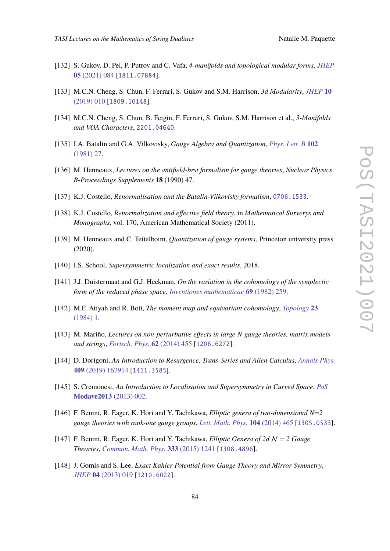- [132] S. Gukov, D. Pei, P. Putrov and C. Vafa, *4-manifolds and topological modular forms*, *[JHEP](https://doi.org/10.1007/JHEP05(2021)084)* **05** [\(2021\) 084](https://doi.org/10.1007/JHEP05(2021)084) [[1811.07884](https://arxiv.org/abs/1811.07884)].
- [133] M.C.N. Cheng, S. Chun, F. Ferrari, S. Gukov and S.M. Harrison, *3d Modularity*, *[JHEP](https://doi.org/10.1007/JHEP10(2019)010)* **10** [\(2019\) 010](https://doi.org/10.1007/JHEP10(2019)010) [[1809.10148](https://arxiv.org/abs/1809.10148)].
- [134] M.C.N. Cheng, S. Chun, B. Feigin, F. Ferrari, S. Gukov, S.M. Harrison et al., *3-Manifolds and VOA Characters*, [2201.04640](https://arxiv.org/abs/2201.04640).
- [135] I.A. Batalin and G.A. Vilkovisky, *Gauge Algebra and Quantization*, *[Phys. Lett. B](https://doi.org/10.1016/0370-2693(81)90205-7)* **102** [\(1981\) 27.](https://doi.org/10.1016/0370-2693(81)90205-7)
- [136] M. Henneaux, *Lectures on the antifield-brst formalism for gauge theories*, *Nuclear Physics B-Proceedings Supplements* **18** (1990) 47.
- [137] K.J. Costello, *Renormalisation and the Batalin-Vilkovisky formalism*, [0706.1533](https://arxiv.org/abs/0706.1533).
- [138] K.J. Costello, *Renormalization and effective field theory*, in *Mathematical Surverys and Monographs*, vol. 170, American Mathematical Society (2011).
- [139] M. Henneaux and C. Teitelboim, *Quantization of gauge systems*, Princeton university press (2020).
- [140] I.S. School, *Supersymmetric localization and exact results*, 2018.
- [141] J.J. Duistermaat and G.J. Heckman, *On the variation in the cohomology of the symplectic form of the reduced phase space*, *[Inventiones mathematicae](https://doi.org/10.1007/BF01399506)* **69** (1982) 259.
- [142] M.F. Atiyah and R. Bott, *The moment map and equivariant cohomology*, *[Topology](https://doi.org/10.1016/0040-9383(84)90021-1)* **23** [\(1984\) 1.](https://doi.org/10.1016/0040-9383(84)90021-1)
- [143] M. Mariño, *Lectures on non-perturbative effects in large N gauge theories, matrix models and strings*, *[Fortsch. Phys.](https://doi.org/10.1002/prop.201400005)* **62** (2014) 455 [[1206.6272](https://arxiv.org/abs/1206.6272)].
- [144] D. Dorigoni, *An Introduction to Resurgence, Trans-Series and Alien Calculus*, *[Annals Phys.](https://doi.org/10.1016/j.aop.2019.167914)* **409** [\(2019\) 167914](https://doi.org/10.1016/j.aop.2019.167914) [[1411.3585](https://arxiv.org/abs/1411.3585)].
- [145] S. Cremonesi, *An Introduction to Localisation and Supersymmetry in Curved Space*, *[PoS](https://doi.org/10.22323/1.201.0002)* **[Modave2013](https://doi.org/10.22323/1.201.0002)** (2013) 002.
- [146] F. Benini, R. Eager, K. Hori and Y. Tachikawa, *Elliptic genera of two-dimensional N=2 gauge theories with rank-one gauge groups*, *[Lett. Math. Phys.](https://doi.org/10.1007/s11005-013-0673-y)* **104** (2014) 465 [[1305.0533](https://arxiv.org/abs/1305.0533)].
- [147] F. Benini, R. Eager, K. Hori and Y. Tachikawa, *Elliptic Genera of 2d* N *= 2 Gauge Theories*, *[Commun. Math. Phys.](https://doi.org/10.1007/s00220-014-2210-y)* **333** (2015) 1241 [[1308.4896](https://arxiv.org/abs/1308.4896)].
- [148] J. Gomis and S. Lee, *Exact Kahler Potential from Gauge Theory and Mirror Symmetry*, *JHEP* **04** [\(2013\) 019](https://doi.org/10.1007/JHEP04(2013)019) [[1210.6022](https://arxiv.org/abs/1210.6022)].